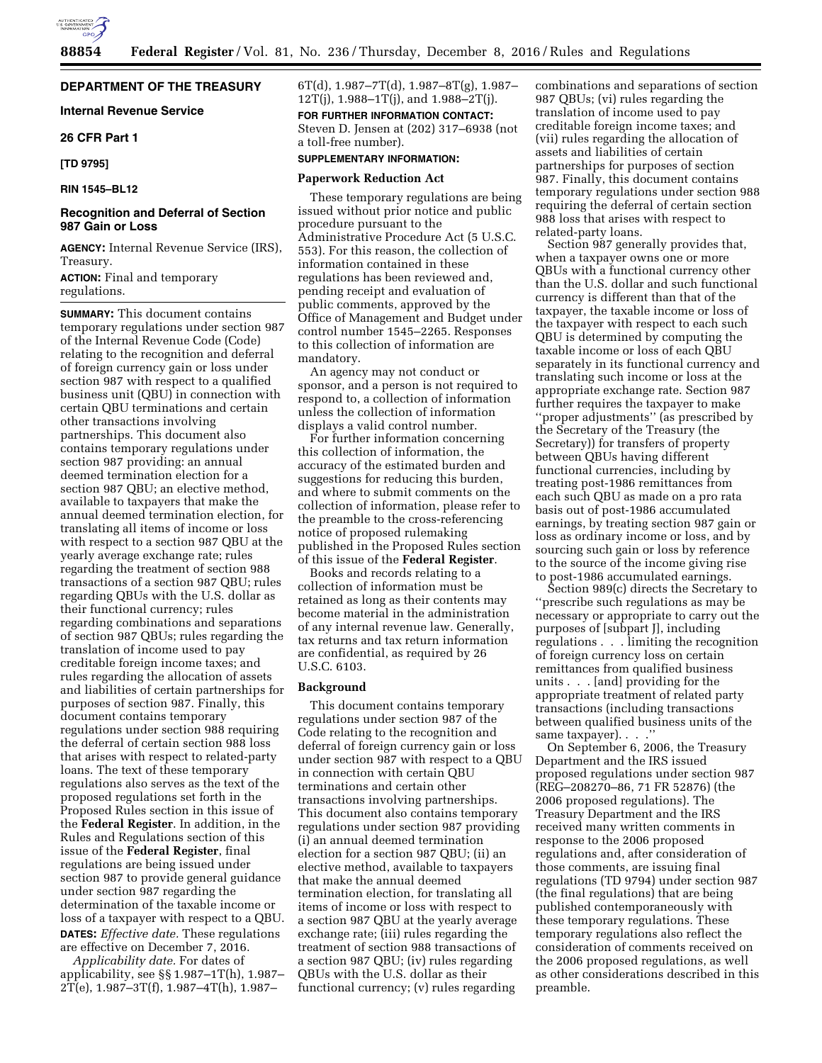## **DEPARTMENT OF THE TREASURY**

**Internal Revenue Service** 

## **26 CFR Part 1**

**[TD 9795]** 

```
RIN 1545–BL12
```
## **Recognition and Deferral of Section 987 Gain or Loss**

**AGENCY:** Internal Revenue Service (IRS), Treasury.

**ACTION:** Final and temporary regulations.

**SUMMARY:** This document contains temporary regulations under section 987 of the Internal Revenue Code (Code) relating to the recognition and deferral of foreign currency gain or loss under section 987 with respect to a qualified business unit (QBU) in connection with certain QBU terminations and certain other transactions involving partnerships. This document also contains temporary regulations under section 987 providing: an annual deemed termination election for a section 987 QBU; an elective method, available to taxpayers that make the annual deemed termination election, for translating all items of income or loss with respect to a section 987 QBU at the yearly average exchange rate; rules regarding the treatment of section 988 transactions of a section 987 QBU; rules regarding QBUs with the U.S. dollar as their functional currency; rules regarding combinations and separations of section 987 QBUs; rules regarding the translation of income used to pay creditable foreign income taxes; and rules regarding the allocation of assets and liabilities of certain partnerships for purposes of section 987. Finally, this document contains temporary regulations under section 988 requiring the deferral of certain section 988 loss that arises with respect to related-party loans. The text of these temporary regulations also serves as the text of the proposed regulations set forth in the Proposed Rules section in this issue of the **Federal Register**. In addition, in the Rules and Regulations section of this issue of the **Federal Register**, final regulations are being issued under section 987 to provide general guidance under section 987 regarding the determination of the taxable income or loss of a taxpayer with respect to a QBU. **DATES:** *Effective date.* These regulations

are effective on December 7, 2016. *Applicability date.* For dates of

applicability, see §§ 1.987–1T(h), 1.987– 2T(e), 1.987–3T(f), 1.987–4T(h), 1.987–

6T(d), 1.987–7T(d), 1.987–8T(g), 1.987– 12T(j),  $1.988 - 1T(j)$ , and  $1.988 - 2T(j)$ . **FOR FURTHER INFORMATION CONTACT:**  Steven D. Jensen at (202) 317–6938 (not a toll-free number).

## **SUPPLEMENTARY INFORMATION:**

#### **Paperwork Reduction Act**

These temporary regulations are being issued without prior notice and public procedure pursuant to the Administrative Procedure Act (5 U.S.C. 553). For this reason, the collection of information contained in these regulations has been reviewed and, pending receipt and evaluation of public comments, approved by the Office of Management and Budget under control number 1545–2265. Responses to this collection of information are mandatory.

An agency may not conduct or sponsor, and a person is not required to respond to, a collection of information unless the collection of information displays a valid control number.

For further information concerning this collection of information, the accuracy of the estimated burden and suggestions for reducing this burden, and where to submit comments on the collection of information, please refer to the preamble to the cross-referencing notice of proposed rulemaking published in the Proposed Rules section of this issue of the **Federal Register**.

Books and records relating to a collection of information must be retained as long as their contents may become material in the administration of any internal revenue law. Generally, tax returns and tax return information are confidential, as required by 26 U.S.C. 6103.

### **Background**

This document contains temporary regulations under section 987 of the Code relating to the recognition and deferral of foreign currency gain or loss under section 987 with respect to a QBU in connection with certain QBU terminations and certain other transactions involving partnerships. This document also contains temporary regulations under section 987 providing (i) an annual deemed termination election for a section 987 QBU; (ii) an elective method, available to taxpayers that make the annual deemed termination election, for translating all items of income or loss with respect to a section 987 QBU at the yearly average exchange rate; (iii) rules regarding the treatment of section 988 transactions of a section 987 QBU; (iv) rules regarding QBUs with the U.S. dollar as their functional currency; (v) rules regarding

combinations and separations of section 987 QBUs; (vi) rules regarding the translation of income used to pay creditable foreign income taxes; and (vii) rules regarding the allocation of assets and liabilities of certain partnerships for purposes of section 987. Finally, this document contains temporary regulations under section 988 requiring the deferral of certain section 988 loss that arises with respect to related-party loans.

Section 987 generally provides that, when a taxpayer owns one or more QBUs with a functional currency other than the U.S. dollar and such functional currency is different than that of the taxpayer, the taxable income or loss of the taxpayer with respect to each such QBU is determined by computing the taxable income or loss of each QBU separately in its functional currency and translating such income or loss at the appropriate exchange rate. Section 987 further requires the taxpayer to make ''proper adjustments'' (as prescribed by the Secretary of the Treasury (the Secretary)) for transfers of property between QBUs having different functional currencies, including by treating post-1986 remittances from each such QBU as made on a pro rata basis out of post-1986 accumulated earnings, by treating section 987 gain or loss as ordinary income or loss, and by sourcing such gain or loss by reference to the source of the income giving rise to post-1986 accumulated earnings.

Section 989(c) directs the Secretary to ''prescribe such regulations as may be necessary or appropriate to carry out the purposes of [subpart J], including regulations . . . limiting the recognition of foreign currency loss on certain remittances from qualified business units . . . [and] providing for the appropriate treatment of related party transactions (including transactions between qualified business units of the same taxpayer). . . .

On September 6, 2006, the Treasury Department and the IRS issued proposed regulations under section 987 (REG–208270–86, 71 FR 52876) (the 2006 proposed regulations). The Treasury Department and the IRS received many written comments in response to the 2006 proposed regulations and, after consideration of those comments, are issuing final regulations (TD 9794) under section 987 (the final regulations) that are being published contemporaneously with these temporary regulations. These temporary regulations also reflect the consideration of comments received on the 2006 proposed regulations, as well as other considerations described in this preamble.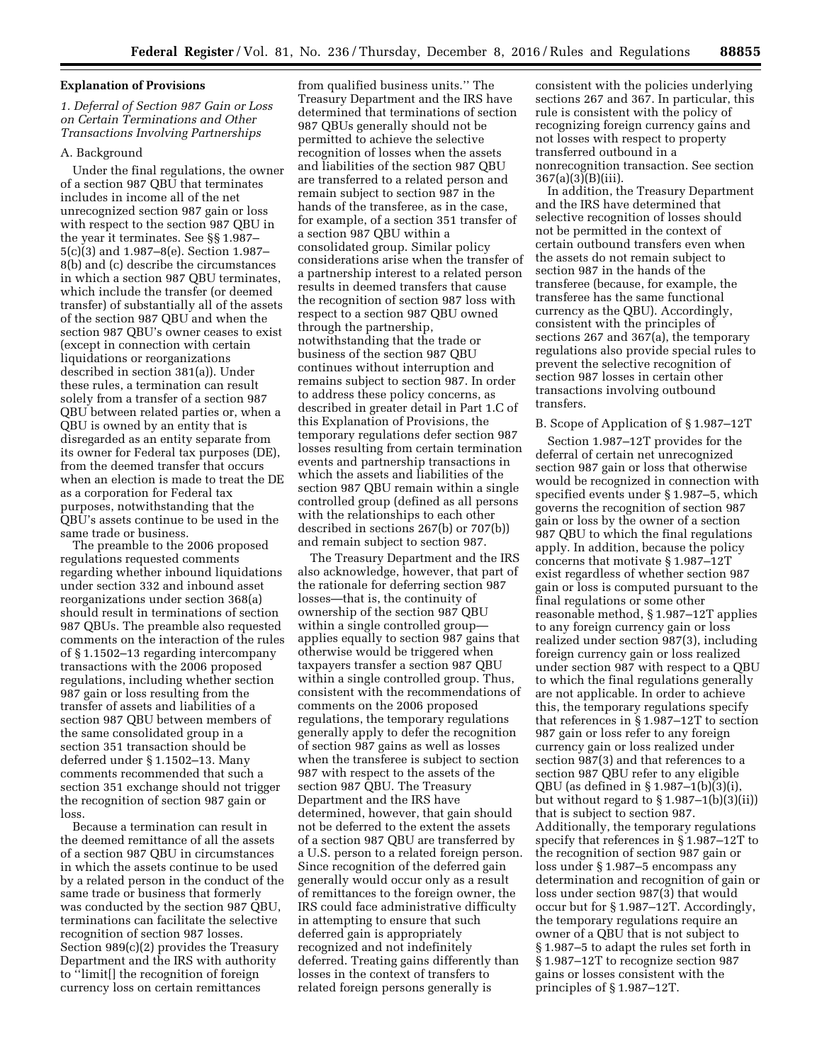# **Explanation of Provisions**

# *1. Deferral of Section 987 Gain or Loss on Certain Terminations and Other Transactions Involving Partnerships*

## A. Background

Under the final regulations, the owner of a section 987 QBU that terminates includes in income all of the net unrecognized section 987 gain or loss with respect to the section 987 QBU in the year it terminates. See §§ 1.987– 5(c)(3) and 1.987–8(e). Section 1.987– 8(b) and (c) describe the circumstances in which a section 987 QBU terminates, which include the transfer (or deemed transfer) of substantially all of the assets of the section 987 QBU and when the section 987 QBU's owner ceases to exist (except in connection with certain liquidations or reorganizations described in section 381(a)). Under these rules, a termination can result solely from a transfer of a section 987 QBU between related parties or, when a QBU is owned by an entity that is disregarded as an entity separate from its owner for Federal tax purposes (DE), from the deemed transfer that occurs when an election is made to treat the DE as a corporation for Federal tax purposes, notwithstanding that the QBU's assets continue to be used in the same trade or business.

The preamble to the 2006 proposed regulations requested comments regarding whether inbound liquidations under section 332 and inbound asset reorganizations under section 368(a) should result in terminations of section 987 QBUs. The preamble also requested comments on the interaction of the rules of § 1.1502–13 regarding intercompany transactions with the 2006 proposed regulations, including whether section 987 gain or loss resulting from the transfer of assets and liabilities of a section 987 QBU between members of the same consolidated group in a section 351 transaction should be deferred under § 1.1502–13. Many comments recommended that such a section 351 exchange should not trigger the recognition of section 987 gain or loss.

Because a termination can result in the deemed remittance of all the assets of a section 987 QBU in circumstances in which the assets continue to be used by a related person in the conduct of the same trade or business that formerly was conducted by the section 987 QBU, terminations can facilitate the selective recognition of section 987 losses. Section 989(c)(2) provides the Treasury Department and the IRS with authority to ''limit[] the recognition of foreign currency loss on certain remittances

from qualified business units.'' The Treasury Department and the IRS have determined that terminations of section 987 QBUs generally should not be permitted to achieve the selective recognition of losses when the assets and liabilities of the section 987 QBU are transferred to a related person and remain subject to section 987 in the hands of the transferee, as in the case, for example, of a section 351 transfer of a section 987 QBU within a consolidated group. Similar policy considerations arise when the transfer of a partnership interest to a related person results in deemed transfers that cause the recognition of section 987 loss with respect to a section 987 QBU owned through the partnership, notwithstanding that the trade or business of the section 987 QBU continues without interruption and remains subject to section 987. In order to address these policy concerns, as described in greater detail in Part 1.C of this Explanation of Provisions, the temporary regulations defer section 987 losses resulting from certain termination events and partnership transactions in which the assets and liabilities of the section 987 QBU remain within a single controlled group (defined as all persons with the relationships to each other described in sections 267(b) or 707(b)) and remain subject to section 987.

The Treasury Department and the IRS also acknowledge, however, that part of the rationale for deferring section 987 losses—that is, the continuity of ownership of the section 987 QBU within a single controlled group applies equally to section 987 gains that otherwise would be triggered when taxpayers transfer a section 987 QBU within a single controlled group. Thus, consistent with the recommendations of comments on the 2006 proposed regulations, the temporary regulations generally apply to defer the recognition of section 987 gains as well as losses when the transferee is subject to section 987 with respect to the assets of the section 987 QBU. The Treasury Department and the IRS have determined, however, that gain should not be deferred to the extent the assets of a section 987 QBU are transferred by a U.S. person to a related foreign person. Since recognition of the deferred gain generally would occur only as a result of remittances to the foreign owner, the IRS could face administrative difficulty in attempting to ensure that such deferred gain is appropriately recognized and not indefinitely deferred. Treating gains differently than losses in the context of transfers to related foreign persons generally is

consistent with the policies underlying sections 267 and 367. In particular, this rule is consistent with the policy of recognizing foreign currency gains and not losses with respect to property transferred outbound in a nonrecognition transaction. See section 367(a)(3)(B)(iii).

In addition, the Treasury Department and the IRS have determined that selective recognition of losses should not be permitted in the context of certain outbound transfers even when the assets do not remain subject to section 987 in the hands of the transferee (because, for example, the transferee has the same functional currency as the QBU). Accordingly, consistent with the principles of sections 267 and 367(a), the temporary regulations also provide special rules to prevent the selective recognition of section 987 losses in certain other transactions involving outbound transfers.

#### B. Scope of Application of § 1.987–12T

Section 1.987–12T provides for the deferral of certain net unrecognized section 987 gain or loss that otherwise would be recognized in connection with specified events under § 1.987–5, which governs the recognition of section 987 gain or loss by the owner of a section 987 QBU to which the final regulations apply. In addition, because the policy concerns that motivate § 1.987–12T exist regardless of whether section 987 gain or loss is computed pursuant to the final regulations or some other reasonable method, § 1.987–12T applies to any foreign currency gain or loss realized under section 987(3), including foreign currency gain or loss realized under section 987 with respect to a QBU to which the final regulations generally are not applicable. In order to achieve this, the temporary regulations specify that references in § 1.987–12T to section 987 gain or loss refer to any foreign currency gain or loss realized under section 987(3) and that references to a section 987 QBU refer to any eligible QBU (as defined in § 1.987–1(b)(3)(i), but without regard to  $\S 1.987 - 1(b)(3)(ii)$ that is subject to section 987. Additionally, the temporary regulations specify that references in § 1.987–12T to the recognition of section 987 gain or loss under § 1.987–5 encompass any determination and recognition of gain or loss under section 987(3) that would occur but for § 1.987–12T. Accordingly, the temporary regulations require an owner of a QBU that is not subject to § 1.987–5 to adapt the rules set forth in § 1.987–12T to recognize section 987 gains or losses consistent with the principles of § 1.987–12T.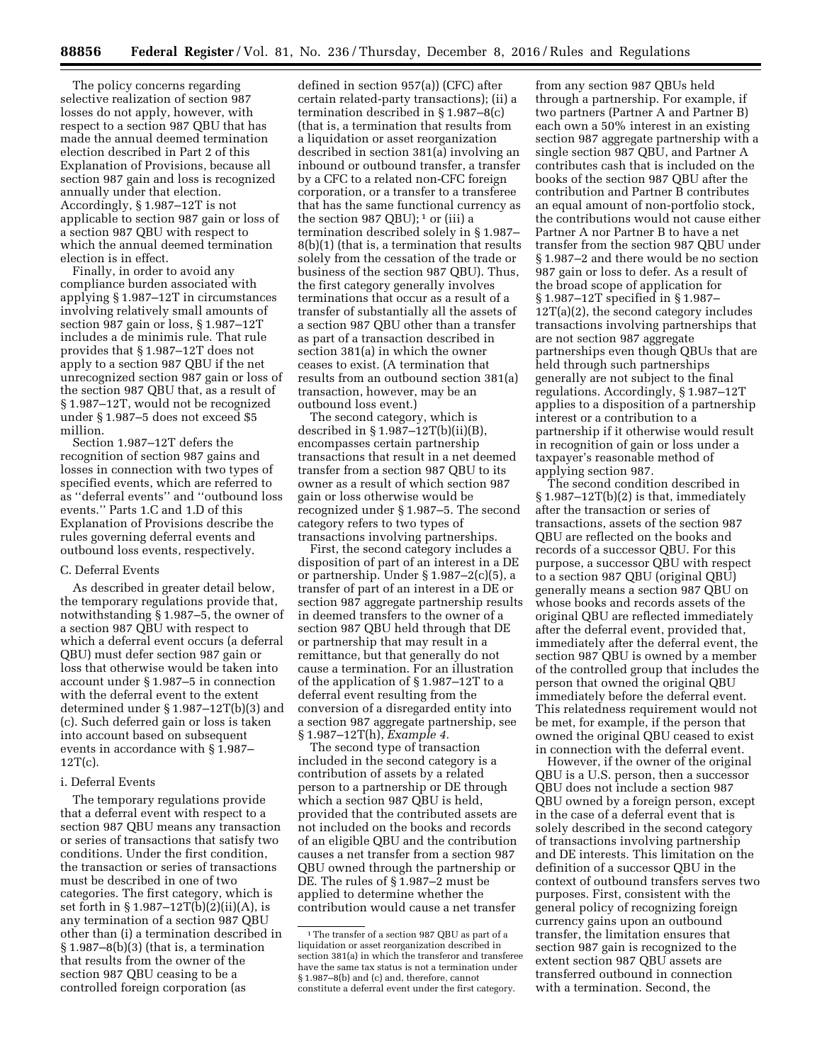The policy concerns regarding selective realization of section 987 losses do not apply, however, with respect to a section 987 QBU that has made the annual deemed termination election described in Part 2 of this Explanation of Provisions, because all section 987 gain and loss is recognized annually under that election. Accordingly, § 1.987–12T is not applicable to section 987 gain or loss of a section 987 QBU with respect to which the annual deemed termination election is in effect.

Finally, in order to avoid any compliance burden associated with applying § 1.987–12T in circumstances involving relatively small amounts of section 987 gain or loss, § 1.987–12T includes a de minimis rule. That rule provides that § 1.987–12T does not apply to a section 987 QBU if the net unrecognized section 987 gain or loss of the section 987 QBU that, as a result of § 1.987–12T, would not be recognized under § 1.987–5 does not exceed \$5 million.

Section 1.987–12T defers the recognition of section 987 gains and losses in connection with two types of specified events, which are referred to as ''deferral events'' and ''outbound loss events.'' Parts 1.C and 1.D of this Explanation of Provisions describe the rules governing deferral events and outbound loss events, respectively.

### C. Deferral Events

As described in greater detail below, the temporary regulations provide that, notwithstanding § 1.987–5, the owner of a section 987 QBU with respect to which a deferral event occurs (a deferral QBU) must defer section 987 gain or loss that otherwise would be taken into account under § 1.987–5 in connection with the deferral event to the extent determined under § 1.987–12T(b)(3) and (c). Such deferred gain or loss is taken into account based on subsequent events in accordance with § 1.987– 12T(c).

### i. Deferral Events

The temporary regulations provide that a deferral event with respect to a section 987 QBU means any transaction or series of transactions that satisfy two conditions. Under the first condition, the transaction or series of transactions must be described in one of two categories. The first category, which is set forth in § 1.987–12T(b)(2)(ii)(A), is any termination of a section 987 QBU other than (i) a termination described in  $§ 1.987-8(b)(3)$  (that is, a termination that results from the owner of the section 987 QBU ceasing to be a controlled foreign corporation (as

defined in section 957(a)) (CFC) after certain related-party transactions); (ii) a termination described in § 1.987–8(c) (that is, a termination that results from a liquidation or asset reorganization described in section 381(a) involving an inbound or outbound transfer, a transfer by a CFC to a related non-CFC foreign corporation, or a transfer to a transferee that has the same functional currency as the section 987 QBU);  $1$  or (iii) a termination described solely in § 1.987– 8(b)(1) (that is, a termination that results solely from the cessation of the trade or business of the section 987 QBU). Thus, the first category generally involves terminations that occur as a result of a transfer of substantially all the assets of a section 987 QBU other than a transfer as part of a transaction described in section 381(a) in which the owner ceases to exist. (A termination that results from an outbound section 381(a) transaction, however, may be an outbound loss event.)

The second category, which is described in § 1.987–12T(b)(ii)(B), encompasses certain partnership transactions that result in a net deemed transfer from a section 987 QBU to its owner as a result of which section 987 gain or loss otherwise would be recognized under § 1.987–5. The second category refers to two types of transactions involving partnerships.

First, the second category includes a disposition of part of an interest in a DE or partnership. Under § 1.987–2(c)(5), a transfer of part of an interest in a DE or section 987 aggregate partnership results in deemed transfers to the owner of a section 987 QBU held through that DE or partnership that may result in a remittance, but that generally do not cause a termination. For an illustration of the application of § 1.987–12T to a deferral event resulting from the conversion of a disregarded entity into a section 987 aggregate partnership, see § 1.987–12T(h), *Example 4.* 

The second type of transaction included in the second category is a contribution of assets by a related person to a partnership or DE through which a section 987 QBU is held, provided that the contributed assets are not included on the books and records of an eligible QBU and the contribution causes a net transfer from a section 987 QBU owned through the partnership or DE. The rules of § 1.987–2 must be applied to determine whether the contribution would cause a net transfer

from any section 987 QBUs held through a partnership. For example, if two partners (Partner A and Partner B) each own a 50% interest in an existing section 987 aggregate partnership with a single section 987 QBU, and Partner A contributes cash that is included on the books of the section 987 QBU after the contribution and Partner B contributes an equal amount of non-portfolio stock, the contributions would not cause either Partner A nor Partner B to have a net transfer from the section 987 QBU under § 1.987–2 and there would be no section 987 gain or loss to defer. As a result of the broad scope of application for § 1.987–12T specified in § 1.987– 12T(a)(2), the second category includes transactions involving partnerships that are not section 987 aggregate partnerships even though QBUs that are held through such partnerships generally are not subject to the final regulations. Accordingly, § 1.987–12T applies to a disposition of a partnership interest or a contribution to a partnership if it otherwise would result in recognition of gain or loss under a taxpayer's reasonable method of applying section 987.

The second condition described in § 1.987–12T(b)(2) is that, immediately after the transaction or series of transactions, assets of the section 987 QBU are reflected on the books and records of a successor QBU. For this purpose, a successor QBU with respect to a section 987 QBU (original QBU) generally means a section 987 QBU on whose books and records assets of the original QBU are reflected immediately after the deferral event, provided that, immediately after the deferral event, the section 987 QBU is owned by a member of the controlled group that includes the person that owned the original QBU immediately before the deferral event. This relatedness requirement would not be met, for example, if the person that owned the original QBU ceased to exist in connection with the deferral event.

However, if the owner of the original QBU is a U.S. person, then a successor QBU does not include a section 987 QBU owned by a foreign person, except in the case of a deferral event that is solely described in the second category of transactions involving partnership and DE interests. This limitation on the definition of a successor QBU in the context of outbound transfers serves two purposes. First, consistent with the general policy of recognizing foreign currency gains upon an outbound transfer, the limitation ensures that section 987 gain is recognized to the extent section 987 QBU assets are transferred outbound in connection with a termination. Second, the

<sup>&</sup>lt;sup>1</sup>The transfer of a section 987 QBU as part of a liquidation or asset reorganization described in section 381(a) in which the transferor and transferee have the same tax status is not a termination under § 1.987–8(b) and (c) and, therefore, cannot constitute a deferral event under the first category.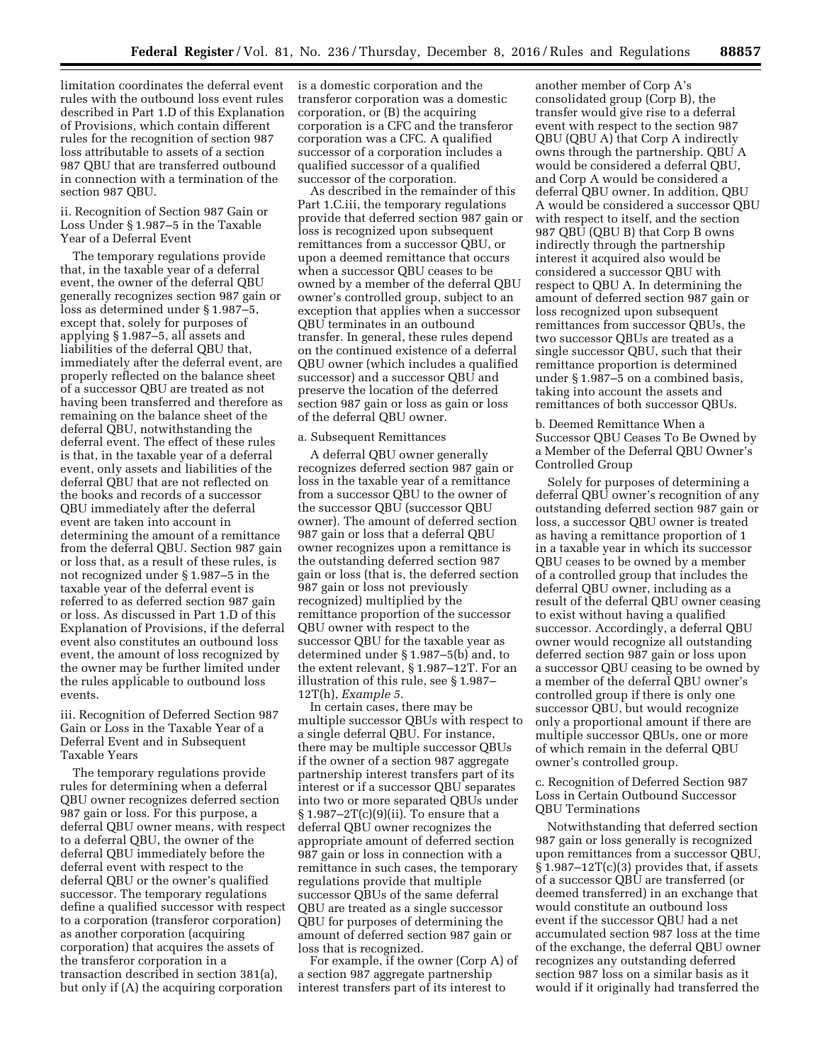limitation coordinates the deferral event rules with the outbound loss event rules described in Part 1.D of this Explanation of Provisions, which contain different rules for the recognition of section 987 loss attributable to assets of a section 987 QBU that are transferred outbound in connection with a termination of the section 987 QBU.

## ii. Recognition of Section 987 Gain or Loss Under § 1.987–5 in the Taxable Year of a Deferral Event

The temporary regulations provide that, in the taxable year of a deferral event, the owner of the deferral QBU generally recognizes section 987 gain or loss as determined under § 1.987–5, except that, solely for purposes of applying § 1.987–5, all assets and liabilities of the deferral QBU that, immediately after the deferral event, are properly reflected on the balance sheet of a successor QBU are treated as not having been transferred and therefore as remaining on the balance sheet of the deferral QBU, notwithstanding the deferral event. The effect of these rules is that, in the taxable year of a deferral event, only assets and liabilities of the deferral QBU that are not reflected on the books and records of a successor QBU immediately after the deferral event are taken into account in determining the amount of a remittance from the deferral QBU. Section 987 gain or loss that, as a result of these rules, is not recognized under § 1.987–5 in the taxable year of the deferral event is referred to as deferred section 987 gain or loss. As discussed in Part 1.D of this Explanation of Provisions, if the deferral event also constitutes an outbound loss event, the amount of loss recognized by the owner may be further limited under the rules applicable to outbound loss events.

## iii. Recognition of Deferred Section 987 Gain or Loss in the Taxable Year of a Deferral Event and in Subsequent Taxable Years

The temporary regulations provide rules for determining when a deferral QBU owner recognizes deferred section 987 gain or loss. For this purpose, a deferral QBU owner means, with respect to a deferral QBU, the owner of the deferral QBU immediately before the deferral event with respect to the deferral QBU or the owner's qualified successor. The temporary regulations define a qualified successor with respect to a corporation (transferor corporation) as another corporation (acquiring corporation) that acquires the assets of the transferor corporation in a transaction described in section 381(a), but only if (A) the acquiring corporation

is a domestic corporation and the transferor corporation was a domestic corporation, or (B) the acquiring corporation is a CFC and the transferor corporation was a CFC. A qualified successor of a corporation includes a qualified successor of a qualified successor of the corporation.

As described in the remainder of this Part 1.C.iii, the temporary regulations provide that deferred section 987 gain or loss is recognized upon subsequent remittances from a successor QBU, or upon a deemed remittance that occurs when a successor QBU ceases to be owned by a member of the deferral QBU owner's controlled group, subject to an exception that applies when a successor QBU terminates in an outbound transfer. In general, these rules depend on the continued existence of a deferral QBU owner (which includes a qualified successor) and a successor QBU and preserve the location of the deferred section 987 gain or loss as gain or loss of the deferral QBU owner.

### a. Subsequent Remittances

A deferral QBU owner generally recognizes deferred section 987 gain or loss in the taxable year of a remittance from a successor QBU to the owner of the successor QBU (successor QBU owner). The amount of deferred section 987 gain or loss that a deferral QBU owner recognizes upon a remittance is the outstanding deferred section 987 gain or loss (that is, the deferred section 987 gain or loss not previously recognized) multiplied by the remittance proportion of the successor QBU owner with respect to the successor QBU for the taxable year as determined under § 1.987–5(b) and, to the extent relevant, § 1.987–12T. For an illustration of this rule, see § 1.987– 12T(h), *Example 5*.

In certain cases, there may be multiple successor QBUs with respect to a single deferral QBU. For instance, there may be multiple successor QBUs if the owner of a section 987 aggregate partnership interest transfers part of its interest or if a successor QBU separates into two or more separated QBUs under  $\S 1.987 - 2T(c)(9)(ii)$ . To ensure that a deferral QBU owner recognizes the appropriate amount of deferred section 987 gain or loss in connection with a remittance in such cases, the temporary regulations provide that multiple successor QBUs of the same deferral QBU are treated as a single successor QBU for purposes of determining the amount of deferred section 987 gain or loss that is recognized.

For example, if the owner (Corp A) of a section 987 aggregate partnership interest transfers part of its interest to

another member of Corp A's consolidated group (Corp B), the transfer would give rise to a deferral event with respect to the section 987 QBU (QBU A) that Corp A indirectly owns through the partnership. QBU A would be considered a deferral QBU, and Corp A would be considered a deferral QBU owner. In addition, QBU A would be considered a successor QBU with respect to itself, and the section 987 QBU (QBU B) that Corp B owns indirectly through the partnership interest it acquired also would be considered a successor QBU with respect to QBU A. In determining the amount of deferred section 987 gain or loss recognized upon subsequent remittances from successor QBUs, the two successor QBUs are treated as a single successor QBU, such that their remittance proportion is determined under § 1.987–5 on a combined basis, taking into account the assets and remittances of both successor QBUs.

b. Deemed Remittance When a Successor QBU Ceases To Be Owned by a Member of the Deferral QBU Owner's Controlled Group

Solely for purposes of determining a deferral QBU owner's recognition of any outstanding deferred section 987 gain or loss, a successor QBU owner is treated as having a remittance proportion of 1 in a taxable year in which its successor QBU ceases to be owned by a member of a controlled group that includes the deferral QBU owner, including as a result of the deferral QBU owner ceasing to exist without having a qualified successor. Accordingly, a deferral QBU owner would recognize all outstanding deferred section 987 gain or loss upon a successor QBU ceasing to be owned by a member of the deferral QBU owner's controlled group if there is only one successor QBU, but would recognize only a proportional amount if there are multiple successor QBUs, one or more of which remain in the deferral QBU owner's controlled group.

c. Recognition of Deferred Section 987 Loss in Certain Outbound Successor QBU Terminations

Notwithstanding that deferred section 987 gain or loss generally is recognized upon remittances from a successor QBU, § 1.987–12T(c)(3) provides that, if assets of a successor QBU are transferred (or deemed transferred) in an exchange that would constitute an outbound loss event if the successor QBU had a net accumulated section 987 loss at the time of the exchange, the deferral QBU owner recognizes any outstanding deferred section 987 loss on a similar basis as it would if it originally had transferred the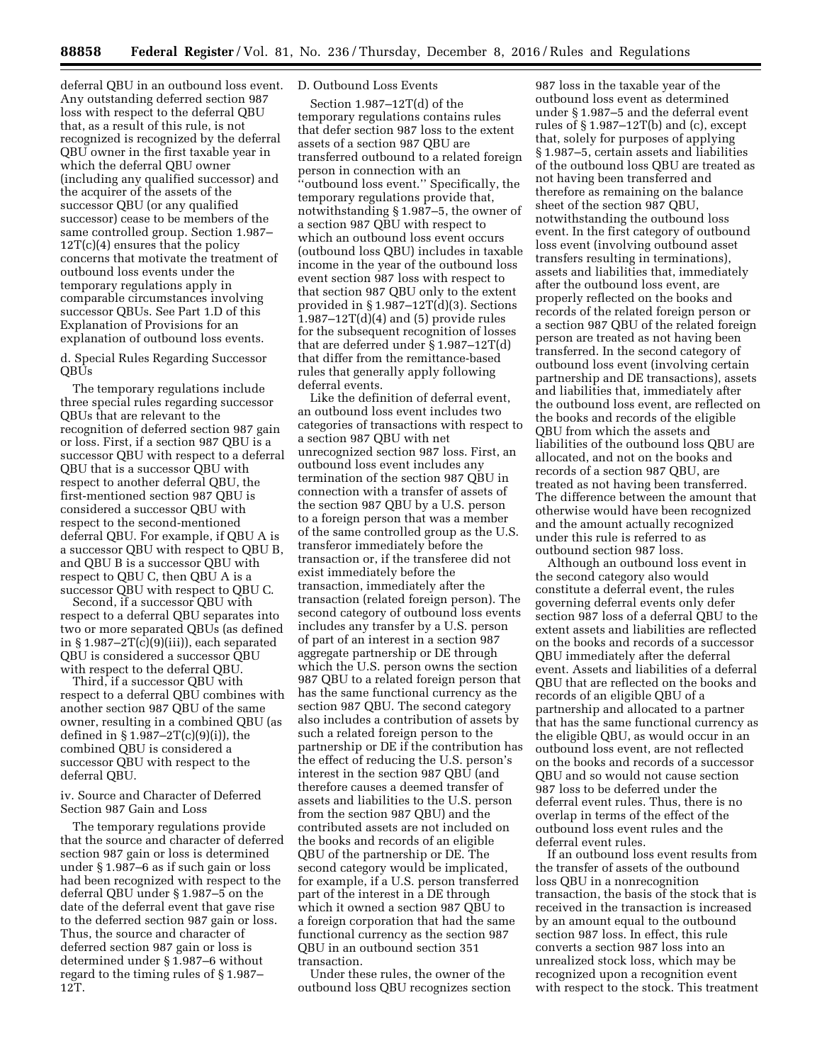deferral QBU in an outbound loss event. Any outstanding deferred section 987 loss with respect to the deferral QBU that, as a result of this rule, is not recognized is recognized by the deferral QBU owner in the first taxable year in which the deferral QBU owner (including any qualified successor) and the acquirer of the assets of the successor QBU (or any qualified successor) cease to be members of the same controlled group. Section 1.987–  $12T(c)(4)$  ensures that the policy concerns that motivate the treatment of outbound loss events under the temporary regulations apply in comparable circumstances involving successor QBUs. See Part 1.D of this Explanation of Provisions for an explanation of outbound loss events.

d. Special Rules Regarding Successor QBUs

The temporary regulations include three special rules regarding successor QBUs that are relevant to the recognition of deferred section 987 gain or loss. First, if a section 987 QBU is a successor QBU with respect to a deferral QBU that is a successor QBU with respect to another deferral QBU, the first-mentioned section 987 QBU is considered a successor QBU with respect to the second-mentioned deferral QBU. For example, if QBU A is a successor QBU with respect to QBU B, and QBU B is a successor QBU with respect to QBU C, then QBU A is a successor QBU with respect to QBU C.

Second, if a successor QBU with respect to a deferral QBU separates into two or more separated QBUs (as defined in § 1.987–2T(c)(9)(iii)), each separated QBU is considered a successor QBU with respect to the deferral QBU.

Third, if a successor QBU with respect to a deferral QBU combines with another section 987 QBU of the same owner, resulting in a combined QBU (as defined in § 1.987–2T(c)(9)(i)), the combined QBU is considered a successor QBU with respect to the deferral QBU.

## iv. Source and Character of Deferred Section 987 Gain and Loss

The temporary regulations provide that the source and character of deferred section 987 gain or loss is determined under § 1.987–6 as if such gain or loss had been recognized with respect to the deferral QBU under § 1.987–5 on the date of the deferral event that gave rise to the deferred section 987 gain or loss. Thus, the source and character of deferred section 987 gain or loss is determined under § 1.987–6 without regard to the timing rules of § 1.987– 12T.

# D. Outbound Loss Events

Section 1.987–12T(d) of the temporary regulations contains rules that defer section 987 loss to the extent assets of a section 987 QBU are transferred outbound to a related foreign person in connection with an 'outbound loss event." Specifically, the temporary regulations provide that, notwithstanding § 1.987–5, the owner of a section 987 QBU with respect to which an outbound loss event occurs (outbound loss QBU) includes in taxable income in the year of the outbound loss event section 987 loss with respect to that section 987 QBU only to the extent provided in §  $1.987 - 12T(\dot{d})$ (3). Sections  $1.987 - 12T(d)(4)$  and (5) provide rules for the subsequent recognition of losses that are deferred under § 1.987–12T(d) that differ from the remittance-based rules that generally apply following deferral events.

Like the definition of deferral event, an outbound loss event includes two categories of transactions with respect to a section 987 QBU with net unrecognized section 987 loss. First, an outbound loss event includes any termination of the section 987 QBU in connection with a transfer of assets of the section 987 QBU by a U.S. person to a foreign person that was a member of the same controlled group as the U.S. transferor immediately before the transaction or, if the transferee did not exist immediately before the transaction, immediately after the transaction (related foreign person). The second category of outbound loss events includes any transfer by a U.S. person of part of an interest in a section 987 aggregate partnership or DE through which the U.S. person owns the section 987 QBU to a related foreign person that has the same functional currency as the section 987 QBU. The second category also includes a contribution of assets by such a related foreign person to the partnership or DE if the contribution has the effect of reducing the U.S. person's interest in the section 987 QBU (and therefore causes a deemed transfer of assets and liabilities to the U.S. person from the section 987 QBU) and the contributed assets are not included on the books and records of an eligible QBU of the partnership or DE. The second category would be implicated, for example, if a U.S. person transferred part of the interest in a DE through which it owned a section 987 QBU to a foreign corporation that had the same functional currency as the section 987 QBU in an outbound section 351 transaction.

Under these rules, the owner of the outbound loss QBU recognizes section

987 loss in the taxable year of the outbound loss event as determined under § 1.987–5 and the deferral event rules of  $\S 1.987 - 12T(b)$  and (c), except that, solely for purposes of applying § 1.987–5, certain assets and liabilities of the outbound loss QBU are treated as not having been transferred and therefore as remaining on the balance sheet of the section 987 QBU, notwithstanding the outbound loss event. In the first category of outbound loss event (involving outbound asset transfers resulting in terminations), assets and liabilities that, immediately after the outbound loss event, are properly reflected on the books and records of the related foreign person or a section 987 QBU of the related foreign person are treated as not having been transferred. In the second category of outbound loss event (involving certain partnership and DE transactions), assets and liabilities that, immediately after the outbound loss event, are reflected on the books and records of the eligible QBU from which the assets and liabilities of the outbound loss QBU are allocated, and not on the books and records of a section 987 QBU, are treated as not having been transferred. The difference between the amount that otherwise would have been recognized and the amount actually recognized under this rule is referred to as outbound section 987 loss.

Although an outbound loss event in the second category also would constitute a deferral event, the rules governing deferral events only defer section 987 loss of a deferral QBU to the extent assets and liabilities are reflected on the books and records of a successor QBU immediately after the deferral event. Assets and liabilities of a deferral QBU that are reflected on the books and records of an eligible QBU of a partnership and allocated to a partner that has the same functional currency as the eligible QBU, as would occur in an outbound loss event, are not reflected on the books and records of a successor QBU and so would not cause section 987 loss to be deferred under the deferral event rules. Thus, there is no overlap in terms of the effect of the outbound loss event rules and the deferral event rules.

If an outbound loss event results from the transfer of assets of the outbound loss QBU in a nonrecognition transaction, the basis of the stock that is received in the transaction is increased by an amount equal to the outbound section 987 loss. In effect, this rule converts a section 987 loss into an unrealized stock loss, which may be recognized upon a recognition event with respect to the stock. This treatment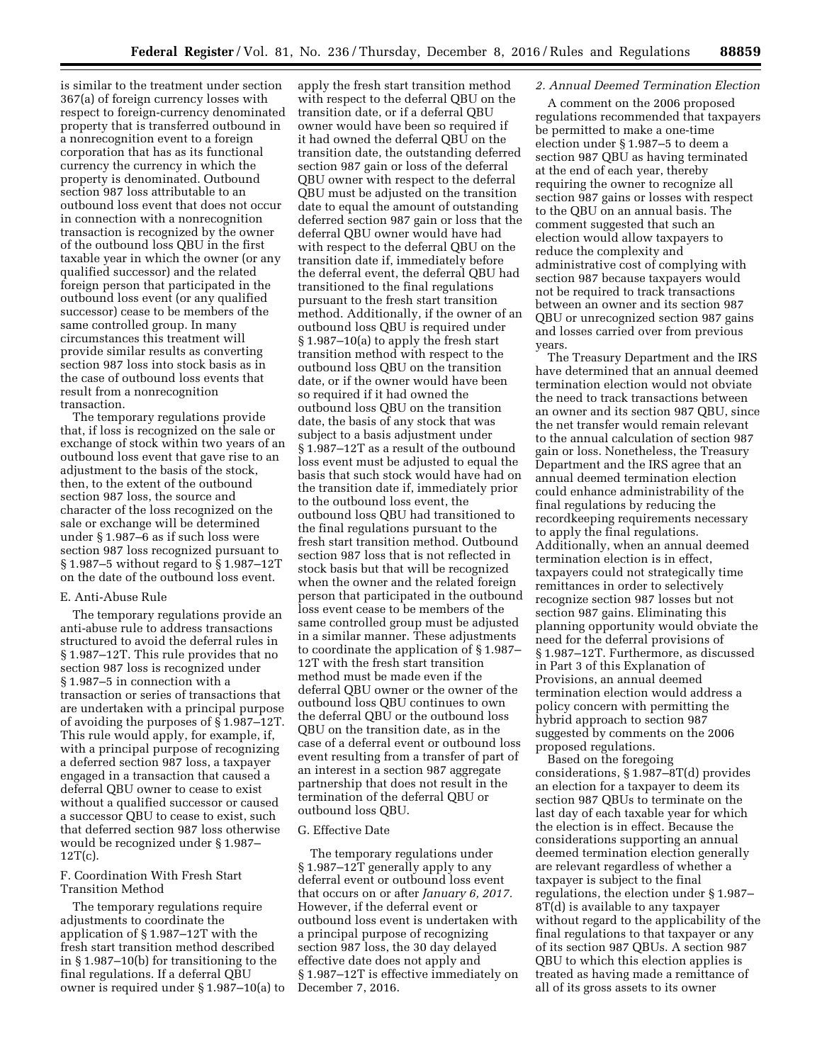is similar to the treatment under section 367(a) of foreign currency losses with respect to foreign-currency denominated property that is transferred outbound in a nonrecognition event to a foreign corporation that has as its functional currency the currency in which the property is denominated. Outbound section 987 loss attributable to an outbound loss event that does not occur in connection with a nonrecognition transaction is recognized by the owner of the outbound loss QBU in the first taxable year in which the owner (or any qualified successor) and the related foreign person that participated in the outbound loss event (or any qualified successor) cease to be members of the same controlled group. In many circumstances this treatment will provide similar results as converting section 987 loss into stock basis as in the case of outbound loss events that result from a nonrecognition transaction.

The temporary regulations provide that, if loss is recognized on the sale or exchange of stock within two years of an outbound loss event that gave rise to an adjustment to the basis of the stock, then, to the extent of the outbound section 987 loss, the source and character of the loss recognized on the sale or exchange will be determined under § 1.987–6 as if such loss were section 987 loss recognized pursuant to § 1.987–5 without regard to § 1.987–12T on the date of the outbound loss event.

#### E. Anti-Abuse Rule

The temporary regulations provide an anti-abuse rule to address transactions structured to avoid the deferral rules in § 1.987–12T. This rule provides that no section 987 loss is recognized under § 1.987–5 in connection with a transaction or series of transactions that are undertaken with a principal purpose of avoiding the purposes of § 1.987–12T. This rule would apply, for example, if, with a principal purpose of recognizing a deferred section 987 loss, a taxpayer engaged in a transaction that caused a deferral QBU owner to cease to exist without a qualified successor or caused a successor QBU to cease to exist, such that deferred section 987 loss otherwise would be recognized under § 1.987– 12T(c).

## F. Coordination With Fresh Start Transition Method

The temporary regulations require adjustments to coordinate the application of § 1.987–12T with the fresh start transition method described in § 1.987–10(b) for transitioning to the final regulations. If a deferral QBU owner is required under § 1.987–10(a) to apply the fresh start transition method with respect to the deferral QBU on the transition date, or if a deferral QBU owner would have been so required if it had owned the deferral QBU on the transition date, the outstanding deferred section 987 gain or loss of the deferral QBU owner with respect to the deferral QBU must be adjusted on the transition date to equal the amount of outstanding deferred section 987 gain or loss that the deferral QBU owner would have had with respect to the deferral QBU on the transition date if, immediately before the deferral event, the deferral QBU had transitioned to the final regulations pursuant to the fresh start transition method. Additionally, if the owner of an outbound loss QBU is required under § 1.987–10(a) to apply the fresh start transition method with respect to the outbound loss QBU on the transition date, or if the owner would have been so required if it had owned the outbound loss QBU on the transition date, the basis of any stock that was subject to a basis adjustment under § 1.987–12T as a result of the outbound loss event must be adjusted to equal the basis that such stock would have had on the transition date if, immediately prior to the outbound loss event, the outbound loss QBU had transitioned to the final regulations pursuant to the fresh start transition method. Outbound section 987 loss that is not reflected in stock basis but that will be recognized when the owner and the related foreign person that participated in the outbound loss event cease to be members of the same controlled group must be adjusted in a similar manner. These adjustments to coordinate the application of § 1.987– 12T with the fresh start transition method must be made even if the deferral QBU owner or the owner of the outbound loss QBU continues to own the deferral QBU or the outbound loss QBU on the transition date, as in the case of a deferral event or outbound loss event resulting from a transfer of part of an interest in a section 987 aggregate partnership that does not result in the termination of the deferral QBU or outbound loss QBU.

#### G. Effective Date

The temporary regulations under § 1.987–12T generally apply to any deferral event or outbound loss event that occurs on or after *January 6, 2017.*  However, if the deferral event or outbound loss event is undertaken with a principal purpose of recognizing section 987 loss, the 30 day delayed effective date does not apply and § 1.987–12T is effective immediately on December 7, 2016.

# *2. Annual Deemed Termination Election*

A comment on the 2006 proposed regulations recommended that taxpayers be permitted to make a one-time election under § 1.987–5 to deem a section 987 QBU as having terminated at the end of each year, thereby requiring the owner to recognize all section 987 gains or losses with respect to the QBU on an annual basis. The comment suggested that such an election would allow taxpayers to reduce the complexity and administrative cost of complying with section 987 because taxpayers would not be required to track transactions between an owner and its section 987 QBU or unrecognized section 987 gains and losses carried over from previous years.

The Treasury Department and the IRS have determined that an annual deemed termination election would not obviate the need to track transactions between an owner and its section 987 QBU, since the net transfer would remain relevant to the annual calculation of section 987 gain or loss. Nonetheless, the Treasury Department and the IRS agree that an annual deemed termination election could enhance administrability of the final regulations by reducing the recordkeeping requirements necessary to apply the final regulations. Additionally, when an annual deemed termination election is in effect, taxpayers could not strategically time remittances in order to selectively recognize section 987 losses but not section 987 gains. Eliminating this planning opportunity would obviate the need for the deferral provisions of § 1.987–12T. Furthermore, as discussed in Part 3 of this Explanation of Provisions, an annual deemed termination election would address a policy concern with permitting the hybrid approach to section 987 suggested by comments on the 2006 proposed regulations.

Based on the foregoing considerations, § 1.987–8T(d) provides an election for a taxpayer to deem its section 987 QBUs to terminate on the last day of each taxable year for which the election is in effect. Because the considerations supporting an annual deemed termination election generally are relevant regardless of whether a taxpayer is subject to the final regulations, the election under § 1.987– 8T(d) is available to any taxpayer without regard to the applicability of the final regulations to that taxpayer or any of its section 987 QBUs. A section 987 QBU to which this election applies is treated as having made a remittance of all of its gross assets to its owner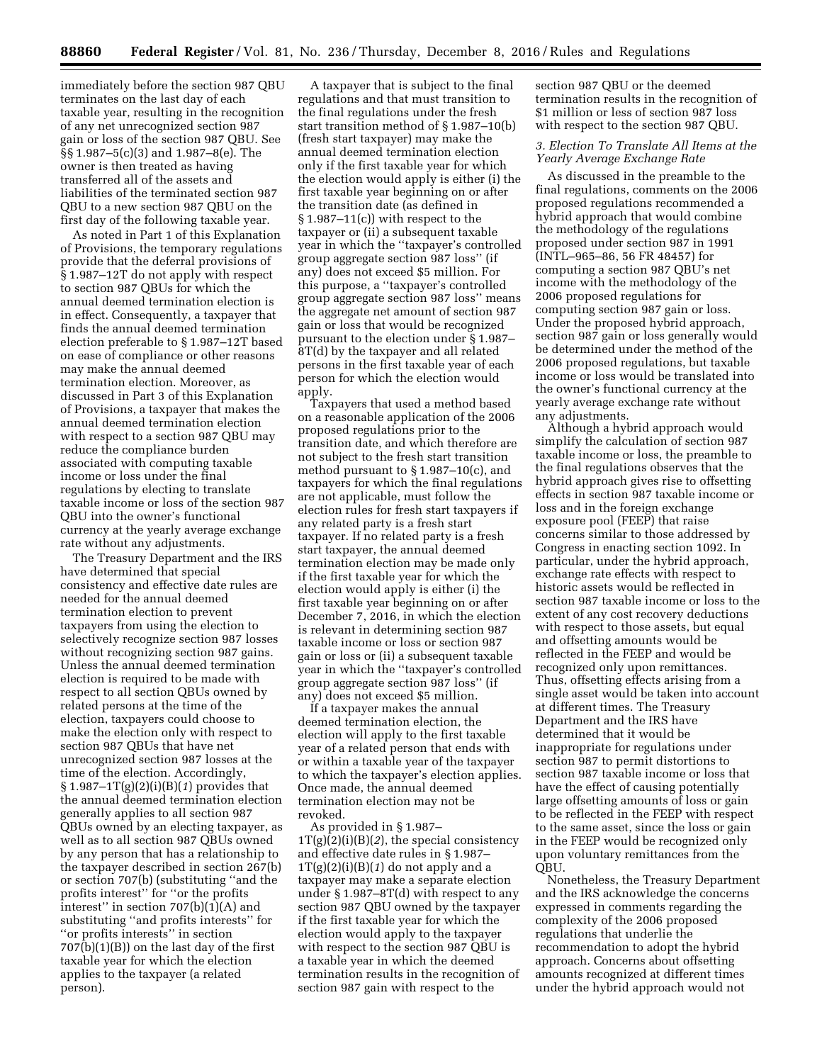immediately before the section 987 QBU terminates on the last day of each taxable year, resulting in the recognition of any net unrecognized section 987 gain or loss of the section 987 QBU. See §§ 1.987–5(c)(3) and 1.987–8(e). The owner is then treated as having transferred all of the assets and liabilities of the terminated section 987 QBU to a new section 987 QBU on the first day of the following taxable year.

As noted in Part 1 of this Explanation of Provisions, the temporary regulations provide that the deferral provisions of § 1.987–12T do not apply with respect to section 987 QBUs for which the annual deemed termination election is in effect. Consequently, a taxpayer that finds the annual deemed termination election preferable to § 1.987–12T based on ease of compliance or other reasons may make the annual deemed termination election. Moreover, as discussed in Part 3 of this Explanation of Provisions, a taxpayer that makes the annual deemed termination election with respect to a section 987 QBU may reduce the compliance burden associated with computing taxable income or loss under the final regulations by electing to translate taxable income or loss of the section 987 QBU into the owner's functional currency at the yearly average exchange rate without any adjustments.

The Treasury Department and the IRS have determined that special consistency and effective date rules are needed for the annual deemed termination election to prevent taxpayers from using the election to selectively recognize section 987 losses without recognizing section 987 gains. Unless the annual deemed termination election is required to be made with respect to all section QBUs owned by related persons at the time of the election, taxpayers could choose to make the election only with respect to section 987 QBUs that have net unrecognized section 987 losses at the time of the election. Accordingly, § 1.987–1T(g)(2)(i)(B)(*1*) provides that the annual deemed termination election generally applies to all section 987 QBUs owned by an electing taxpayer, as well as to all section 987 QBUs owned by any person that has a relationship to the taxpayer described in section 267(b) or section 707(b) (substituting ''and the profits interest'' for ''or the profits interest'' in section 707(b)(1)(A) and substituting ''and profits interests'' for ''or profits interests'' in section 707(b)(1)(B)) on the last day of the first taxable year for which the election applies to the taxpayer (a related person).

A taxpayer that is subject to the final regulations and that must transition to the final regulations under the fresh start transition method of § 1.987–10(b) (fresh start taxpayer) may make the annual deemed termination election only if the first taxable year for which the election would apply is either (i) the first taxable year beginning on or after the transition date (as defined in § 1.987–11(c)) with respect to the taxpayer or (ii) a subsequent taxable year in which the ''taxpayer's controlled group aggregate section 987 loss'' (if any) does not exceed \$5 million. For this purpose, a ''taxpayer's controlled group aggregate section 987 loss'' means the aggregate net amount of section 987 gain or loss that would be recognized pursuant to the election under § 1.987– 8T(d) by the taxpayer and all related persons in the first taxable year of each person for which the election would apply.

Taxpayers that used a method based on a reasonable application of the 2006 proposed regulations prior to the transition date, and which therefore are not subject to the fresh start transition method pursuant to § 1.987–10(c), and taxpayers for which the final regulations are not applicable, must follow the election rules for fresh start taxpayers if any related party is a fresh start taxpayer. If no related party is a fresh start taxpayer, the annual deemed termination election may be made only if the first taxable year for which the election would apply is either (i) the first taxable year beginning on or after December 7, 2016, in which the election is relevant in determining section 987 taxable income or loss or section 987 gain or loss or (ii) a subsequent taxable year in which the ''taxpayer's controlled group aggregate section 987 loss'' (if any) does not exceed \$5 million.

If a taxpayer makes the annual deemed termination election, the election will apply to the first taxable year of a related person that ends with or within a taxable year of the taxpayer to which the taxpayer's election applies. Once made, the annual deemed termination election may not be revoked.

As provided in § 1.987– 1T(g)(2)(i)(B)(*2*), the special consistency and effective date rules in § 1.987–  $1T(g)(2)(i)(B)(1)$  do not apply and a taxpayer may make a separate election under § 1.987–8T(d) with respect to any section 987 QBU owned by the taxpayer if the first taxable year for which the election would apply to the taxpayer with respect to the section 987 QBU is a taxable year in which the deemed termination results in the recognition of section 987 gain with respect to the

section 987 QBU or the deemed termination results in the recognition of \$1 million or less of section 987 loss with respect to the section 987 QBU.

## *3. Election To Translate All Items at the Yearly Average Exchange Rate*

As discussed in the preamble to the final regulations, comments on the 2006 proposed regulations recommended a hybrid approach that would combine the methodology of the regulations proposed under section 987 in 1991 (INTL–965–86, 56 FR 48457) for computing a section 987 QBU's net income with the methodology of the 2006 proposed regulations for computing section 987 gain or loss. Under the proposed hybrid approach, section 987 gain or loss generally would be determined under the method of the 2006 proposed regulations, but taxable income or loss would be translated into the owner's functional currency at the yearly average exchange rate without any adjustments.

Although a hybrid approach would simplify the calculation of section 987 taxable income or loss, the preamble to the final regulations observes that the hybrid approach gives rise to offsetting effects in section 987 taxable income or loss and in the foreign exchange exposure pool (FEEP) that raise concerns similar to those addressed by Congress in enacting section 1092. In particular, under the hybrid approach, exchange rate effects with respect to historic assets would be reflected in section 987 taxable income or loss to the extent of any cost recovery deductions with respect to those assets, but equal and offsetting amounts would be reflected in the FEEP and would be recognized only upon remittances. Thus, offsetting effects arising from a single asset would be taken into account at different times. The Treasury Department and the IRS have determined that it would be inappropriate for regulations under section 987 to permit distortions to section 987 taxable income or loss that have the effect of causing potentially large offsetting amounts of loss or gain to be reflected in the FEEP with respect to the same asset, since the loss or gain in the FEEP would be recognized only upon voluntary remittances from the QBU.

Nonetheless, the Treasury Department and the IRS acknowledge the concerns expressed in comments regarding the complexity of the 2006 proposed regulations that underlie the recommendation to adopt the hybrid approach. Concerns about offsetting amounts recognized at different times under the hybrid approach would not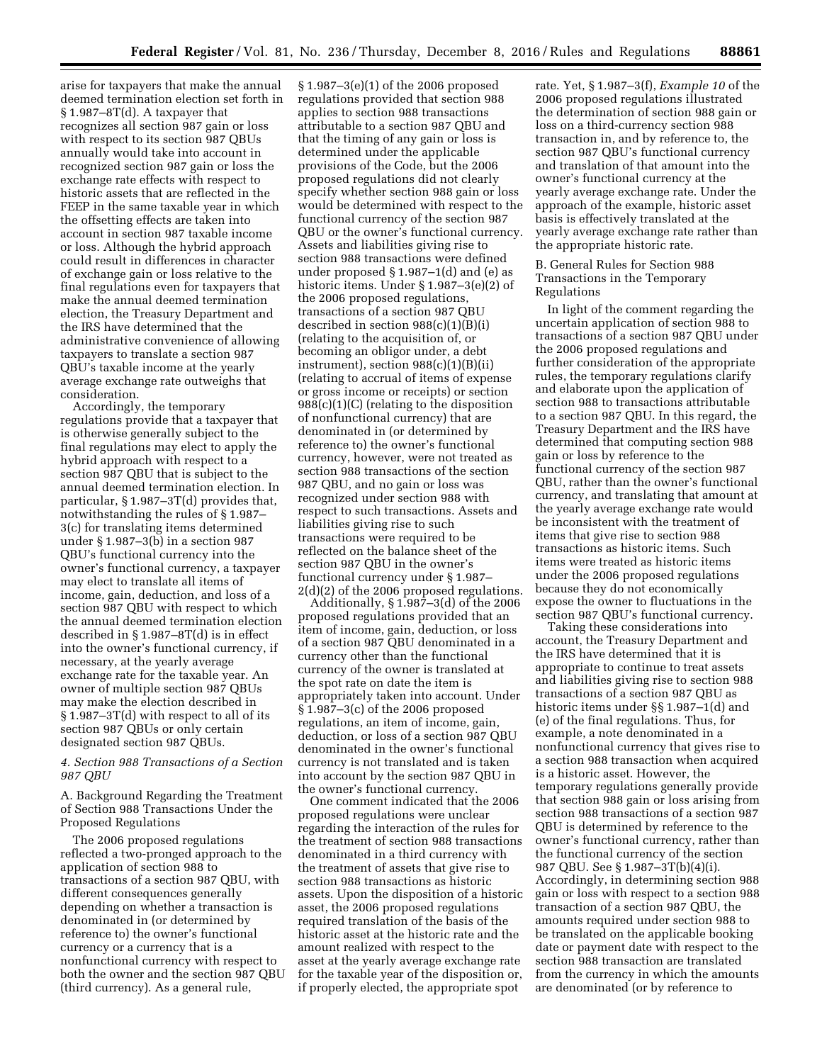arise for taxpayers that make the annual deemed termination election set forth in § 1.987–8T(d). A taxpayer that recognizes all section 987 gain or loss with respect to its section 987 QBUs annually would take into account in recognized section 987 gain or loss the exchange rate effects with respect to historic assets that are reflected in the FEEP in the same taxable year in which the offsetting effects are taken into account in section 987 taxable income or loss. Although the hybrid approach could result in differences in character of exchange gain or loss relative to the final regulations even for taxpayers that make the annual deemed termination election, the Treasury Department and the IRS have determined that the administrative convenience of allowing taxpayers to translate a section 987 QBU's taxable income at the yearly average exchange rate outweighs that consideration.

Accordingly, the temporary regulations provide that a taxpayer that is otherwise generally subject to the final regulations may elect to apply the hybrid approach with respect to a section 987 QBU that is subject to the annual deemed termination election. In particular, § 1.987–3T(d) provides that, notwithstanding the rules of § 1.987– 3(c) for translating items determined under § 1.987–3(b) in a section 987 QBU's functional currency into the owner's functional currency, a taxpayer may elect to translate all items of income, gain, deduction, and loss of a section 987 QBU with respect to which the annual deemed termination election described in § 1.987–8T(d) is in effect into the owner's functional currency, if necessary, at the yearly average exchange rate for the taxable year. An owner of multiple section 987 QBUs may make the election described in § 1.987–3T(d) with respect to all of its section 987 QBUs or only certain designated section 987 QBUs.

## *4. Section 988 Transactions of a Section 987 QBU*

A. Background Regarding the Treatment of Section 988 Transactions Under the Proposed Regulations

The 2006 proposed regulations reflected a two-pronged approach to the application of section 988 to transactions of a section 987 QBU, with different consequences generally depending on whether a transaction is denominated in (or determined by reference to) the owner's functional currency or a currency that is a nonfunctional currency with respect to both the owner and the section 987 QBU (third currency). As a general rule,

§ 1.987–3(e)(1) of the 2006 proposed regulations provided that section 988 applies to section 988 transactions attributable to a section 987 QBU and that the timing of any gain or loss is determined under the applicable provisions of the Code, but the 2006 proposed regulations did not clearly specify whether section 988 gain or loss would be determined with respect to the functional currency of the section 987 QBU or the owner's functional currency. Assets and liabilities giving rise to section 988 transactions were defined under proposed  $\S 1.987-1(d)$  and (e) as historic items. Under § 1.987–3(e)(2) of the 2006 proposed regulations, transactions of a section 987 QBU described in section 988(c)(1)(B)(i) (relating to the acquisition of, or becoming an obligor under, a debt instrument), section  $988(c)(1)(B)(ii)$ (relating to accrual of items of expense or gross income or receipts) or section 988(c)(1)(C) (relating to the disposition of nonfunctional currency) that are denominated in (or determined by reference to) the owner's functional currency, however, were not treated as section 988 transactions of the section 987 QBU, and no gain or loss was recognized under section 988 with respect to such transactions. Assets and liabilities giving rise to such transactions were required to be reflected on the balance sheet of the section 987 QBU in the owner's functional currency under § 1.987– 2(d)(2) of the 2006 proposed regulations.

Additionally, § 1.987–3(d) of the 2006 proposed regulations provided that an item of income, gain, deduction, or loss of a section 987 QBU denominated in a currency other than the functional currency of the owner is translated at the spot rate on date the item is appropriately taken into account. Under § 1.987–3(c) of the 2006 proposed regulations, an item of income, gain, deduction, or loss of a section 987 QBU denominated in the owner's functional currency is not translated and is taken into account by the section 987 QBU in the owner's functional currency.

One comment indicated that the 2006 proposed regulations were unclear regarding the interaction of the rules for the treatment of section 988 transactions denominated in a third currency with the treatment of assets that give rise to section 988 transactions as historic assets. Upon the disposition of a historic asset, the 2006 proposed regulations required translation of the basis of the historic asset at the historic rate and the amount realized with respect to the asset at the yearly average exchange rate for the taxable year of the disposition or, if properly elected, the appropriate spot

rate. Yet, § 1.987–3(f), *Example 10* of the 2006 proposed regulations illustrated the determination of section 988 gain or loss on a third-currency section 988 transaction in, and by reference to, the section 987 QBU's functional currency and translation of that amount into the owner's functional currency at the yearly average exchange rate. Under the approach of the example, historic asset basis is effectively translated at the yearly average exchange rate rather than the appropriate historic rate.

B. General Rules for Section 988 Transactions in the Temporary Regulations

In light of the comment regarding the uncertain application of section 988 to transactions of a section 987 QBU under the 2006 proposed regulations and further consideration of the appropriate rules, the temporary regulations clarify and elaborate upon the application of section 988 to transactions attributable to a section 987 QBU. In this regard, the Treasury Department and the IRS have determined that computing section 988 gain or loss by reference to the functional currency of the section 987 QBU, rather than the owner's functional currency, and translating that amount at the yearly average exchange rate would be inconsistent with the treatment of items that give rise to section 988 transactions as historic items. Such items were treated as historic items under the 2006 proposed regulations because they do not economically expose the owner to fluctuations in the section 987 QBU's functional currency.

Taking these considerations into account, the Treasury Department and the IRS have determined that it is appropriate to continue to treat assets and liabilities giving rise to section 988 transactions of a section 987 QBU as historic items under §§ 1.987–1(d) and (e) of the final regulations. Thus, for example, a note denominated in a nonfunctional currency that gives rise to a section 988 transaction when acquired is a historic asset. However, the temporary regulations generally provide that section 988 gain or loss arising from section 988 transactions of a section 987 QBU is determined by reference to the owner's functional currency, rather than the functional currency of the section 987 QBU. See § 1.987–3T(b)(4)(i). Accordingly, in determining section 988 gain or loss with respect to a section 988 transaction of a section 987 QBU, the amounts required under section 988 to be translated on the applicable booking date or payment date with respect to the section 988 transaction are translated from the currency in which the amounts are denominated (or by reference to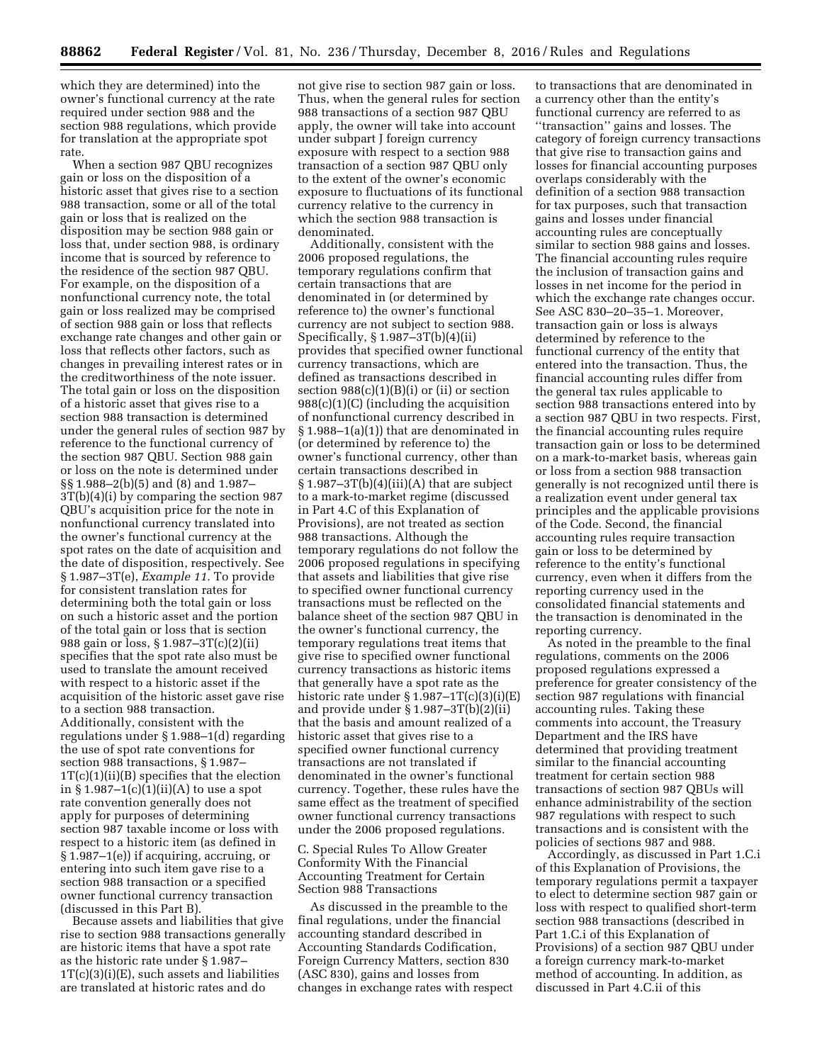which they are determined) into the owner's functional currency at the rate required under section 988 and the section 988 regulations, which provide for translation at the appropriate spot rate.

When a section 987 QBU recognizes gain or loss on the disposition of a historic asset that gives rise to a section 988 transaction, some or all of the total gain or loss that is realized on the disposition may be section 988 gain or loss that, under section 988, is ordinary income that is sourced by reference to the residence of the section 987 QBU. For example, on the disposition of a nonfunctional currency note, the total gain or loss realized may be comprised of section 988 gain or loss that reflects exchange rate changes and other gain or loss that reflects other factors, such as changes in prevailing interest rates or in the creditworthiness of the note issuer. The total gain or loss on the disposition of a historic asset that gives rise to a section 988 transaction is determined under the general rules of section 987 by reference to the functional currency of the section 987 QBU. Section 988 gain or loss on the note is determined under §§ 1.988–2(b)(5) and (8) and 1.987– 3T(b)(4)(i) by comparing the section 987 QBU's acquisition price for the note in nonfunctional currency translated into the owner's functional currency at the spot rates on the date of acquisition and the date of disposition, respectively. See § 1.987–3T(e), *Example 11.* To provide for consistent translation rates for determining both the total gain or loss on such a historic asset and the portion of the total gain or loss that is section 988 gain or loss, § 1.987–3T(c)(2)(ii) specifies that the spot rate also must be used to translate the amount received with respect to a historic asset if the acquisition of the historic asset gave rise to a section 988 transaction. Additionally, consistent with the regulations under § 1.988–1(d) regarding the use of spot rate conventions for section 988 transactions, § 1.987–  $1T(c)(1)(ii)(B)$  specifies that the election in  $\S 1.987 - 1(c)(1)(ii)(A)$  to use a spot rate convention generally does not apply for purposes of determining section 987 taxable income or loss with respect to a historic item (as defined in § 1.987–1(e)) if acquiring, accruing, or entering into such item gave rise to a section 988 transaction or a specified owner functional currency transaction (discussed in this Part B).

Because assets and liabilities that give rise to section 988 transactions generally are historic items that have a spot rate as the historic rate under § 1.987–  $1T(c)(3)(i)(E)$ , such assets and liabilities are translated at historic rates and do

not give rise to section 987 gain or loss. Thus, when the general rules for section 988 transactions of a section 987 QBU apply, the owner will take into account under subpart J foreign currency exposure with respect to a section 988 transaction of a section 987 QBU only to the extent of the owner's economic exposure to fluctuations of its functional currency relative to the currency in which the section 988 transaction is denominated.

Additionally, consistent with the 2006 proposed regulations, the temporary regulations confirm that certain transactions that are denominated in (or determined by reference to) the owner's functional currency are not subject to section 988. Specifically, § 1.987–3T(b)(4)(ii) provides that specified owner functional currency transactions, which are defined as transactions described in section  $988(c)(1)(B)(i)$  or (ii) or section 988(c)(1)(C) (including the acquisition of nonfunctional currency described in § 1.988–1(a)(1)) that are denominated in (or determined by reference to) the owner's functional currency, other than certain transactions described in  $§ 1.987-3T(b)(4)(iii)(A)$  that are subject to a mark-to-market regime (discussed in Part 4.C of this Explanation of Provisions), are not treated as section 988 transactions. Although the temporary regulations do not follow the 2006 proposed regulations in specifying that assets and liabilities that give rise to specified owner functional currency transactions must be reflected on the balance sheet of the section 987 QBU in the owner's functional currency, the temporary regulations treat items that give rise to specified owner functional currency transactions as historic items that generally have a spot rate as the historic rate under  $\S 1.987 - 1T(c)(3)(i)(E)$ and provide under § 1.987–3T(b)(2)(ii) that the basis and amount realized of a historic asset that gives rise to a specified owner functional currency transactions are not translated if denominated in the owner's functional currency. Together, these rules have the same effect as the treatment of specified owner functional currency transactions under the 2006 proposed regulations.

C. Special Rules To Allow Greater Conformity With the Financial Accounting Treatment for Certain Section 988 Transactions

As discussed in the preamble to the final regulations, under the financial accounting standard described in Accounting Standards Codification, Foreign Currency Matters, section 830 (ASC 830), gains and losses from changes in exchange rates with respect

to transactions that are denominated in a currency other than the entity's functional currency are referred to as ''transaction'' gains and losses. The category of foreign currency transactions that give rise to transaction gains and losses for financial accounting purposes overlaps considerably with the definition of a section 988 transaction for tax purposes, such that transaction gains and losses under financial accounting rules are conceptually similar to section 988 gains and losses. The financial accounting rules require the inclusion of transaction gains and losses in net income for the period in which the exchange rate changes occur. See ASC 830–20–35–1. Moreover, transaction gain or loss is always determined by reference to the functional currency of the entity that entered into the transaction. Thus, the financial accounting rules differ from the general tax rules applicable to section 988 transactions entered into by a section 987 QBU in two respects. First, the financial accounting rules require transaction gain or loss to be determined on a mark-to-market basis, whereas gain or loss from a section 988 transaction generally is not recognized until there is a realization event under general tax principles and the applicable provisions of the Code. Second, the financial accounting rules require transaction gain or loss to be determined by reference to the entity's functional currency, even when it differs from the reporting currency used in the consolidated financial statements and the transaction is denominated in the reporting currency.

As noted in the preamble to the final regulations, comments on the 2006 proposed regulations expressed a preference for greater consistency of the section 987 regulations with financial accounting rules. Taking these comments into account, the Treasury Department and the IRS have determined that providing treatment similar to the financial accounting treatment for certain section 988 transactions of section 987 QBUs will enhance administrability of the section 987 regulations with respect to such transactions and is consistent with the policies of sections 987 and 988.

Accordingly, as discussed in Part 1.C.i of this Explanation of Provisions, the temporary regulations permit a taxpayer to elect to determine section 987 gain or loss with respect to qualified short-term section 988 transactions (described in Part 1.C.i of this Explanation of Provisions) of a section 987 QBU under a foreign currency mark-to-market method of accounting. In addition, as discussed in Part 4.C.ii of this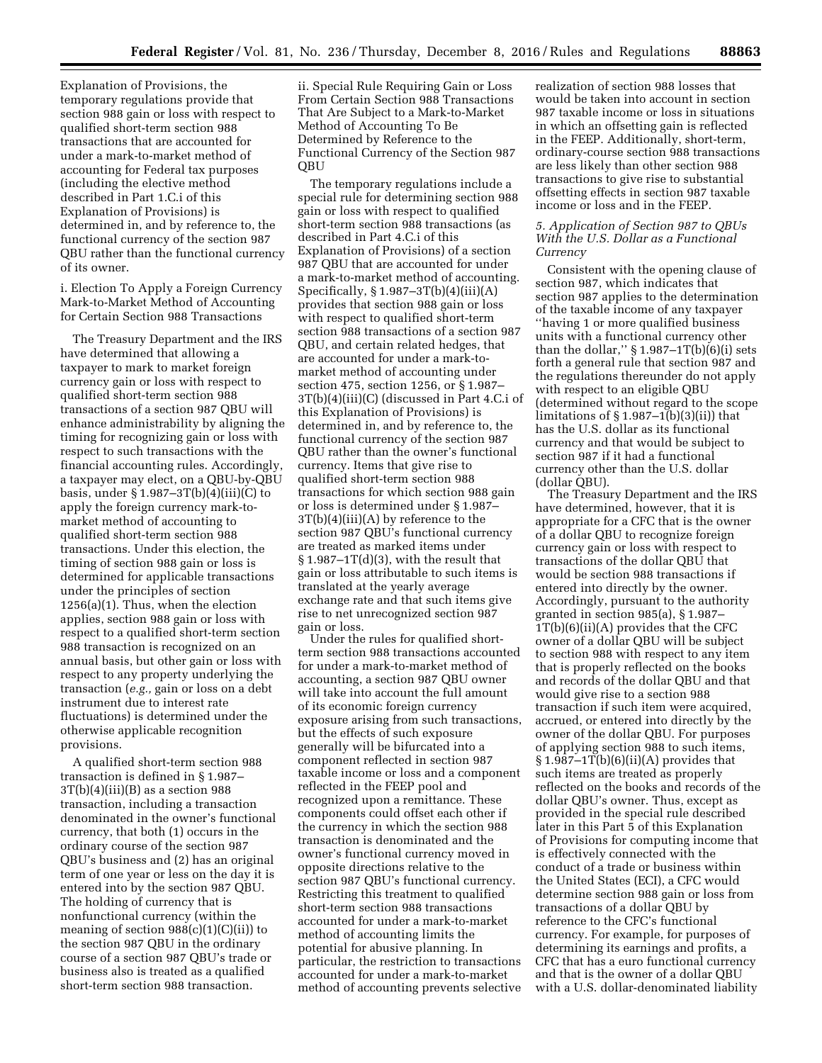Explanation of Provisions, the temporary regulations provide that section 988 gain or loss with respect to qualified short-term section 988 transactions that are accounted for under a mark-to-market method of accounting for Federal tax purposes (including the elective method described in Part 1.C.i of this Explanation of Provisions) is determined in, and by reference to, the functional currency of the section 987 QBU rather than the functional currency of its owner.

i. Election To Apply a Foreign Currency Mark-to-Market Method of Accounting for Certain Section 988 Transactions

The Treasury Department and the IRS have determined that allowing a taxpayer to mark to market foreign currency gain or loss with respect to qualified short-term section 988 transactions of a section 987 QBU will enhance administrability by aligning the timing for recognizing gain or loss with respect to such transactions with the financial accounting rules. Accordingly, a taxpayer may elect, on a QBU-by-QBU basis, under  $\S 1.987 - 3T(b)(4)(iii)(C)$  to apply the foreign currency mark-tomarket method of accounting to qualified short-term section 988 transactions. Under this election, the timing of section 988 gain or loss is determined for applicable transactions under the principles of section 1256(a)(1). Thus, when the election applies, section 988 gain or loss with respect to a qualified short-term section 988 transaction is recognized on an annual basis, but other gain or loss with respect to any property underlying the transaction (*e.g.,* gain or loss on a debt instrument due to interest rate fluctuations) is determined under the otherwise applicable recognition provisions.

A qualified short-term section 988 transaction is defined in § 1.987–  $3T(b)(4)(iii)(B)$  as a section 988 transaction, including a transaction denominated in the owner's functional currency, that both (1) occurs in the ordinary course of the section 987 QBU's business and (2) has an original term of one year or less on the day it is entered into by the section 987 QBU. The holding of currency that is nonfunctional currency (within the meaning of section  $988(c)(1)(C(ii))$  to the section 987 QBU in the ordinary course of a section 987 QBU's trade or business also is treated as a qualified short-term section 988 transaction.

ii. Special Rule Requiring Gain or Loss From Certain Section 988 Transactions That Are Subject to a Mark-to-Market Method of Accounting To Be Determined by Reference to the Functional Currency of the Section 987 QBU

The temporary regulations include a special rule for determining section 988 gain or loss with respect to qualified short-term section 988 transactions (as described in Part 4.C.i of this Explanation of Provisions) of a section 987 QBU that are accounted for under a mark-to-market method of accounting. Specifically,  $§ 1.987-3T(b)(4)(iii)(A)$ provides that section 988 gain or loss with respect to qualified short-term section 988 transactions of a section 987 QBU, and certain related hedges, that are accounted for under a mark-tomarket method of accounting under section 475, section 1256, or § 1.987– 3T(b)(4)(iii)(C) (discussed in Part 4.C.i of this Explanation of Provisions) is determined in, and by reference to, the functional currency of the section 987 QBU rather than the owner's functional currency. Items that give rise to qualified short-term section 988 transactions for which section 988 gain or loss is determined under § 1.987– 3T(b)(4)(iii)(A) by reference to the section 987 QBU's functional currency are treated as marked items under  $§ 1.987-1T(d)(3)$ , with the result that gain or loss attributable to such items is translated at the yearly average exchange rate and that such items give rise to net unrecognized section 987 gain or loss.

Under the rules for qualified shortterm section 988 transactions accounted for under a mark-to-market method of accounting, a section 987 QBU owner will take into account the full amount of its economic foreign currency exposure arising from such transactions, but the effects of such exposure generally will be bifurcated into a component reflected in section 987 taxable income or loss and a component reflected in the FEEP pool and recognized upon a remittance. These components could offset each other if the currency in which the section 988 transaction is denominated and the owner's functional currency moved in opposite directions relative to the section 987 QBU's functional currency. Restricting this treatment to qualified short-term section 988 transactions accounted for under a mark-to-market method of accounting limits the potential for abusive planning. In particular, the restriction to transactions accounted for under a mark-to-market method of accounting prevents selective

realization of section 988 losses that would be taken into account in section 987 taxable income or loss in situations in which an offsetting gain is reflected in the FEEP. Additionally, short-term, ordinary-course section 988 transactions are less likely than other section 988 transactions to give rise to substantial offsetting effects in section 987 taxable income or loss and in the FEEP.

## *5. Application of Section 987 to QBUs With the U.S. Dollar as a Functional Currency*

Consistent with the opening clause of section 987, which indicates that section 987 applies to the determination of the taxable income of any taxpayer ''having 1 or more qualified business units with a functional currency other than the dollar,"  $\S 1.987 - 1T(b)(6)(i)$  sets forth a general rule that section 987 and the regulations thereunder do not apply with respect to an eligible QBU (determined without regard to the scope limitations of  $\S 1.987 - 1(b)(3)(ii)$  that has the U.S. dollar as its functional currency and that would be subject to section 987 if it had a functional currency other than the U.S. dollar (dollar QBU).

The Treasury Department and the IRS have determined, however, that it is appropriate for a CFC that is the owner of a dollar QBU to recognize foreign currency gain or loss with respect to transactions of the dollar QBU that would be section 988 transactions if entered into directly by the owner. Accordingly, pursuant to the authority granted in section 985(a), § 1.987– 1T(b)(6)(ii)(A) provides that the CFC owner of a dollar QBU will be subject to section 988 with respect to any item that is properly reflected on the books and records of the dollar QBU and that would give rise to a section 988 transaction if such item were acquired, accrued, or entered into directly by the owner of the dollar QBU. For purposes of applying section 988 to such items,  $§ 1.987-1T(b)(6)(ii)(A)$  provides that such items are treated as properly reflected on the books and records of the dollar QBU's owner. Thus, except as provided in the special rule described later in this Part 5 of this Explanation of Provisions for computing income that is effectively connected with the conduct of a trade or business within the United States (ECI), a CFC would determine section 988 gain or loss from transactions of a dollar QBU by reference to the CFC's functional currency. For example, for purposes of determining its earnings and profits, a CFC that has a euro functional currency and that is the owner of a dollar QBU with a U.S. dollar-denominated liability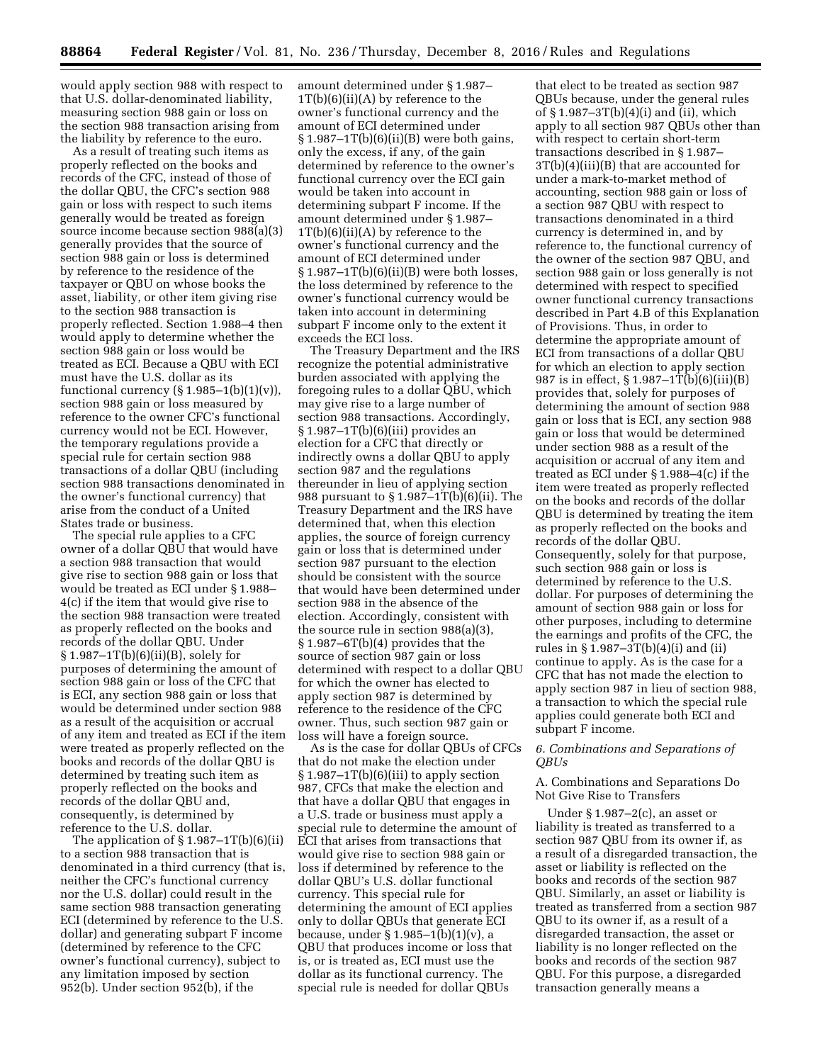would apply section 988 with respect to that U.S. dollar-denominated liability, measuring section 988 gain or loss on the section 988 transaction arising from the liability by reference to the euro.

As a result of treating such items as properly reflected on the books and records of the CFC, instead of those of the dollar QBU, the CFC's section 988 gain or loss with respect to such items generally would be treated as foreign source income because section 988(a)(3) generally provides that the source of section 988 gain or loss is determined by reference to the residence of the taxpayer or QBU on whose books the asset, liability, or other item giving rise to the section 988 transaction is properly reflected. Section 1.988–4 then would apply to determine whether the section 988 gain or loss would be treated as ECI. Because a QBU with ECI must have the U.S. dollar as its functional currency  $(\S 1.985-1(b)(1)(v))$ , section 988 gain or loss measured by reference to the owner CFC's functional currency would not be ECI. However, the temporary regulations provide a special rule for certain section 988 transactions of a dollar QBU (including section 988 transactions denominated in the owner's functional currency) that arise from the conduct of a United States trade or business.

The special rule applies to a CFC owner of a dollar QBU that would have a section 988 transaction that would give rise to section 988 gain or loss that would be treated as ECI under § 1.988– 4(c) if the item that would give rise to the section 988 transaction were treated as properly reflected on the books and records of the dollar QBU. Under  $§ 1.987-1T(b)(6)(ii)(B)$ , solely for purposes of determining the amount of section 988 gain or loss of the CFC that is ECI, any section 988 gain or loss that would be determined under section 988 as a result of the acquisition or accrual of any item and treated as ECI if the item were treated as properly reflected on the books and records of the dollar QBU is determined by treating such item as properly reflected on the books and records of the dollar QBU and, consequently, is determined by reference to the U.S. dollar.

The application of § 1.987–1T(b)(6)(ii) to a section 988 transaction that is denominated in a third currency (that is, neither the CFC's functional currency nor the U.S. dollar) could result in the same section 988 transaction generating ECI (determined by reference to the U.S. dollar) and generating subpart F income (determined by reference to the CFC owner's functional currency), subject to any limitation imposed by section 952(b). Under section 952(b), if the

amount determined under § 1.987–  $1T(b)(6)(ii)(A)$  by reference to the owner's functional currency and the amount of ECI determined under  $§ 1.987-1T(b)(6)(ii)(B)$  were both gains, only the excess, if any, of the gain determined by reference to the owner's functional currency over the ECI gain would be taken into account in determining subpart F income. If the amount determined under § 1.987– 1T(b)(6)(ii)(A) by reference to the owner's functional currency and the amount of ECI determined under  $§ 1.987-1T(b)(6)(ii)(B)$  were both losses, the loss determined by reference to the owner's functional currency would be taken into account in determining subpart F income only to the extent it exceeds the ECI loss.

The Treasury Department and the IRS recognize the potential administrative burden associated with applying the foregoing rules to a dollar QBU, which may give rise to a large number of section 988 transactions. Accordingly,  $\S 1.987 - 1T(b)(6)(iii)$  provides an election for a CFC that directly or indirectly owns a dollar QBU to apply section 987 and the regulations thereunder in lieu of applying section 988 pursuant to § 1.987–1T(b)(6)(ii). The Treasury Department and the IRS have determined that, when this election applies, the source of foreign currency gain or loss that is determined under section 987 pursuant to the election should be consistent with the source that would have been determined under section 988 in the absence of the election. Accordingly, consistent with the source rule in section 988(a)(3), § 1.987–6T(b)(4) provides that the source of section 987 gain or loss determined with respect to a dollar QBU for which the owner has elected to apply section 987 is determined by reference to the residence of the CFC owner. Thus, such section 987 gain or loss will have a foreign source.

As is the case for dollar QBUs of CFCs that do not make the election under  $§ 1.987-1T(b)(6)(iii)$  to apply section 987, CFCs that make the election and that have a dollar QBU that engages in a U.S. trade or business must apply a special rule to determine the amount of ECI that arises from transactions that would give rise to section 988 gain or loss if determined by reference to the dollar QBU's U.S. dollar functional currency. This special rule for determining the amount of ECI applies only to dollar QBUs that generate ECI because, under § 1.985–1(b)(1)(v), a QBU that produces income or loss that is, or is treated as, ECI must use the dollar as its functional currency. The special rule is needed for dollar QBUs

that elect to be treated as section 987 QBUs because, under the general rules of § 1.987–3T(b)(4)(i) and (ii), which apply to all section 987 QBUs other than with respect to certain short-term transactions described in § 1.987– 3T(b)(4)(iii)(B) that are accounted for under a mark-to-market method of accounting, section 988 gain or loss of a section 987 QBU with respect to transactions denominated in a third currency is determined in, and by reference to, the functional currency of the owner of the section 987 QBU, and section 988 gain or loss generally is not determined with respect to specified owner functional currency transactions described in Part 4.B of this Explanation of Provisions. Thus, in order to determine the appropriate amount of ECI from transactions of a dollar QBU for which an election to apply section 987 is in effect, § 1.987–1T(b)(6)(iii)(B) provides that, solely for purposes of determining the amount of section 988 gain or loss that is ECI, any section 988 gain or loss that would be determined under section 988 as a result of the acquisition or accrual of any item and treated as ECI under § 1.988–4(c) if the item were treated as properly reflected on the books and records of the dollar QBU is determined by treating the item as properly reflected on the books and records of the dollar QBU. Consequently, solely for that purpose, such section 988 gain or loss is determined by reference to the U.S. dollar. For purposes of determining the amount of section 988 gain or loss for other purposes, including to determine the earnings and profits of the CFC, the rules in  $\S$  1.987–3T(b)(4)(i) and (ii) continue to apply. As is the case for a CFC that has not made the election to apply section 987 in lieu of section 988, a transaction to which the special rule applies could generate both ECI and subpart F income.

### *6. Combinations and Separations of QBUs*

## A. Combinations and Separations Do Not Give Rise to Transfers

Under § 1.987–2(c), an asset or liability is treated as transferred to a section 987 QBU from its owner if, as a result of a disregarded transaction, the asset or liability is reflected on the books and records of the section 987 QBU. Similarly, an asset or liability is treated as transferred from a section 987 QBU to its owner if, as a result of a disregarded transaction, the asset or liability is no longer reflected on the books and records of the section 987 QBU. For this purpose, a disregarded transaction generally means a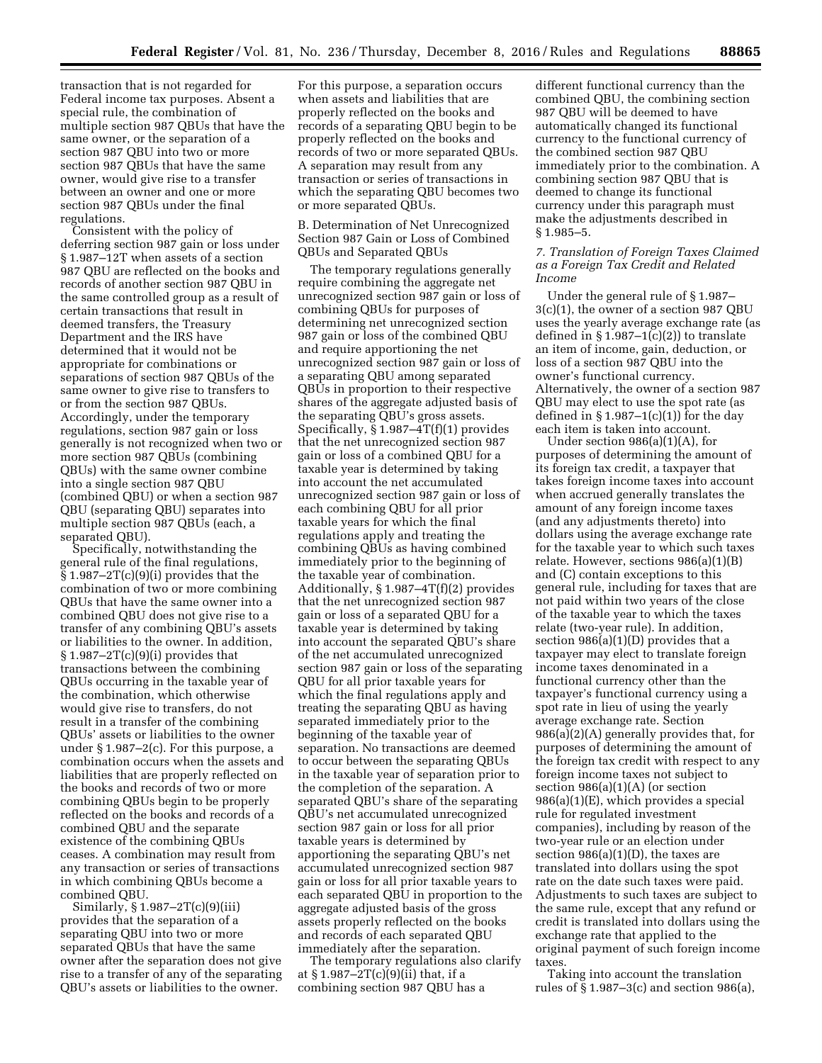transaction that is not regarded for Federal income tax purposes. Absent a special rule, the combination of multiple section 987 QBUs that have the same owner, or the separation of a section 987 QBU into two or more section 987 QBUs that have the same owner, would give rise to a transfer between an owner and one or more section 987 QBUs under the final regulations.

Consistent with the policy of deferring section 987 gain or loss under § 1.987–12T when assets of a section 987 QBU are reflected on the books and records of another section 987 QBU in the same controlled group as a result of certain transactions that result in deemed transfers, the Treasury Department and the IRS have determined that it would not be appropriate for combinations or separations of section 987 QBUs of the same owner to give rise to transfers to or from the section 987 QBUs. Accordingly, under the temporary regulations, section 987 gain or loss generally is not recognized when two or more section 987 QBUs (combining QBUs) with the same owner combine into a single section 987 QBU (combined QBU) or when a section 987 QBU (separating QBU) separates into multiple section 987 QBUs (each, a separated QBU).

Specifically, notwithstanding the general rule of the final regulations,  $\S 1.987 - 2T(c)(9)(i)$  provides that the combination of two or more combining QBUs that have the same owner into a combined QBU does not give rise to a transfer of any combining QBU's assets or liabilities to the owner. In addition,  $§ 1.987-2T(c)(9)(i)$  provides that transactions between the combining QBUs occurring in the taxable year of the combination, which otherwise would give rise to transfers, do not result in a transfer of the combining QBUs' assets or liabilities to the owner under § 1.987–2(c). For this purpose, a combination occurs when the assets and liabilities that are properly reflected on the books and records of two or more combining QBUs begin to be properly reflected on the books and records of a combined QBU and the separate existence of the combining QBUs ceases. A combination may result from any transaction or series of transactions in which combining QBUs become a combined QBU.

Similarly, § 1.987–2T(c)(9)(iii) provides that the separation of a separating QBU into two or more separated QBUs that have the same owner after the separation does not give rise to a transfer of any of the separating QBU's assets or liabilities to the owner.

For this purpose, a separation occurs when assets and liabilities that are properly reflected on the books and records of a separating QBU begin to be properly reflected on the books and records of two or more separated QBUs. A separation may result from any transaction or series of transactions in which the separating QBU becomes two or more separated QBUs.

B. Determination of Net Unrecognized Section 987 Gain or Loss of Combined QBUs and Separated QBUs

The temporary regulations generally require combining the aggregate net unrecognized section 987 gain or loss of combining QBUs for purposes of determining net unrecognized section 987 gain or loss of the combined QBU and require apportioning the net unrecognized section 987 gain or loss of a separating QBU among separated QBUs in proportion to their respective shares of the aggregate adjusted basis of the separating QBU's gross assets. Specifically, § 1.987–4T(f)(1) provides that the net unrecognized section 987 gain or loss of a combined QBU for a taxable year is determined by taking into account the net accumulated unrecognized section 987 gain or loss of each combining QBU for all prior taxable years for which the final regulations apply and treating the combining QBUs as having combined immediately prior to the beginning of the taxable year of combination. Additionally, § 1.987–4T(f)(2) provides that the net unrecognized section 987 gain or loss of a separated QBU for a taxable year is determined by taking into account the separated QBU's share of the net accumulated unrecognized section 987 gain or loss of the separating QBU for all prior taxable years for which the final regulations apply and treating the separating QBU as having separated immediately prior to the beginning of the taxable year of separation. No transactions are deemed to occur between the separating QBUs in the taxable year of separation prior to the completion of the separation. A separated QBU's share of the separating QBU's net accumulated unrecognized section 987 gain or loss for all prior taxable years is determined by apportioning the separating QBU's net accumulated unrecognized section 987 gain or loss for all prior taxable years to each separated QBU in proportion to the aggregate adjusted basis of the gross assets properly reflected on the books and records of each separated QBU immediately after the separation.

The temporary regulations also clarify at  $\S 1.987 - 2T(c)(9)(ii)$  that, if a combining section 987 QBU has a

different functional currency than the combined QBU, the combining section 987 QBU will be deemed to have automatically changed its functional currency to the functional currency of the combined section 987 QBU immediately prior to the combination. A combining section 987 QBU that is deemed to change its functional currency under this paragraph must make the adjustments described in § 1.985–5.

## *7. Translation of Foreign Taxes Claimed as a Foreign Tax Credit and Related Income*

Under the general rule of § 1.987– 3(c)(1), the owner of a section 987 QBU uses the yearly average exchange rate (as defined in  $\S 1.987-1(c)(2)$  to translate an item of income, gain, deduction, or loss of a section 987 QBU into the owner's functional currency. Alternatively, the owner of a section 987 QBU may elect to use the spot rate (as defined in  $\S 1.987-1(c)(1)$  for the day each item is taken into account.

Under section 986(a)(1)(A), for purposes of determining the amount of its foreign tax credit, a taxpayer that takes foreign income taxes into account when accrued generally translates the amount of any foreign income taxes (and any adjustments thereto) into dollars using the average exchange rate for the taxable year to which such taxes relate. However, sections 986(a)(1)(B) and (C) contain exceptions to this general rule, including for taxes that are not paid within two years of the close of the taxable year to which the taxes relate (two-year rule). In addition, section  $986(a)(1)(D)$  provides that a taxpayer may elect to translate foreign income taxes denominated in a functional currency other than the taxpayer's functional currency using a spot rate in lieu of using the yearly average exchange rate. Section 986(a)(2)(A) generally provides that, for purposes of determining the amount of the foreign tax credit with respect to any foreign income taxes not subject to section 986(a)(1)(A) (or section 986(a)(1)(E), which provides a special rule for regulated investment companies), including by reason of the two-year rule or an election under section  $986(a)(1)(D)$ , the taxes are translated into dollars using the spot rate on the date such taxes were paid. Adjustments to such taxes are subject to the same rule, except that any refund or credit is translated into dollars using the exchange rate that applied to the original payment of such foreign income taxes.

Taking into account the translation rules of § 1.987–3(c) and section 986(a),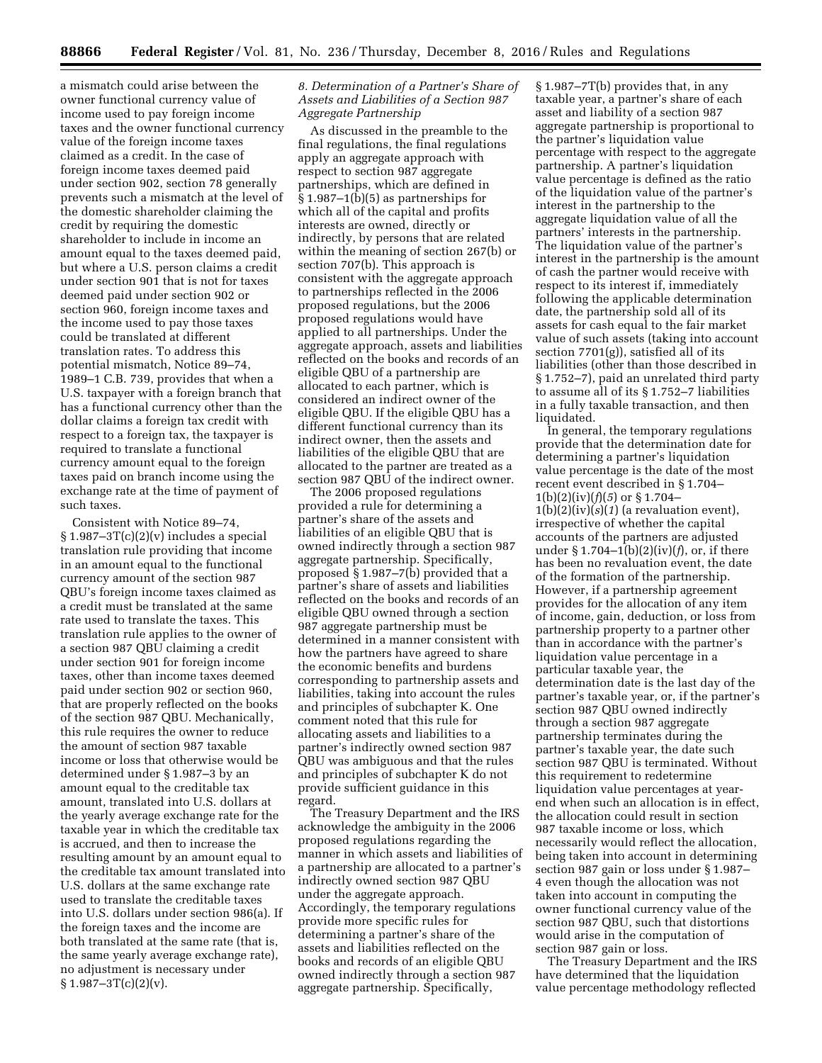a mismatch could arise between the owner functional currency value of income used to pay foreign income taxes and the owner functional currency value of the foreign income taxes claimed as a credit. In the case of foreign income taxes deemed paid under section 902, section 78 generally prevents such a mismatch at the level of the domestic shareholder claiming the credit by requiring the domestic shareholder to include in income an amount equal to the taxes deemed paid, but where a U.S. person claims a credit under section 901 that is not for taxes deemed paid under section 902 or section 960, foreign income taxes and the income used to pay those taxes could be translated at different translation rates. To address this potential mismatch, Notice 89–74, 1989–1 C.B. 739, provides that when a U.S. taxpayer with a foreign branch that has a functional currency other than the dollar claims a foreign tax credit with respect to a foreign tax, the taxpayer is required to translate a functional currency amount equal to the foreign taxes paid on branch income using the exchange rate at the time of payment of such taxes.

Consistent with Notice 89–74,  $§ 1.987-3T(c)(2)(v)$  includes a special translation rule providing that income in an amount equal to the functional currency amount of the section 987 QBU's foreign income taxes claimed as a credit must be translated at the same rate used to translate the taxes. This translation rule applies to the owner of a section 987 QBU claiming a credit under section 901 for foreign income taxes, other than income taxes deemed paid under section 902 or section 960, that are properly reflected on the books of the section 987 QBU. Mechanically, this rule requires the owner to reduce the amount of section 987 taxable income or loss that otherwise would be determined under § 1.987–3 by an amount equal to the creditable tax amount, translated into U.S. dollars at the yearly average exchange rate for the taxable year in which the creditable tax is accrued, and then to increase the resulting amount by an amount equal to the creditable tax amount translated into U.S. dollars at the same exchange rate used to translate the creditable taxes into U.S. dollars under section 986(a). If the foreign taxes and the income are both translated at the same rate (that is, the same yearly average exchange rate), no adjustment is necessary under  $\S 1.987 - 3T(c)(2)(v)$ .

## *8. Determination of a Partner's Share of Assets and Liabilities of a Section 987 Aggregate Partnership*

As discussed in the preamble to the final regulations, the final regulations apply an aggregate approach with respect to section 987 aggregate partnerships, which are defined in § 1.987–1(b)(5) as partnerships for which all of the capital and profits interests are owned, directly or indirectly, by persons that are related within the meaning of section 267(b) or section 707(b). This approach is consistent with the aggregate approach to partnerships reflected in the 2006 proposed regulations, but the 2006 proposed regulations would have applied to all partnerships. Under the aggregate approach, assets and liabilities reflected on the books and records of an eligible QBU of a partnership are allocated to each partner, which is considered an indirect owner of the eligible QBU. If the eligible QBU has a different functional currency than its indirect owner, then the assets and liabilities of the eligible QBU that are allocated to the partner are treated as a section 987 QBU of the indirect owner.

The 2006 proposed regulations provided a rule for determining a partner's share of the assets and liabilities of an eligible QBU that is owned indirectly through a section 987 aggregate partnership. Specifically, proposed § 1.987–7(b) provided that a partner's share of assets and liabilities reflected on the books and records of an eligible QBU owned through a section 987 aggregate partnership must be determined in a manner consistent with how the partners have agreed to share the economic benefits and burdens corresponding to partnership assets and liabilities, taking into account the rules and principles of subchapter K. One comment noted that this rule for allocating assets and liabilities to a partner's indirectly owned section 987 QBU was ambiguous and that the rules and principles of subchapter K do not provide sufficient guidance in this regard.

The Treasury Department and the IRS acknowledge the ambiguity in the 2006 proposed regulations regarding the manner in which assets and liabilities of a partnership are allocated to a partner's indirectly owned section 987 QBU under the aggregate approach. Accordingly, the temporary regulations provide more specific rules for determining a partner's share of the assets and liabilities reflected on the books and records of an eligible QBU owned indirectly through a section 987 aggregate partnership. Specifically,

§ 1.987–7T(b) provides that, in any taxable year, a partner's share of each asset and liability of a section 987 aggregate partnership is proportional to the partner's liquidation value percentage with respect to the aggregate partnership. A partner's liquidation value percentage is defined as the ratio of the liquidation value of the partner's interest in the partnership to the aggregate liquidation value of all the partners' interests in the partnership. The liquidation value of the partner's interest in the partnership is the amount of cash the partner would receive with respect to its interest if, immediately following the applicable determination date, the partnership sold all of its assets for cash equal to the fair market value of such assets (taking into account section 7701(g)), satisfied all of its liabilities (other than those described in § 1.752–7), paid an unrelated third party to assume all of its § 1.752–7 liabilities in a fully taxable transaction, and then liquidated.

In general, the temporary regulations provide that the determination date for determining a partner's liquidation value percentage is the date of the most recent event described in § 1.704–  $1(b)(2)(iv)(f)(5)$  or § 1.704–  $1(b)(2)(iv)(s)(1)$  (a revaluation event), irrespective of whether the capital accounts of the partners are adjusted under § 1.704–1(b)(2)(iv)(*f*), or, if there has been no revaluation event, the date of the formation of the partnership. However, if a partnership agreement provides for the allocation of any item of income, gain, deduction, or loss from partnership property to a partner other than in accordance with the partner's liquidation value percentage in a particular taxable year, the determination date is the last day of the partner's taxable year, or, if the partner's section 987 QBU owned indirectly through a section 987 aggregate partnership terminates during the partner's taxable year, the date such section 987 QBU is terminated. Without this requirement to redetermine liquidation value percentages at yearend when such an allocation is in effect, the allocation could result in section 987 taxable income or loss, which necessarily would reflect the allocation, being taken into account in determining section 987 gain or loss under § 1.987– 4 even though the allocation was not taken into account in computing the owner functional currency value of the section 987 QBU, such that distortions would arise in the computation of section 987 gain or loss.

The Treasury Department and the IRS have determined that the liquidation value percentage methodology reflected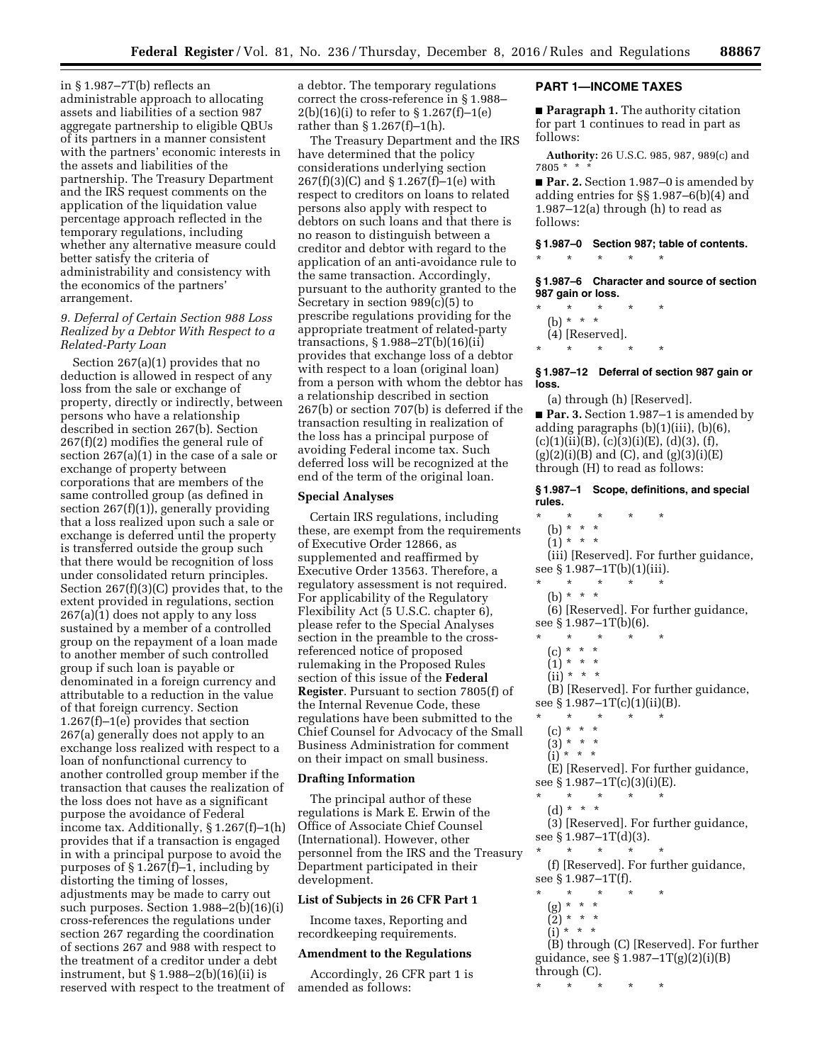in § 1.987–7T(b) reflects an administrable approach to allocating assets and liabilities of a section 987 aggregate partnership to eligible QBUs of its partners in a manner consistent with the partners' economic interests in the assets and liabilities of the partnership. The Treasury Department and the IRS request comments on the application of the liquidation value percentage approach reflected in the temporary regulations, including whether any alternative measure could better satisfy the criteria of administrability and consistency with the economics of the partners' arrangement.

## *9. Deferral of Certain Section 988 Loss Realized by a Debtor With Respect to a Related-Party Loan*

Section 267(a)(1) provides that no deduction is allowed in respect of any loss from the sale or exchange of property, directly or indirectly, between persons who have a relationship described in section 267(b). Section 267(f)(2) modifies the general rule of section 267(a)(1) in the case of a sale or exchange of property between corporations that are members of the same controlled group (as defined in section 267(f)(1)), generally providing that a loss realized upon such a sale or exchange is deferred until the property is transferred outside the group such that there would be recognition of loss under consolidated return principles. Section 267(f)(3)(C) provides that, to the extent provided in regulations, section 267(a)(1) does not apply to any loss sustained by a member of a controlled group on the repayment of a loan made to another member of such controlled group if such loan is payable or denominated in a foreign currency and attributable to a reduction in the value of that foreign currency. Section 1.267(f)–1(e) provides that section 267(a) generally does not apply to an exchange loss realized with respect to a loan of nonfunctional currency to another controlled group member if the transaction that causes the realization of the loss does not have as a significant purpose the avoidance of Federal income tax. Additionally, § 1.267(f)–1(h) provides that if a transaction is engaged in with a principal purpose to avoid the purposes of § 1.267(f)–1, including by distorting the timing of losses, adjustments may be made to carry out such purposes. Section 1.988–2(b)(16)(i) cross-references the regulations under section 267 regarding the coordination of sections 267 and 988 with respect to the treatment of a creditor under a debt instrument, but § 1.988–2(b)(16)(ii) is reserved with respect to the treatment of a debtor. The temporary regulations correct the cross-reference in § 1.988–  $2(b)(16)(i)$  to refer to § 1.267(f)-1(e) rather than  $\S 1.267(f)-1(h)$ .

The Treasury Department and the IRS have determined that the policy considerations underlying section 267(f)(3)(C) and § 1.267(f)–1(e) with respect to creditors on loans to related persons also apply with respect to debtors on such loans and that there is no reason to distinguish between a creditor and debtor with regard to the application of an anti-avoidance rule to the same transaction. Accordingly, pursuant to the authority granted to the Secretary in section 989(c)(5) to prescribe regulations providing for the appropriate treatment of related-party transactions, § 1.988–2T(b)(16)(ii) provides that exchange loss of a debtor with respect to a loan (original loan) from a person with whom the debtor has a relationship described in section 267(b) or section 707(b) is deferred if the transaction resulting in realization of the loss has a principal purpose of avoiding Federal income tax. Such deferred loss will be recognized at the end of the term of the original loan.

#### **Special Analyses**

Certain IRS regulations, including these, are exempt from the requirements of Executive Order 12866, as supplemented and reaffirmed by Executive Order 13563. Therefore, a regulatory assessment is not required. For applicability of the Regulatory Flexibility Act (5 U.S.C. chapter 6), please refer to the Special Analyses section in the preamble to the crossreferenced notice of proposed rulemaking in the Proposed Rules section of this issue of the **Federal Register**. Pursuant to section 7805(f) of the Internal Revenue Code, these regulations have been submitted to the Chief Counsel for Advocacy of the Small Business Administration for comment on their impact on small business.

#### **Drafting Information**

The principal author of these regulations is Mark E. Erwin of the Office of Associate Chief Counsel (International). However, other personnel from the IRS and the Treasury Department participated in their development.

#### **List of Subjects in 26 CFR Part 1**

Income taxes, Reporting and recordkeeping requirements.

#### **Amendment to the Regulations**

Accordingly, 26 CFR part 1 is amended as follows:

#### **PART 1—INCOME TAXES**

■ **Paragraph 1.** The authority citation for part 1 continues to read in part as follows:

**Authority:** 26 U.S.C. 985, 987, 989(c) and 7805 \* \* \*

■ **Par. 2.** Section 1.987–0 is amended by adding entries for §§ 1.987–6(b)(4) and  $1.987-12(a)$  through (h) to read as follows:

**§ 1.987–0 Section 987; table of contents.**  \* \* \* \* \*

**§ 1.987–6 Character and source of section 987 gain or loss.** 

\* \* \* \* \* (b) \* \* \* (4) [Reserved]. \* \* \* \* \*

**§ 1.987–12 Deferral of section 987 gain or loss.** 

(a) through (h) [Reserved]. ■ **Par. 3.** Section 1.987–1 is amended by adding paragraphs (b)(1)(iii), (b)(6),  $(c)(1)(ii)(B), (c)(3)(i)(E), (d)(3), (f),$  $(g)(2)(i)(B)$  and  $(C)$ , and  $(g)(3)(i)(E)$ through (H) to read as follows:

**§ 1.987–1 Scope, definitions, and special rules.** 

- \* \* \* \* \*
- (b) \* \* \*  $\binom{1}{1}$  \* \* \*
	-

(iii) [Reserved]. For further guidance, see § 1.987–1T(b)(1)(iii). \* \* \* \* \*

(b) \* \* \*

(6) [Reserved]. For further guidance, see § 1.987–1T(b)(6).

- $\star$   $\star$
- $(c) * * * *$
- $(1) * * * *$
- $\binom{1}{11}$  \* \* \*

(B) [Reserved]. For further guidance, see § 1.987-1T(c)(1)(ii)(B).

- \* \* \* \* \*
- (c) \* \* \*
- (3) \* \* \* (i) \* \* \*

(E) [Reserved]. For further guidance, see § 1.987–1T(c)(3)(i)(E).

- \* \* \* \* \*
- (d) \* \* \*

(3) [Reserved]. For further guidance, see § 1.987–1T(d)(3).

\* \* \* \* \* (f) [Reserved]. For further guidance, see § 1.987–1T(f).

- 
- \* \* \* \* \* (g) \* \* \*
	- (2) \* \* \*
- $(i)$  \* \* \*

(B) through (C) [Reserved]. For further guidance, see § 1.987–1T(g)(2)(i)(B) through (C).

\* \* \* \* \*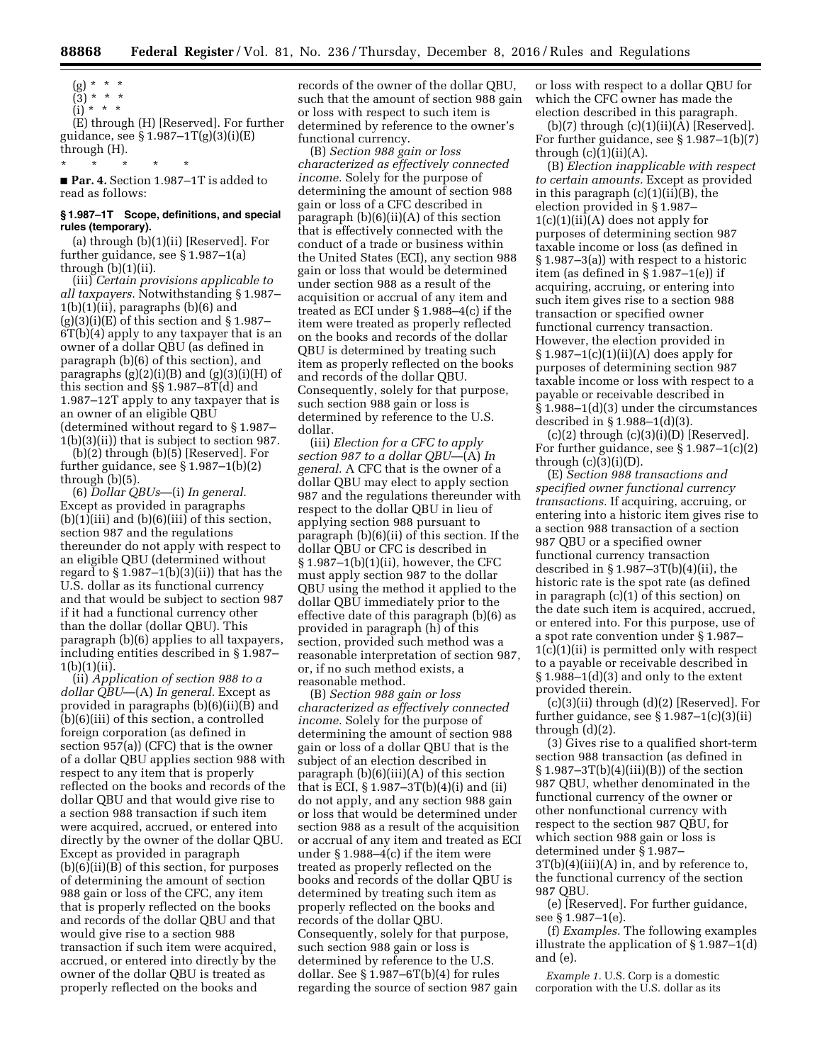- $(g) * * * *$
- (3) \* \* \*

(i) \* \* \* (E) through (H) [Reserved]. For further guidance, see § 1.987–1T(g)(3)(i)(E) through (H).

■ **Par. 4.** Section 1.987–1T is added to read as follows:

\* \* \* \* \*

## **§ 1.987–1T Scope, definitions, and special rules (temporary).**

(a) through (b)(1)(ii) [Reserved]. For further guidance, see § 1.987–1(a) through  $(b)(1)(ii)$ .

(iii) *Certain provisions applicable to all taxpayers.* Notwithstanding § 1.987–  $1(b)(1)(ii)$ , paragraphs  $(b)(6)$  and  $(g)(3)(i)(E)$  of this section and § 1.987– 6T(b)(4) apply to any taxpayer that is an owner of a dollar QBU (as defined in paragraph (b)(6) of this section), and paragraphs  $(g)(2)(i)(B)$  and  $(g)(3)(i)(H)$  of this section and §§ 1.987–8T(d) and 1.987–12T apply to any taxpayer that is an owner of an eligible QBU (determined without regard to § 1.987– 1(b)(3)(ii)) that is subject to section 987.

(b)(2) through (b)(5) [Reserved]. For further guidance, see § 1.987–1(b)(2) through (b)(5).

(6) *Dollar QBUs*—(i) *In general.*  Except as provided in paragraphs  $(b)(1)(iii)$  and  $(b)(6)(iii)$  of this section, section 987 and the regulations thereunder do not apply with respect to an eligible QBU (determined without regard to  $\S 1.987-1(b)(3)(ii)$  that has the U.S. dollar as its functional currency and that would be subject to section 987 if it had a functional currency other than the dollar (dollar QBU). This paragraph (b)(6) applies to all taxpayers, including entities described in § 1.987– 1(b)(1)(ii).

(ii) *Application of section 988 to a dollar QBU*—(A) *In general.* Except as provided in paragraphs (b)(6)(ii)(B) and (b)(6)(iii) of this section, a controlled foreign corporation (as defined in section 957(a)) (CFC) that is the owner of a dollar QBU applies section 988 with respect to any item that is properly reflected on the books and records of the dollar QBU and that would give rise to a section 988 transaction if such item were acquired, accrued, or entered into directly by the owner of the dollar QBU. Except as provided in paragraph (b)(6)(ii)(B) of this section, for purposes of determining the amount of section 988 gain or loss of the CFC, any item that is properly reflected on the books and records of the dollar QBU and that would give rise to a section 988 transaction if such item were acquired, accrued, or entered into directly by the owner of the dollar QBU is treated as properly reflected on the books and

records of the owner of the dollar QBU, such that the amount of section 988 gain or loss with respect to such item is determined by reference to the owner's functional currency.

(B) *Section 988 gain or loss characterized as effectively connected income.* Solely for the purpose of determining the amount of section 988 gain or loss of a CFC described in paragraph  $(b)(6)(ii)(A)$  of this section that is effectively connected with the conduct of a trade or business within the United States (ECI), any section 988 gain or loss that would be determined under section 988 as a result of the acquisition or accrual of any item and treated as ECI under § 1.988–4(c) if the item were treated as properly reflected on the books and records of the dollar QBU is determined by treating such item as properly reflected on the books and records of the dollar QBU. Consequently, solely for that purpose, such section 988 gain or loss is determined by reference to the U.S. dollar.

(iii) *Election for a CFC to apply section 987 to a dollar QBU*—(A) *In general.* A CFC that is the owner of a dollar QBU may elect to apply section 987 and the regulations thereunder with respect to the dollar QBU in lieu of applying section 988 pursuant to paragraph (b)(6)(ii) of this section. If the dollar QBU or CFC is described in § 1.987–1(b)(1)(ii), however, the CFC must apply section 987 to the dollar QBU using the method it applied to the dollar QBU immediately prior to the effective date of this paragraph (b)(6) as provided in paragraph (h) of this section, provided such method was a reasonable interpretation of section 987, or, if no such method exists, a reasonable method.

(B) *Section 988 gain or loss characterized as effectively connected income.* Solely for the purpose of determining the amount of section 988 gain or loss of a dollar QBU that is the subject of an election described in paragraph  $(b)(6)(iii)(A)$  of this section that is ECI,  $\S 1.987 - 3T(b)(4)(i)$  and (ii) do not apply, and any section 988 gain or loss that would be determined under section 988 as a result of the acquisition or accrual of any item and treated as ECI under § 1.988–4(c) if the item were treated as properly reflected on the books and records of the dollar QBU is determined by treating such item as properly reflected on the books and records of the dollar QBU. Consequently, solely for that purpose, such section 988 gain or loss is determined by reference to the U.S. dollar. See  $\S 1.987 - 6T(b)(4)$  for rules regarding the source of section 987 gain

or loss with respect to a dollar QBU for which the CFC owner has made the election described in this paragraph.

 $(b)(7)$  through  $(c)(1)(ii)(A)$  [Reserved]. For further guidance, see § 1.987–1(b)(7) through  $(c)(1)(ii)(A)$ .

(B) *Election inapplicable with respect to certain amounts.* Except as provided in this paragraph (c)(1)(ii)(B), the election provided in § 1.987–  $1(c)(1)(ii)(A)$  does not apply for purposes of determining section 987 taxable income or loss (as defined in § 1.987–3(a)) with respect to a historic item (as defined in § 1.987–1(e)) if acquiring, accruing, or entering into such item gives rise to a section 988 transaction or specified owner functional currency transaction. However, the election provided in  $§ 1.987-1(c)(1)(ii)(A)$  does apply for purposes of determining section 987 taxable income or loss with respect to a payable or receivable described in § 1.988–1(d)(3) under the circumstances described in § 1.988–1(d)(3).

 $(c)(2)$  through  $(c)(3)(i)(D)$  [Reserved]. For further guidance, see § 1.987–1(c)(2) through  $(c)(3)(i)(D)$ .

(E) *Section 988 transactions and specified owner functional currency transactions.* If acquiring, accruing, or entering into a historic item gives rise to a section 988 transaction of a section 987 QBU or a specified owner functional currency transaction described in  $\S 1.987 - 3T(b)(4)(ii)$ , the historic rate is the spot rate (as defined in paragraph (c)(1) of this section) on the date such item is acquired, accrued, or entered into. For this purpose, use of a spot rate convention under § 1.987– 1(c)(1)(ii) is permitted only with respect to a payable or receivable described in  $§ 1.988-1(d)(3)$  and only to the extent provided therein.

(c)(3)(ii) through (d)(2) [Reserved]. For further guidance, see  $\S 1.987 - 1(c)(3)(ii)$ through (d)(2).

(3) Gives rise to a qualified short-term section 988 transaction (as defined in  $\S 1.987 - 3T(b)(4)(iii)(B)$  of the section 987 QBU, whether denominated in the functional currency of the owner or other nonfunctional currency with respect to the section 987 QBU, for which section 988 gain or loss is determined under § 1.987–  $3T(b)(4)(iii)(A)$  in, and by reference to, the functional currency of the section 987 QBU.

(e) [Reserved]. For further guidance, see § 1.987–1(e).

(f) *Examples.* The following examples illustrate the application of § 1.987–1(d) and (e).

*Example 1.* U.S. Corp is a domestic corporation with the U.S. dollar as its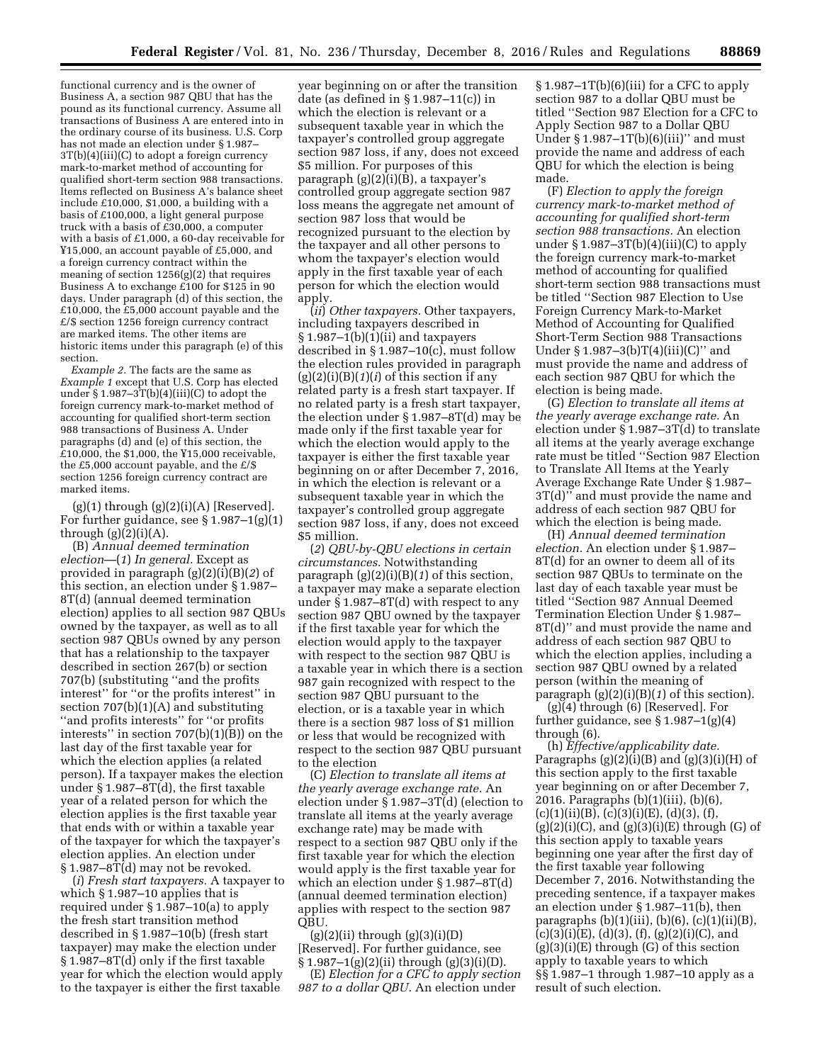functional currency and is the owner of Business A, a section 987 QBU that has the pound as its functional currency. Assume all transactions of Business A are entered into in the ordinary course of its business. U.S. Corp has not made an election under § 1.987–  $3T(b)(4)(iii)(C)$  to adopt a foreign currency mark-to-market method of accounting for qualified short-term section 988 transactions. Items reflected on Business A's balance sheet include £10,000, \$1,000, a building with a basis of £100,000, a light general purpose truck with a basis of  $£30,000$ , a computer with a basis of £1,000, a 60-day receivable for ¥15,000, an account payable of £5,000, and a foreign currency contract within the meaning of section 1256(g)(2) that requires Business A to exchange £100 for \$125 in 90 days. Under paragraph (d) of this section, the £10,000, the £5,000 account payable and the £/\$ section 1256 foreign currency contract are marked items. The other items are historic items under this paragraph (e) of this section.

*Example 2.* The facts are the same as *Example 1* except that U.S. Corp has elected under  $\S 1.987 - 3T(b)(4)(iii)(C)$  to adopt the foreign currency mark-to-market method of accounting for qualified short-term section 988 transactions of Business A. Under paragraphs (d) and (e) of this section, the £10,000, the \$1,000, the ¥15,000 receivable, the £5,000 account payable, and the  $£/\$$ section 1256 foreign currency contract are marked items.

 $(g)(1)$  through  $(g)(2)(i)(A)$  [Reserved]. For further guidance, see § 1.987–1(g)(1) through  $(g)(2)(i)(A)$ .

(B) *Annual deemed termination election*—(*1*) *In general.* Except as provided in paragraph (g)(2)(i)(B)(*2*) of this section, an election under § 1.987– 8T(d) (annual deemed termination election) applies to all section 987 QBUs owned by the taxpayer, as well as to all section 987 QBUs owned by any person that has a relationship to the taxpayer described in section 267(b) or section 707(b) (substituting ''and the profits interest'' for ''or the profits interest'' in section 707(b)(1)(A) and substituting ''and profits interests'' for ''or profits interests'' in section 707(b)(1)(B)) on the last day of the first taxable year for which the election applies (a related person). If a taxpayer makes the election under § 1.987–8T(d), the first taxable year of a related person for which the election applies is the first taxable year that ends with or within a taxable year of the taxpayer for which the taxpayer's election applies. An election under § 1.987–8T(d) may not be revoked.

(*i*) *Fresh start taxpayers.* A taxpayer to which § 1.987–10 applies that is required under § 1.987–10(a) to apply the fresh start transition method described in § 1.987–10(b) (fresh start taxpayer) may make the election under § 1.987–8T(d) only if the first taxable year for which the election would apply to the taxpayer is either the first taxable

year beginning on or after the transition date (as defined in § 1.987–11(c)) in which the election is relevant or a subsequent taxable year in which the taxpayer's controlled group aggregate section 987 loss, if any, does not exceed \$5 million. For purposes of this paragraph (g)(2)(i)(B), a taxpayer's controlled group aggregate section 987 loss means the aggregate net amount of section 987 loss that would be recognized pursuant to the election by the taxpayer and all other persons to whom the taxpayer's election would apply in the first taxable year of each person for which the election would apply.

(*ii*) *Other taxpayers.* Other taxpayers, including taxpayers described in  $§ 1.987-1(b)(1)(ii)$  and taxpayers described in § 1.987–10(c), must follow the election rules provided in paragraph (g)(2)(i)(B)(*1*)(*i*) of this section if any related party is a fresh start taxpayer. If no related party is a fresh start taxpayer, the election under § 1.987–8T(d) may be made only if the first taxable year for which the election would apply to the taxpayer is either the first taxable year beginning on or after December 7, 2016, in which the election is relevant or a subsequent taxable year in which the taxpayer's controlled group aggregate section 987 loss, if any, does not exceed \$5 million.

(*2*) *QBU-by-QBU elections in certain circumstances.* Notwithstanding paragraph (g)(2)(i)(B)(*1*) of this section, a taxpayer may make a separate election under § 1.987–8T(d) with respect to any section 987 QBU owned by the taxpayer if the first taxable year for which the election would apply to the taxpayer with respect to the section 987 QBU is a taxable year in which there is a section 987 gain recognized with respect to the section 987 QBU pursuant to the election, or is a taxable year in which there is a section 987 loss of \$1 million or less that would be recognized with respect to the section 987 QBU pursuant to the election

(C) *Election to translate all items at the yearly average exchange rate.* An election under § 1.987–3T(d) (election to translate all items at the yearly average exchange rate) may be made with respect to a section 987 QBU only if the first taxable year for which the election would apply is the first taxable year for which an election under § 1.987–8T(d) (annual deemed termination election) applies with respect to the section 987 QBU.

 $(g)(2)(ii)$  through  $(g)(3)(i)(D)$ [Reserved]. For further guidance, see § 1.987–1(g)(2)(ii) through (g)(3)(i)(D).

(E) *Election for a CFC to apply section 987 to a dollar QBU.* An election under

§ 1.987–1T(b)(6)(iii) for a CFC to apply section 987 to a dollar QBU must be titled ''Section 987 Election for a CFC to Apply Section 987 to a Dollar QBU Under  $\S 1.987 - 1T(b)(6)(iii)'$  and must provide the name and address of each QBU for which the election is being made.

(F) *Election to apply the foreign currency mark-to-market method of accounting for qualified short-term section 988 transactions.* An election under  $\S 1.987 - 3T(b)(4)(iii)(C)$  to apply the foreign currency mark-to-market method of accounting for qualified short-term section 988 transactions must be titled ''Section 987 Election to Use Foreign Currency Mark-to-Market Method of Accounting for Qualified Short-Term Section 988 Transactions Under §  $1.987-3(b)T(4)(iii)(C)''$  and must provide the name and address of each section 987 QBU for which the election is being made.

(G) *Election to translate all items at the yearly average exchange rate.* An election under  $\S$  1.987–3T(d) to translate all items at the yearly average exchange rate must be titled ''Section 987 Election to Translate All Items at the Yearly Average Exchange Rate Under § 1.987– 3T(d)'' and must provide the name and address of each section 987 QBU for which the election is being made.

(H) *Annual deemed termination election.* An election under § 1.987– 8T(d) for an owner to deem all of its section 987 QBUs to terminate on the last day of each taxable year must be titled ''Section 987 Annual Deemed Termination Election Under § 1.987– 8T(d)'' and must provide the name and address of each section 987 QBU to which the election applies, including a section 987 QBU owned by a related person (within the meaning of paragraph (g)(2)(i)(B)(*1*) of this section).

(g)(4) through (6) [Reserved]. For further guidance, see  $\S 1.987 - 1(g)(4)$ through (6).

(h) *Effective/applicability date.*  Paragraphs  $(g)(2)(i)(B)$  and  $(g)(3)(i)(H)$  of this section apply to the first taxable year beginning on or after December 7, 2016. Paragraphs (b)(1)(iii), (b)(6),  $(c)(1)(ii)(B), (c)(3)(i)(E), (d)(3), (f),$  $(g)(2)(i)(C)$ , and  $(g)(3)(i)(E)$  through  $(G)$  of this section apply to taxable years beginning one year after the first day of the first taxable year following December 7, 2016. Notwithstanding the preceding sentence, if a taxpayer makes an election under § 1.987–11(b), then paragraphs  $(b)(1)(iii)$ ,  $(b)(6)$ ,  $(c)(1)(ii)(B)$ ,  $(c)(3)(i)(E), (d)(3), (f), (g)(2)(i)(C), and$  $(g)(3)(i)(E)$  through  $(G)$  of this section apply to taxable years to which §§ 1.987–1 through 1.987–10 apply as a result of such election.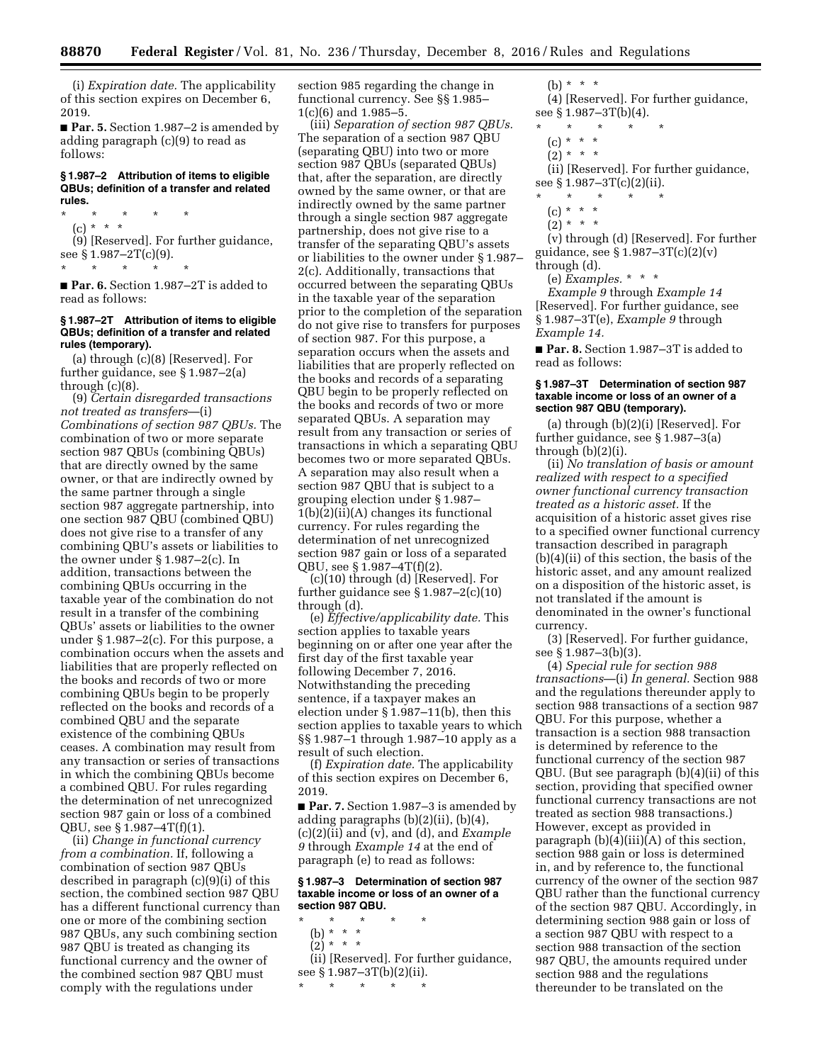(i) *Expiration date.* The applicability of this section expires on December 6, 2019.

■ **Par. 5.** Section 1.987–2 is amended by adding paragraph (c)(9) to read as follows:

#### **§ 1.987–2 Attribution of items to eligible QBUs; definition of a transfer and related rules.**

\* \* \* \* \* (c) \* \* \*

(9) [Reserved]. For further guidance, see § 1.987–2T(c)(9). \* \* \* \* \*

■ **Par. 6.** Section 1.987–2T is added to read as follows:

## **§ 1.987–2T Attribution of items to eligible QBUs; definition of a transfer and related rules (temporary).**

(a) through (c)(8) [Reserved]. For further guidance, see § 1.987–2(a) through (c)(8).

(9) *Certain disregarded transactions not treated as transfers*—(i) *Combinations of section 987 QBUs.* The combination of two or more separate section 987 QBUs (combining QBUs) that are directly owned by the same owner, or that are indirectly owned by the same partner through a single section 987 aggregate partnership, into one section 987 QBU (combined QBU) does not give rise to a transfer of any combining QBU's assets or liabilities to the owner under § 1.987–2(c). In addition, transactions between the combining QBUs occurring in the taxable year of the combination do not result in a transfer of the combining QBUs' assets or liabilities to the owner under § 1.987–2(c). For this purpose, a combination occurs when the assets and liabilities that are properly reflected on the books and records of two or more combining QBUs begin to be properly reflected on the books and records of a combined QBU and the separate existence of the combining QBUs ceases. A combination may result from any transaction or series of transactions in which the combining QBUs become a combined QBU. For rules regarding the determination of net unrecognized section 987 gain or loss of a combined QBU, see § 1.987–4T(f)(1).

(ii) *Change in functional currency from a combination.* If, following a combination of section 987 QBUs described in paragraph (c)(9)(i) of this section, the combined section 987 QBU has a different functional currency than one or more of the combining section 987 QBUs, any such combining section 987 QBU is treated as changing its functional currency and the owner of the combined section 987 QBU must comply with the regulations under

section 985 regarding the change in functional currency. See §§ 1.985– 1(c)(6) and 1.985–5.

(iii) *Separation of section 987 QBUs.*  The separation of a section 987 QBU (separating QBU) into two or more section 987 QBUs (separated QBUs) that, after the separation, are directly owned by the same owner, or that are indirectly owned by the same partner through a single section 987 aggregate partnership, does not give rise to a transfer of the separating QBU's assets or liabilities to the owner under § 1.987– 2(c). Additionally, transactions that occurred between the separating QBUs in the taxable year of the separation prior to the completion of the separation do not give rise to transfers for purposes of section 987. For this purpose, a separation occurs when the assets and liabilities that are properly reflected on the books and records of a separating QBU begin to be properly reflected on the books and records of two or more separated QBUs. A separation may result from any transaction or series of transactions in which a separating QBU becomes two or more separated QBUs. A separation may also result when a section 987 QBU that is subject to a grouping election under § 1.987– 1(b)(2)(ii)(A) changes its functional currency. For rules regarding the determination of net unrecognized section 987 gain or loss of a separated QBU, see § 1.987–4T(f)(2).

(c)(10) through (d) [Reserved]. For further guidance see § 1.987–2(c)(10) through (d).

(e) *Effective/applicability date.* This section applies to taxable years beginning on or after one year after the first day of the first taxable year following December 7, 2016. Notwithstanding the preceding sentence, if a taxpayer makes an election under § 1.987–11(b), then this section applies to taxable years to which §§ 1.987–1 through 1.987–10 apply as a result of such election.

(f) *Expiration date.* The applicability of this section expires on December 6, 2019.

■ **Par. 7.** Section 1.987–3 is amended by adding paragraphs (b)(2)(ii), (b)(4), (c)(2)(ii) and (v), and (d), and *Example 9* through *Example 14* at the end of paragraph (e) to read as follows:

### **§ 1.987–3 Determination of section 987 taxable income or loss of an owner of a section 987 QBU.**

- \* \* \* \* \*
	- (b) \* \* \*  $\binom{5}{2}$  \* \* \*
	-

(ii) [Reserved]. For further guidance, see § 1.987–3T(b)(2)(ii).

\* \* \* \* \*

(b) \* \* \*

(4) [Reserved]. For further guidance, see § 1.987–3T(b)(4).

- $\star$   $\star$
- $(c) * * * *$
- $(2) * * * *$

(ii) [Reserved]. For further guidance, see § 1.987-3T(c)(2)(ii).

- \* \* \* \* \*
- $(c) * * * *$
- $(2) * * * *$

(v) through (d) [Reserved]. For further guidance, see § 1.987–3T(c)(2)(v) through (d).

(e) *Examples.* \* \* \*

*Example 9* through *Example 14*  [Reserved]. For further guidance, see § 1.987–3T(e), *Example 9* through *Example 14.* 

■ **Par. 8.** Section 1.987–3T is added to read as follows:

### **§ 1.987–3T Determination of section 987 taxable income or loss of an owner of a section 987 QBU (temporary).**

(a) through (b)(2)(i) [Reserved]. For further guidance, see § 1.987–3(a) through  $(b)(2)(i)$ .

(ii) *No translation of basis or amount realized with respect to a specified owner functional currency transaction treated as a historic asset.* If the acquisition of a historic asset gives rise to a specified owner functional currency transaction described in paragraph (b)(4)(ii) of this section, the basis of the historic asset, and any amount realized on a disposition of the historic asset, is not translated if the amount is denominated in the owner's functional currency.

(3) [Reserved]. For further guidance, see § 1.987–3(b)(3).

(4) *Special rule for section 988 transactions*—(i) *In general.* Section 988 and the regulations thereunder apply to section 988 transactions of a section 987 QBU. For this purpose, whether a transaction is a section 988 transaction is determined by reference to the functional currency of the section 987 QBU. (But see paragraph (b)(4)(ii) of this section, providing that specified owner functional currency transactions are not treated as section 988 transactions.) However, except as provided in paragraph (b)(4)(iii)(A) of this section, section 988 gain or loss is determined in, and by reference to, the functional currency of the owner of the section 987 QBU rather than the functional currency of the section 987 QBU. Accordingly, in determining section 988 gain or loss of a section 987 QBU with respect to a section 988 transaction of the section 987 QBU, the amounts required under section 988 and the regulations thereunder to be translated on the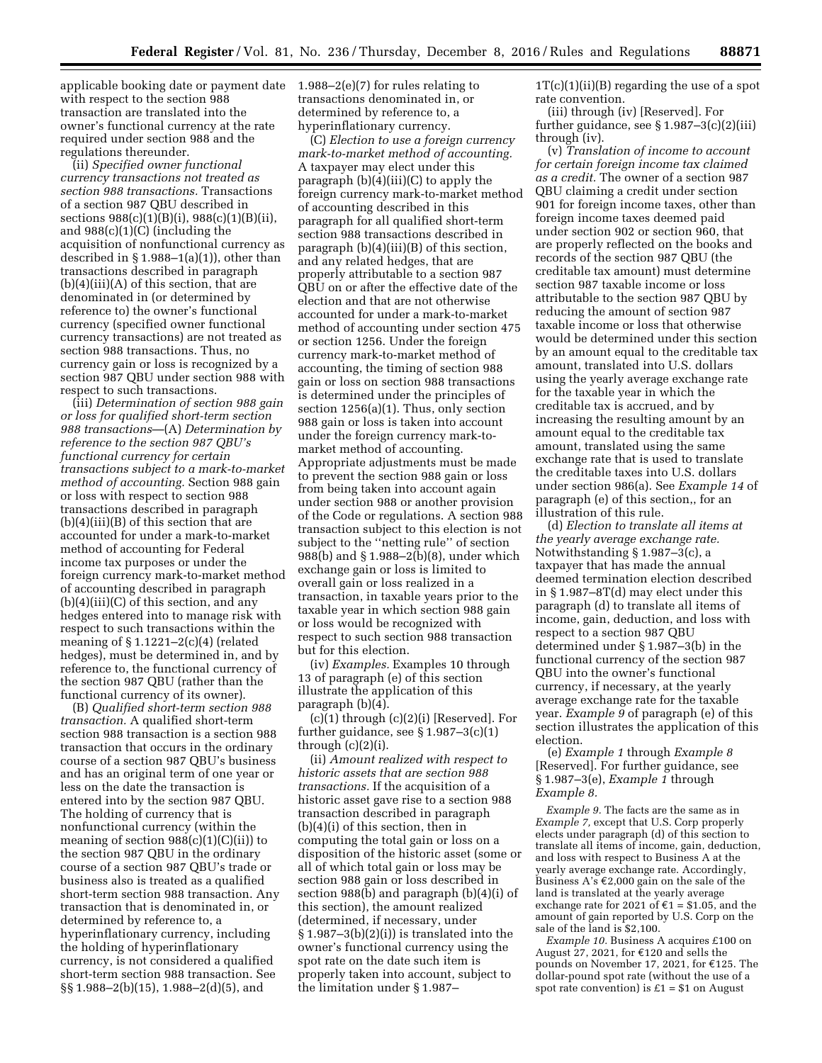applicable booking date or payment date 1.988–2(e)(7) for rules relating to with respect to the section 988 transaction are translated into the owner's functional currency at the rate required under section 988 and the regulations thereunder.

(ii) *Specified owner functional currency transactions not treated as section 988 transactions.* Transactions of a section 987 QBU described in sections 988(c)(1)(B)(i), 988(c)(1)(B)(ii), and 988(c)(1)(C) (including the acquisition of nonfunctional currency as described in  $\S 1.988-1(a)(1)$ , other than transactions described in paragraph  $(b)(4)(iii)(A)$  of this section, that are denominated in (or determined by reference to) the owner's functional currency (specified owner functional currency transactions) are not treated as section 988 transactions. Thus, no currency gain or loss is recognized by a section 987 QBU under section 988 with respect to such transactions.

(iii) *Determination of section 988 gain or loss for qualified short-term section 988 transactions*—(A) *Determination by reference to the section 987 QBU's functional currency for certain transactions subject to a mark-to-market method of accounting.* Section 988 gain or loss with respect to section 988 transactions described in paragraph  $(b)(4)(iii)(B)$  of this section that are accounted for under a mark-to-market method of accounting for Federal income tax purposes or under the foreign currency mark-to-market method of accounting described in paragraph  $(b)(4)(iii)(C)$  of this section, and any hedges entered into to manage risk with respect to such transactions within the meaning of  $\S 1.1221 - 2(c)(4)$  (related hedges), must be determined in, and by reference to, the functional currency of the section 987 QBU (rather than the functional currency of its owner).

(B) *Qualified short-term section 988 transaction.* A qualified short-term section 988 transaction is a section 988 transaction that occurs in the ordinary course of a section 987 QBU's business and has an original term of one year or less on the date the transaction is entered into by the section 987 QBU. The holding of currency that is nonfunctional currency (within the meaning of section  $988(c)(1)(C(ii))$  to the section 987 QBU in the ordinary course of a section 987 QBU's trade or business also is treated as a qualified short-term section 988 transaction. Any transaction that is denominated in, or determined by reference to, a hyperinflationary currency, including the holding of hyperinflationary currency, is not considered a qualified short-term section 988 transaction. See §§ 1.988–2(b)(15), 1.988–2(d)(5), and

transactions denominated in, or determined by reference to, a hyperinflationary currency.

(C) *Election to use a foreign currency mark-to-market method of accounting.*  A taxpayer may elect under this paragraph  $(b)(4)(iii)(C)$  to apply the foreign currency mark-to-market method of accounting described in this paragraph for all qualified short-term section 988 transactions described in paragraph (b)(4)(iii)(B) of this section, and any related hedges, that are properly attributable to a section 987 QBU on or after the effective date of the election and that are not otherwise accounted for under a mark-to-market method of accounting under section 475 or section 1256. Under the foreign currency mark-to-market method of accounting, the timing of section 988 gain or loss on section 988 transactions is determined under the principles of section 1256(a)(1). Thus, only section 988 gain or loss is taken into account under the foreign currency mark-tomarket method of accounting. Appropriate adjustments must be made to prevent the section 988 gain or loss from being taken into account again under section 988 or another provision of the Code or regulations. A section 988 transaction subject to this election is not subject to the ''netting rule'' of section 988(b) and § 1.988–2(b)(8), under which exchange gain or loss is limited to overall gain or loss realized in a transaction, in taxable years prior to the taxable year in which section 988 gain or loss would be recognized with respect to such section 988 transaction but for this election.

(iv) *Examples.* Examples 10 through 13 of paragraph (e) of this section illustrate the application of this paragraph (b)(4).

 $(c)(1)$  through  $(c)(2)(i)$  [Reserved]. For further guidance, see  $\S 1.987-3(c)(1)$ through (c)(2)(i).

(ii) *Amount realized with respect to historic assets that are section 988 transactions.* If the acquisition of a historic asset gave rise to a section 988 transaction described in paragraph (b)(4)(i) of this section, then in computing the total gain or loss on a disposition of the historic asset (some or all of which total gain or loss may be section 988 gain or loss described in section 988(b) and paragraph (b)(4)(i) of this section), the amount realized (determined, if necessary, under  $§ 1.987-3(b)(2)(i))$  is translated into the owner's functional currency using the spot rate on the date such item is properly taken into account, subject to the limitation under § 1.987–

 $1T(c)(1)(ii)(B)$  regarding the use of a spot rate convention.

(iii) through (iv) [Reserved]. For further guidance, see § 1.987–3(c)(2)(iii) through (iv).

(v) *Translation of income to account for certain foreign income tax claimed as a credit.* The owner of a section 987 QBU claiming a credit under section 901 for foreign income taxes, other than foreign income taxes deemed paid under section 902 or section 960, that are properly reflected on the books and records of the section 987 QBU (the creditable tax amount) must determine section 987 taxable income or loss attributable to the section 987 QBU by reducing the amount of section 987 taxable income or loss that otherwise would be determined under this section by an amount equal to the creditable tax amount, translated into U.S. dollars using the yearly average exchange rate for the taxable year in which the creditable tax is accrued, and by increasing the resulting amount by an amount equal to the creditable tax amount, translated using the same exchange rate that is used to translate the creditable taxes into U.S. dollars under section 986(a). See *Example 14* of paragraph (e) of this section,, for an illustration of this rule.

(d) *Election to translate all items at the yearly average exchange rate.*  Notwithstanding § 1.987–3(c), a taxpayer that has made the annual deemed termination election described in § 1.987–8T(d) may elect under this paragraph (d) to translate all items of income, gain, deduction, and loss with respect to a section 987 QBU determined under § 1.987–3(b) in the functional currency of the section 987 QBU into the owner's functional currency, if necessary, at the yearly average exchange rate for the taxable year. *Example 9* of paragraph (e) of this section illustrates the application of this election.

(e) *Example 1* through *Example 8*  [Reserved]. For further guidance, see § 1.987–3(e), *Example 1* through *Example 8.* 

*Example 9.* The facts are the same as in *Example 7,* except that U.S. Corp properly elects under paragraph (d) of this section to translate all items of income, gain, deduction, and loss with respect to Business A at the yearly average exchange rate. Accordingly, Business A's  $\text{\large\ensuremath{\in}} 2,000$  gain on the sale of the land is translated at the yearly average exchange rate for 2021 of  $\epsilon$ 1 = \$1.05, and the amount of gain reported by U.S. Corp on the sale of the land is \$2,100.

*Example 10.* Business A acquires £100 on August 27, 2021, for  $\epsilon$ 120 and sells the pounds on November 17, 2021, for €125. The dollar-pound spot rate (without the use of a spot rate convention) is  $£1 = $1$  on August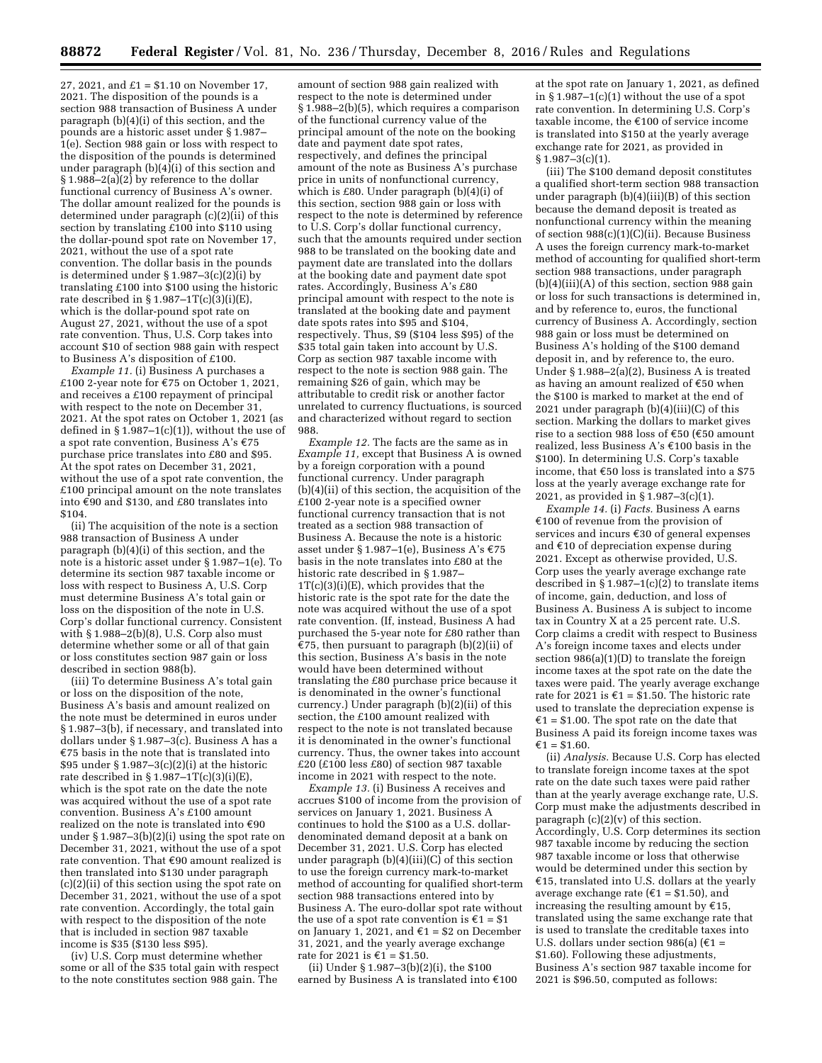27, 2021, and  $£1 = $1.10$  on November 17, 2021. The disposition of the pounds is a section 988 transaction of Business A under paragraph (b)(4)(i) of this section, and the pounds are a historic asset under § 1.987– 1(e). Section 988 gain or loss with respect to the disposition of the pounds is determined under paragraph  $(b)(4)(i)$  of this section and  $§ 1.988-2(a)(2)$  by reference to the dollar functional currency of Business A's owner. The dollar amount realized for the pounds is determined under paragraph (c)(2)(ii) of this section by translating  $£100$  into \$110 using the dollar-pound spot rate on November 17, 2021, without the use of a spot rate convention. The dollar basis in the pounds is determined under  $\S 1.987-3(c)(2)(i)$  by translating £100 into \$100 using the historic rate described in  $\S 1.987 - 1T(c)(3)(i)(E)$ , which is the dollar-pound spot rate on August 27, 2021, without the use of a spot rate convention. Thus, U.S. Corp takes into account \$10 of section 988 gain with respect to Business A's disposition of £100.

*Example 11.* (i) Business A purchases a £100 2-year note for  $E$ 75 on October 1, 2021, and receives a £100 repayment of principal with respect to the note on December 31, 2021. At the spot rates on October 1, 2021 (as defined in  $\S 1.987-1(c)(1)$ , without the use of a spot rate convention, Business A's  $€75$ purchase price translates into £80 and \$95. At the spot rates on December 31, 2021, without the use of a spot rate convention, the  $£100$  principal amount on the note translates into  $\epsilon$ 90 and \$130, and £80 translates into \$104.

(ii) The acquisition of the note is a section 988 transaction of Business A under paragraph (b)(4)(i) of this section, and the note is a historic asset under § 1.987–1(e). To determine its section 987 taxable income or loss with respect to Business A, U.S. Corp must determine Business A's total gain or loss on the disposition of the note in U.S. Corp's dollar functional currency. Consistent with § 1.988–2(b)(8), U.S. Corp also must determine whether some or all of that gain or loss constitutes section 987 gain or loss described in section 988(b).

(iii) To determine Business A's total gain or loss on the disposition of the note, Business A's basis and amount realized on the note must be determined in euros under § 1.987–3(b), if necessary, and translated into dollars under § 1.987–3(c). Business A has a  $E$ 75 basis in the note that is translated into \$95 under  $\S 1.987-3(c)(2)(i)$  at the historic rate described in  $\S 1.987 - 1T(c)(3)(i)(E)$ , which is the spot rate on the date the note was acquired without the use of a spot rate convention. Business A's £100 amount realized on the note is translated into  $€90$ under § 1.987–3(b)(2)(i) using the spot rate on December 31, 2021, without the use of a spot rate convention. That  $\epsilon$ 90 amount realized is then translated into \$130 under paragraph (c)(2)(ii) of this section using the spot rate on December 31, 2021, without the use of a spot rate convention. Accordingly, the total gain with respect to the disposition of the note that is included in section 987 taxable income is \$35 (\$130 less \$95).

(iv) U.S. Corp must determine whether some or all of the \$35 total gain with respect to the note constitutes section 988 gain. The

amount of section 988 gain realized with respect to the note is determined under § 1.988–2(b)(5), which requires a comparison of the functional currency value of the principal amount of the note on the booking date and payment date spot rates, respectively, and defines the principal amount of the note as Business A's purchase price in units of nonfunctional currency, which is £80. Under paragraph  $(b)(4)(i)$  of this section, section 988 gain or loss with respect to the note is determined by reference to U.S. Corp's dollar functional currency, such that the amounts required under section 988 to be translated on the booking date and payment date are translated into the dollars at the booking date and payment date spot rates. Accordingly, Business A's £80 principal amount with respect to the note is translated at the booking date and payment date spots rates into \$95 and \$104, respectively. Thus, \$9 (\$104 less \$95) of the \$35 total gain taken into account by U.S. Corp as section 987 taxable income with respect to the note is section 988 gain. The remaining \$26 of gain, which may be attributable to credit risk or another factor unrelated to currency fluctuations, is sourced and characterized without regard to section 988.

*Example 12.* The facts are the same as in *Example 11,* except that Business A is owned by a foreign corporation with a pound functional currency. Under paragraph (b)(4)(ii) of this section, the acquisition of the £100 2-year note is a specified owner functional currency transaction that is not treated as a section 988 transaction of Business A. Because the note is a historic asset under § 1.987–1(e), Business A's €75 basis in the note translates into £80 at the historic rate described in § 1.987– 1T(c)(3)(i)(E), which provides that the historic rate is the spot rate for the date the note was acquired without the use of a spot rate convention. (If, instead, Business A had purchased the 5-year note for £80 rather than  $\epsilon$ 75, then pursuant to paragraph (b)(2)(ii) of this section, Business A's basis in the note would have been determined without translating the £80 purchase price because it is denominated in the owner's functional currency.) Under paragraph (b)(2)(ii) of this section, the £100 amount realized with respect to the note is not translated because it is denominated in the owner's functional currency. Thus, the owner takes into account  $£20$  (£100 less £80) of section 987 taxable income in 2021 with respect to the note.

*Example 13.* (i) Business A receives and accrues \$100 of income from the provision of services on January 1, 2021. Business A continues to hold the \$100 as a U.S. dollardenominated demand deposit at a bank on December 31, 2021. U.S. Corp has elected under paragraph (b)(4)(iii)(C) of this section to use the foreign currency mark-to-market method of accounting for qualified short-term section 988 transactions entered into by Business A. The euro-dollar spot rate without the use of a spot rate convention is  $\epsilon_1 = \epsilon_1$ on January 1, 2021, and  $\epsilon$ 1 = \$2 on December 31, 2021, and the yearly average exchange rate for 2021 is  $£1 = $1.50$ .

(ii) Under § 1.987–3(b)(2)(i), the \$100 earned by Business A is translated into  $\epsilon$ 100

at the spot rate on January 1, 2021, as defined in §  $1.987-1(c)(1)$  without the use of a spot rate convention. In determining U.S. Corp's taxable income, the  $€100$  of service income is translated into \$150 at the yearly average exchange rate for 2021, as provided in  $§ 1.987-3(c)(1).$ 

(iii) The \$100 demand deposit constitutes a qualified short-term section 988 transaction under paragraph (b)(4)(iii)(B) of this section because the demand deposit is treated as nonfunctional currency within the meaning of section 988(c)(1)(C)(ii). Because Business A uses the foreign currency mark-to-market method of accounting for qualified short-term section 988 transactions, under paragraph (b)(4)(iii)(A) of this section, section 988 gain or loss for such transactions is determined in, and by reference to, euros, the functional currency of Business A. Accordingly, section 988 gain or loss must be determined on Business A's holding of the \$100 demand deposit in, and by reference to, the euro. Under § 1.988–2(a)(2), Business A is treated as having an amount realized of  $€50$  when the \$100 is marked to market at the end of 2021 under paragraph (b)(4)(iii)(C) of this section. Marking the dollars to market gives rise to a section 988 loss of  $\text{\ensuremath{\mathfrak{E}50}}$  ( $\text{\ensuremath{\mathfrak{E}50}}$  amount realized, less Business A's  $\text{\textsterling}100$  basis in the \$100). In determining U.S. Corp's taxable income, that  $€50$  loss is translated into a \$75 loss at the yearly average exchange rate for 2021, as provided in § 1.987–3(c)(1).

*Example 14.* (i) *Facts.* Business A earns  $£100$  of revenue from the provision of services and incurs  $\epsilon$ 30 of general expenses and  $€10$  of depreciation expense during 2021. Except as otherwise provided, U.S. Corp uses the yearly average exchange rate described in  $\S 1.987-1(c)(2)$  to translate items of income, gain, deduction, and loss of Business A. Business A is subject to income tax in Country X at a 25 percent rate. U.S. Corp claims a credit with respect to Business A's foreign income taxes and elects under section 986(a)(1)(D) to translate the foreign income taxes at the spot rate on the date the taxes were paid. The yearly average exchange rate for 2021 is  $\epsilon$ 1 = \$1.50. The historic rate used to translate the depreciation expense is  $£1 = $1.00$ . The spot rate on the date that Business A paid its foreign income taxes was  $£1 = $1.60.$ 

(ii) *Analysis.* Because U.S. Corp has elected to translate foreign income taxes at the spot rate on the date such taxes were paid rather than at the yearly average exchange rate, U.S. Corp must make the adjustments described in paragraph  $(c)(2)(v)$  of this section. Accordingly, U.S. Corp determines its section 987 taxable income by reducing the section 987 taxable income or loss that otherwise would be determined under this section by  $£15$ , translated into U.S. dollars at the yearly average exchange rate ( $\epsilon$ 1 = \$1.50), and increasing the resulting amount by  $E$ 15, translated using the same exchange rate that is used to translate the creditable taxes into U.S. dollars under section 986(a)  $(€1 =$ \$1.60). Following these adjustments, Business A's section 987 taxable income for 2021 is \$96.50, computed as follows: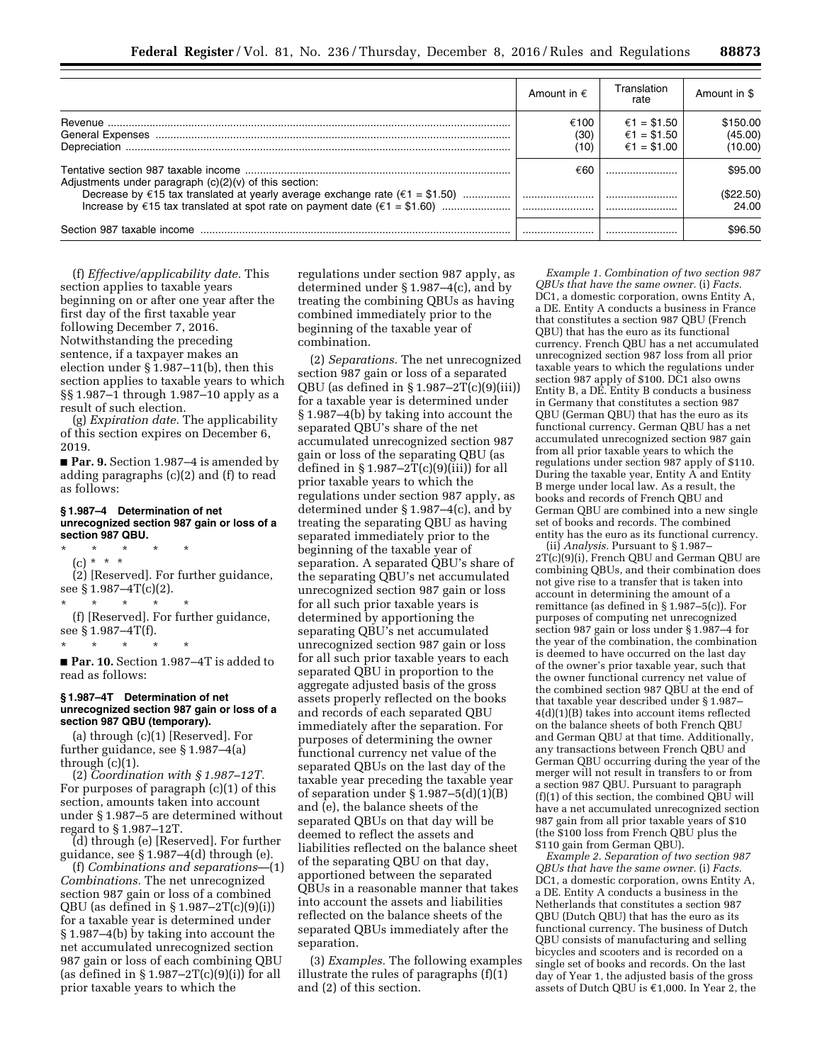|                                                                                                   | Amount in $\epsilon$ | Translation<br>rate                       | Amount in \$                   |
|---------------------------------------------------------------------------------------------------|----------------------|-------------------------------------------|--------------------------------|
|                                                                                                   | €100<br>(30)<br>(10) | €1 = \$1.50<br>€1 = \$1.50<br>€1 = \$1.00 | \$150.00<br>(45.00)<br>(10.00) |
| Adjustments under paragraph $(c)(2)(v)$ of this section:                                          | €60                  |                                           | \$95.00                        |
| Decrease by $\epsilon$ 15 tax translated at yearly average exchange rate ( $\epsilon$ 1 = \$1.50) |                      |                                           | (\$22.50)<br>24.00             |
| Section 987 taxable income                                                                        |                      |                                           | \$96.50                        |

(f) *Effective/applicability date.* This section applies to taxable years beginning on or after one year after the first day of the first taxable year following December 7, 2016. Notwithstanding the preceding sentence, if a taxpayer makes an election under § 1.987–11(b), then this section applies to taxable years to which §§ 1.987–1 through 1.987–10 apply as a result of such election.

(g) *Expiration date.* The applicability of this section expires on December 6, 2019.

■ **Par. 9.** Section 1.987–4 is amended by adding paragraphs (c)(2) and (f) to read as follows:

### **§ 1.987–4 Determination of net unrecognized section 987 gain or loss of a section 987 QBU.**

\* \* \* \* \* (c) \* \* \* (2) [Reserved]. For further guidance, see § 1.987–4T(c)(2). \* \* \* \* \*

(f) [Reserved]. For further guidance, see § 1.987–4T(f). \* \* \* \* \*

■ Par. 10. Section 1.987-4T is added to read as follows:

### **§ 1.987–4T Determination of net unrecognized section 987 gain or loss of a section 987 QBU (temporary).**

(a) through (c)(1) [Reserved]. For further guidance, see § 1.987–4(a) through (c)(1).

(2) *Coordination with § 1.987–12T.*  For purposes of paragraph (c)(1) of this section, amounts taken into account under § 1.987–5 are determined without regard to § 1.987–12T.

(d) through (e) [Reserved]. For further guidance, see § 1.987–4(d) through (e).

(f) *Combinations and separations*—(1) *Combinations.* The net unrecognized section 987 gain or loss of a combined QBU (as defined in § 1.987–2T(c)(9)(i)) for a taxable year is determined under § 1.987–4(b) by taking into account the net accumulated unrecognized section 987 gain or loss of each combining QBU (as defined in  $\S 1.987 - 2T(c)(9)(i)$ ) for all prior taxable years to which the

regulations under section 987 apply, as determined under § 1.987–4(c), and by treating the combining QBUs as having combined immediately prior to the beginning of the taxable year of combination.

(2) *Separations.* The net unrecognized section 987 gain or loss of a separated QBU (as defined in  $\S 1.987 - 2T(c)(9)(iii)$ ) for a taxable year is determined under § 1.987–4(b) by taking into account the separated QBU's share of the net accumulated unrecognized section 987 gain or loss of the separating QBU (as defined in  $\S 1.987 - 2T(c)(9)(iii)$  for all prior taxable years to which the regulations under section 987 apply, as determined under § 1.987–4(c), and by treating the separating QBU as having separated immediately prior to the beginning of the taxable year of separation. A separated QBU's share of the separating QBU's net accumulated unrecognized section 987 gain or loss for all such prior taxable years is determined by apportioning the separating QBU's net accumulated unrecognized section 987 gain or loss for all such prior taxable years to each separated QBU in proportion to the aggregate adjusted basis of the gross assets properly reflected on the books and records of each separated QBU immediately after the separation. For purposes of determining the owner functional currency net value of the separated QBUs on the last day of the taxable year preceding the taxable year of separation under  $\S 1.987 - 5(d)(1)(B)$ and (e), the balance sheets of the separated QBUs on that day will be deemed to reflect the assets and liabilities reflected on the balance sheet of the separating QBU on that day, apportioned between the separated QBUs in a reasonable manner that takes into account the assets and liabilities reflected on the balance sheets of the separated QBUs immediately after the separation.

(3) *Examples.* The following examples illustrate the rules of paragraphs (f)(1) and (2) of this section.

*Example 1. Combination of two section 987 QBUs that have the same owner.* (i) *Facts.*  DC1, a domestic corporation, owns Entity A, a DE. Entity A conducts a business in France that constitutes a section 987 QBU (French QBU) that has the euro as its functional currency. French QBU has a net accumulated unrecognized section 987 loss from all prior taxable years to which the regulations under section 987 apply of \$100. DC1 also owns Entity B, a DE. Entity B conducts a business in Germany that constitutes a section 987 QBU (German QBU) that has the euro as its functional currency. German QBU has a net accumulated unrecognized section 987 gain from all prior taxable years to which the regulations under section 987 apply of \$110. During the taxable year, Entity A and Entity B merge under local law. As a result, the books and records of French QBU and German QBU are combined into a new single set of books and records. The combined entity has the euro as its functional currency.

(ii) *Analysis.* Pursuant to § 1.987– 2T(c)(9)(i), French QBU and German QBU are combining QBUs, and their combination does not give rise to a transfer that is taken into account in determining the amount of a remittance (as defined in § 1.987–5(c)). For purposes of computing net unrecognized section 987 gain or loss under § 1.987–4 for the year of the combination, the combination is deemed to have occurred on the last day of the owner's prior taxable year, such that the owner functional currency net value of the combined section 987 QBU at the end of that taxable year described under § 1.987– 4(d)(1)(B) takes into account items reflected on the balance sheets of both French QBU and German QBU at that time. Additionally, any transactions between French QBU and German QBU occurring during the year of the merger will not result in transfers to or from a section 987 QBU. Pursuant to paragraph (f)(1) of this section, the combined QBU will have a net accumulated unrecognized section 987 gain from all prior taxable years of \$10 (the \$100 loss from French QBU plus the \$110 gain from German QBU).

*Example 2. Separation of two section 987 QBUs that have the same owner.* (i) *Facts.*  DC1, a domestic corporation, owns Entity A, a DE. Entity A conducts a business in the Netherlands that constitutes a section 987 QBU (Dutch QBU) that has the euro as its functional currency. The business of Dutch QBU consists of manufacturing and selling bicycles and scooters and is recorded on a single set of books and records. On the last day of Year 1, the adjusted basis of the gross assets of Dutch QBU is  $€1,000$ . In Year 2, the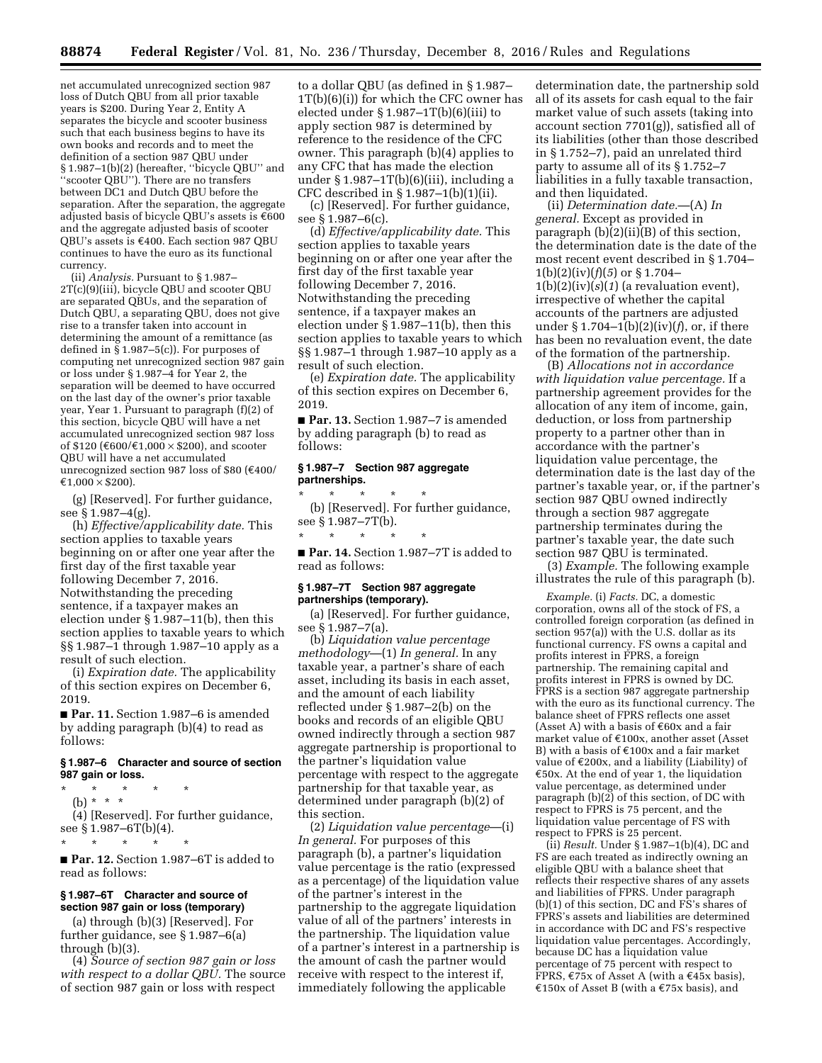net accumulated unrecognized section 987 loss of Dutch QBU from all prior taxable years is \$200. During Year 2, Entity A separates the bicycle and scooter business such that each business begins to have its own books and records and to meet the definition of a section 987 QBU under § 1.987–1(b)(2) (hereafter, ''bicycle QBU'' and ''scooter QBU''). There are no transfers between DC1 and Dutch QBU before the separation. After the separation, the aggregate adjusted basis of bicycle QBU's assets is  $\epsilon$ 600 and the aggregate adjusted basis of scooter QBU's assets is  $€400$ . Each section 987 QBU continues to have the euro as its functional currency.

(ii) *Analysis.* Pursuant to § 1.987– 2T(c)(9)(iii), bicycle QBU and scooter QBU are separated QBUs, and the separation of Dutch QBU, a separating QBU, does not give rise to a transfer taken into account in determining the amount of a remittance (as defined in § 1.987–5(c)). For purposes of computing net unrecognized section 987 gain or loss under § 1.987–4 for Year 2, the separation will be deemed to have occurred on the last day of the owner's prior taxable year, Year 1. Pursuant to paragraph (f)(2) of this section, bicycle QBU will have a net accumulated unrecognized section 987 loss of \$120 ( $\epsilon$ 600/ $\epsilon$ 1,000  $\times$  \$200), and scooter QBU will have a net accumulated unrecognized section 987 loss of \$80 ( $€400/$  $£1,000 \times $200$ .

(g) [Reserved]. For further guidance, see § 1.987–4(g).

(h) *Effective/applicability date.* This section applies to taxable years beginning on or after one year after the first day of the first taxable year following December 7, 2016. Notwithstanding the preceding sentence, if a taxpayer makes an election under § 1.987–11(b), then this section applies to taxable years to which §§ 1.987–1 through 1.987–10 apply as a result of such election.

(i) *Expiration date.* The applicability of this section expires on December 6, 2019.

■ **Par. 11.** Section 1.987-6 is amended by adding paragraph (b)(4) to read as follows:

### **§ 1.987–6 Character and source of section 987 gain or loss.**

\* \* \* \* \* (b) \* \* \*

\* \* \* \* \*

(4) [Reserved]. For further guidance, see § 1.987–6T(b)(4).

■ **Par. 12.** Section 1.987–6T is added to read as follows:

### **§ 1.987–6T Character and source of section 987 gain or loss (temporary)**

(a) through (b)(3) [Reserved]. For further guidance, see § 1.987–6(a) through (b)(3).

(4) *Source of section 987 gain or loss with respect to a dollar QBU.* The source of section 987 gain or loss with respect

to a dollar QBU (as defined in § 1.987– 1T(b)(6)(i)) for which the CFC owner has elected under  $\S 1.987 - 1T(b)(6)(iii)$  to apply section 987 is determined by reference to the residence of the CFC owner. This paragraph (b)(4) applies to any CFC that has made the election under § 1.987–1T(b)(6)(iii), including a CFC described in § 1.987–1(b)(1)(ii).

(c) [Reserved]. For further guidance, see § 1.987–6(c).

(d) *Effective/applicability date.* This section applies to taxable years beginning on or after one year after the first day of the first taxable year following December 7, 2016. Notwithstanding the preceding sentence, if a taxpayer makes an election under § 1.987–11(b), then this section applies to taxable years to which §§ 1.987–1 through 1.987–10 apply as a result of such election.

(e) *Expiration date.* The applicability of this section expires on December 6, 2019.

■ **Par. 13.** Section 1.987–7 is amended by adding paragraph (b) to read as follows:

### **§ 1.987–7 Section 987 aggregate partnerships.**

\* \* \* \* \*

\* \* \* \* \* (b) [Reserved]. For further guidance, see § 1.987–7T(b).

■ **Par. 14.** Section 1.987–7T is added to read as follows:

### **§ 1.987–7T Section 987 aggregate partnerships (temporary).**

(a) [Reserved]. For further guidance, see § 1.987–7(a).

(b) *Liquidation value percentage methodology*—(1) *In general.* In any taxable year, a partner's share of each asset, including its basis in each asset, and the amount of each liability reflected under § 1.987–2(b) on the books and records of an eligible QBU owned indirectly through a section 987 aggregate partnership is proportional to the partner's liquidation value percentage with respect to the aggregate partnership for that taxable year, as determined under paragraph (b)(2) of this section.

(2) *Liquidation value percentage*—(i) *In general.* For purposes of this paragraph (b), a partner's liquidation value percentage is the ratio (expressed as a percentage) of the liquidation value of the partner's interest in the partnership to the aggregate liquidation value of all of the partners' interests in the partnership. The liquidation value of a partner's interest in a partnership is the amount of cash the partner would receive with respect to the interest if, immediately following the applicable

determination date, the partnership sold all of its assets for cash equal to the fair market value of such assets (taking into account section 7701(g)), satisfied all of its liabilities (other than those described in § 1.752–7), paid an unrelated third party to assume all of its § 1.752–7 liabilities in a fully taxable transaction, and then liquidated.

(ii) *Determination date.*—(A) *In general.* Except as provided in paragraph (b)(2)(ii)(B) of this section, the determination date is the date of the most recent event described in § 1.704–  $1(b)(2)(iv)(f)(5)$  or § 1.704–  $1(b)(2)(iv)(s)(1)$  (a revaluation event), irrespective of whether the capital accounts of the partners are adjusted under § 1.704–1(b)(2)(iv)(*f*), or, if there has been no revaluation event, the date of the formation of the partnership.

(B) *Allocations not in accordance with liquidation value percentage.* If a partnership agreement provides for the allocation of any item of income, gain, deduction, or loss from partnership property to a partner other than in accordance with the partner's liquidation value percentage, the determination date is the last day of the partner's taxable year, or, if the partner's section 987 QBU owned indirectly through a section 987 aggregate partnership terminates during the partner's taxable year, the date such section 987 QBU is terminated.

(3) *Example.* The following example illustrates the rule of this paragraph (b).

*Example.* (i) *Facts.* DC, a domestic corporation, owns all of the stock of FS, a controlled foreign corporation (as defined in section 957(a)) with the U.S. dollar as its functional currency. FS owns a capital and profits interest in FPRS, a foreign partnership. The remaining capital and profits interest in FPRS is owned by DC. FPRS is a section 987 aggregate partnership with the euro as its functional currency. The balance sheet of FPRS reflects one asset (Asset A) with a basis of  $\epsilon$ 60x and a fair market value of  $£100x$ , another asset (Asset B) with a basis of  $\text{\ensuremath{\mathfrak{E}100x}}$  and a fair market value of  $E200x$ , and a liability (Liability) of  $E$ 50x. At the end of year 1, the liquidation value percentage, as determined under paragraph (b)(2) of this section, of DC with respect to FPRS is 75 percent, and the liquidation value percentage of FS with respect to FPRS is 25 percent.

(ii) *Result.* Under § 1.987–1(b)(4), DC and FS are each treated as indirectly owning an eligible QBU with a balance sheet that reflects their respective shares of any assets and liabilities of FPRS. Under paragraph (b)(1) of this section, DC and FS's shares of FPRS's assets and liabilities are determined in accordance with DC and FS's respective liquidation value percentages. Accordingly, because DC has a liquidation value percentage of 75 percent with respect to FPRS,  $\epsilon$ 75x of Asset A (with a  $\epsilon$ 45x basis),  $£150x$  of Asset B (with a  $£75x$  basis), and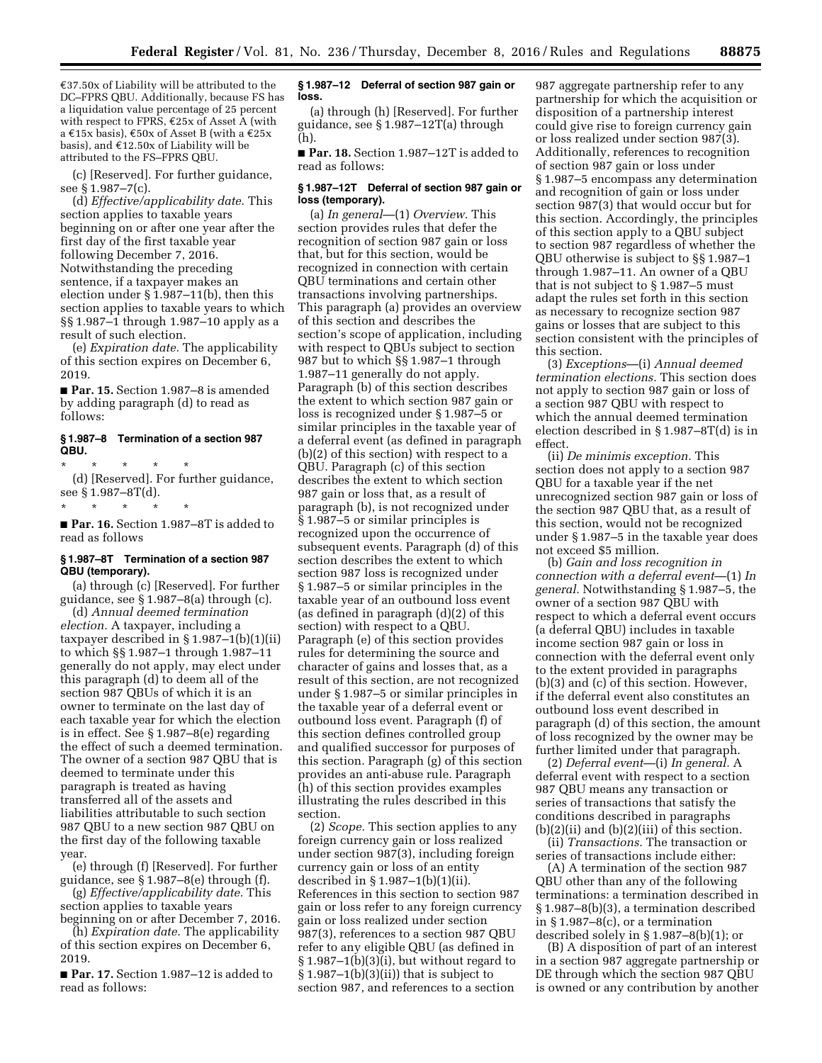$\epsilon$ 37.50x of Liability will be attributed to the DC–FPRS QBU. Additionally, because FS has a liquidation value percentage of 25 percent with respect to FPRS,  $\epsilon$ 25x of Asset A (with a  $\epsilon$ 15x basis),  $\epsilon$ 50x of Asset B (with a  $\epsilon$ 25x basis), and  $£12.50x$  of Liability will be attributed to the FS–FPRS QBU.

(c) [Reserved]. For further guidance, see § 1.987–7(c).

(d) *Effective/applicability date.* This section applies to taxable years beginning on or after one year after the first day of the first taxable year following December 7, 2016. Notwithstanding the preceding sentence, if a taxpayer makes an election under § 1.987–11(b), then this section applies to taxable years to which §§ 1.987–1 through 1.987–10 apply as a result of such election.

(e) *Expiration date.* The applicability of this section expires on December 6, 2019.

■ **Par. 15.** Section 1.987–8 is amended by adding paragraph (d) to read as follows:

### **§ 1.987–8 Termination of a section 987 QBU.**

\* \* \* \* \* (d) [Reserved]. For further guidance, see § 1.987–8T(d).

\* \* \* \* \* ■ **Par. 16.** Section 1.987–8T is added to read as follows

## **§ 1.987–8T Termination of a section 987 QBU (temporary).**

(a) through (c) [Reserved]. For further guidance, see § 1.987–8(a) through (c). (d) *Annual deemed termination* 

*election.* A taxpayer, including a taxpayer described in § 1.987–1(b)(1)(ii) to which §§ 1.987–1 through 1.987–11 generally do not apply, may elect under this paragraph (d) to deem all of the section 987 QBUs of which it is an owner to terminate on the last day of each taxable year for which the election is in effect. See § 1.987–8(e) regarding the effect of such a deemed termination. The owner of a section 987 QBU that is deemed to terminate under this paragraph is treated as having transferred all of the assets and liabilities attributable to such section 987 QBU to a new section 987 QBU on the first day of the following taxable year.

(e) through (f) [Reserved]. For further guidance, see § 1.987–8(e) through (f).

(g) *Effective/applicability date.* This section applies to taxable years

beginning on or after December 7, 2016. (h) *Expiration date.* The applicability

of this section expires on December 6, 2019.

■ **Par. 17.** Section 1.987–12 is added to read as follows:

### **§ 1.987–12 Deferral of section 987 gain or loss.**

(a) through (h) [Reserved]. For further guidance, see § 1.987–12T(a) through (h).

■ **Par. 18.** Section 1.987-12T is added to read as follows:

### **§ 1.987–12T Deferral of section 987 gain or loss (temporary).**

(a) *In general*—(1) *Overview.* This section provides rules that defer the recognition of section 987 gain or loss that, but for this section, would be recognized in connection with certain QBU terminations and certain other transactions involving partnerships. This paragraph (a) provides an overview of this section and describes the section's scope of application, including with respect to QBUs subject to section 987 but to which §§ 1.987–1 through 1.987–11 generally do not apply. Paragraph (b) of this section describes the extent to which section 987 gain or loss is recognized under § 1.987–5 or similar principles in the taxable year of a deferral event (as defined in paragraph (b)(2) of this section) with respect to a QBU. Paragraph (c) of this section describes the extent to which section 987 gain or loss that, as a result of paragraph (b), is not recognized under § 1.987–5 or similar principles is recognized upon the occurrence of subsequent events. Paragraph (d) of this section describes the extent to which section 987 loss is recognized under § 1.987–5 or similar principles in the taxable year of an outbound loss event (as defined in paragraph (d)(2) of this section) with respect to a QBU. Paragraph (e) of this section provides rules for determining the source and character of gains and losses that, as a result of this section, are not recognized under § 1.987–5 or similar principles in the taxable year of a deferral event or outbound loss event. Paragraph (f) of this section defines controlled group and qualified successor for purposes of this section. Paragraph (g) of this section provides an anti-abuse rule. Paragraph (h) of this section provides examples illustrating the rules described in this section.

(2) *Scope.* This section applies to any foreign currency gain or loss realized under section 987(3), including foreign currency gain or loss of an entity described in § 1.987–1(b)(1)(ii). References in this section to section 987 gain or loss refer to any foreign currency gain or loss realized under section 987(3), references to a section 987 QBU refer to any eligible QBU (as defined in  $\S 1.987-1(b)(3)(i)$ , but without regard to  $§ 1.987-1(b)(3)(ii)$  that is subject to section 987, and references to a section

987 aggregate partnership refer to any partnership for which the acquisition or disposition of a partnership interest could give rise to foreign currency gain or loss realized under section 987(3). Additionally, references to recognition of section 987 gain or loss under § 1.987–5 encompass any determination and recognition of gain or loss under section 987(3) that would occur but for this section. Accordingly, the principles of this section apply to a QBU subject to section 987 regardless of whether the QBU otherwise is subject to §§ 1.987–1 through 1.987–11. An owner of a QBU that is not subject to § 1.987–5 must adapt the rules set forth in this section as necessary to recognize section 987 gains or losses that are subject to this section consistent with the principles of this section.

(3) *Exceptions*—(i) *Annual deemed termination elections.* This section does not apply to section 987 gain or loss of a section 987 QBU with respect to which the annual deemed termination election described in § 1.987–8T(d) is in effect.

(ii) *De minimis exception.* This section does not apply to a section 987 QBU for a taxable year if the net unrecognized section 987 gain or loss of the section 987 QBU that, as a result of this section, would not be recognized under § 1.987–5 in the taxable year does not exceed \$5 million.

(b) *Gain and loss recognition in connection with a deferral event*—(1) *In general.* Notwithstanding § 1.987–5, the owner of a section 987 QBU with respect to which a deferral event occurs (a deferral QBU) includes in taxable income section 987 gain or loss in connection with the deferral event only to the extent provided in paragraphs (b)(3) and (c) of this section. However, if the deferral event also constitutes an outbound loss event described in paragraph (d) of this section, the amount of loss recognized by the owner may be further limited under that paragraph.

(2) *Deferral event*—(i) *In general.* A deferral event with respect to a section 987 QBU means any transaction or series of transactions that satisfy the conditions described in paragraphs  $(b)(2)(ii)$  and  $(b)(2)(iii)$  of this section.

(ii) *Transactions.* The transaction or series of transactions include either:

(A) A termination of the section 987 QBU other than any of the following terminations: a termination described in § 1.987–8(b)(3), a termination described in § 1.987–8(c), or a termination described solely in § 1.987–8(b)(1); or

(B) A disposition of part of an interest in a section 987 aggregate partnership or DE through which the section 987 QBU is owned or any contribution by another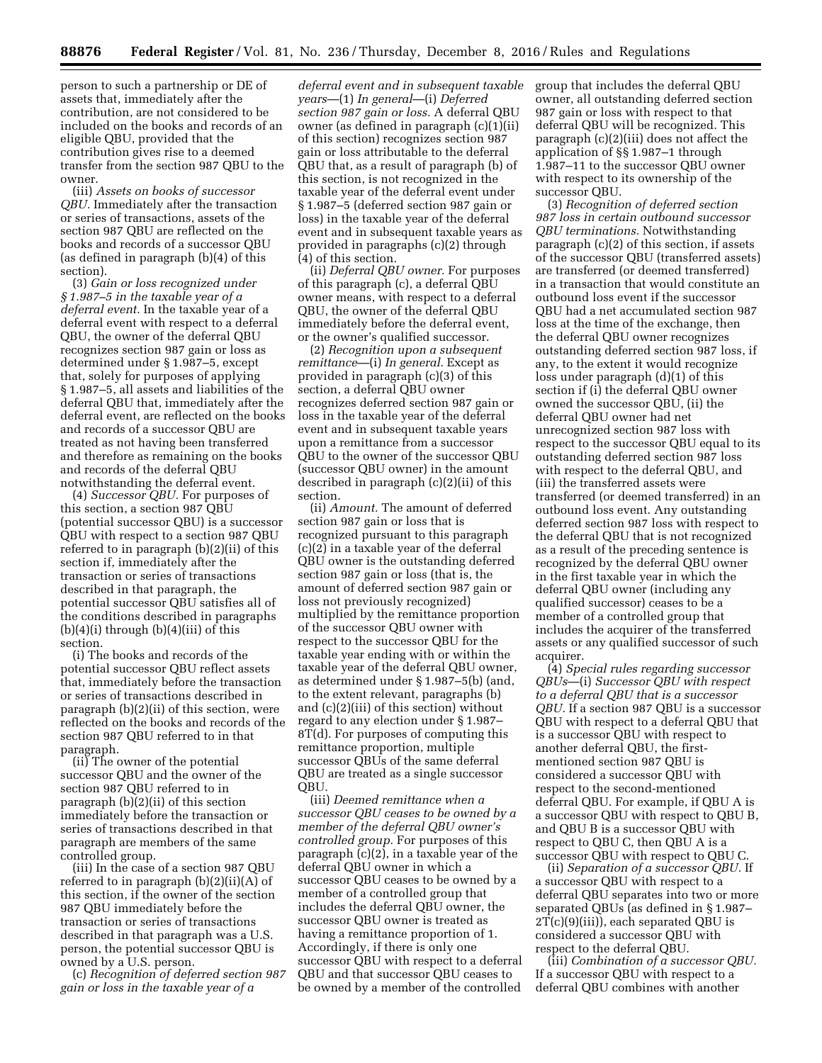person to such a partnership or DE of assets that, immediately after the contribution, are not considered to be included on the books and records of an eligible QBU, provided that the contribution gives rise to a deemed transfer from the section 987 QBU to the owner.

(iii) *Assets on books of successor QBU.* Immediately after the transaction or series of transactions, assets of the section 987 QBU are reflected on the books and records of a successor QBU (as defined in paragraph (b)(4) of this section).

(3) *Gain or loss recognized under § 1.987–5 in the taxable year of a deferral event.* In the taxable year of a deferral event with respect to a deferral QBU, the owner of the deferral QBU recognizes section 987 gain or loss as determined under § 1.987–5, except that, solely for purposes of applying § 1.987–5, all assets and liabilities of the deferral QBU that, immediately after the deferral event, are reflected on the books and records of a successor QBU are treated as not having been transferred and therefore as remaining on the books and records of the deferral QBU notwithstanding the deferral event.

(4) *Successor QBU.* For purposes of this section, a section 987 QBU (potential successor QBU) is a successor QBU with respect to a section 987 QBU referred to in paragraph (b)(2)(ii) of this section if, immediately after the transaction or series of transactions described in that paragraph, the potential successor QBU satisfies all of the conditions described in paragraphs  $(b)(4)(i)$  through  $(b)(4)(iii)$  of this section.

(i) The books and records of the potential successor QBU reflect assets that, immediately before the transaction or series of transactions described in paragraph (b)(2)(ii) of this section, were reflected on the books and records of the section 987 QBU referred to in that paragraph.

(ii) The owner of the potential successor QBU and the owner of the section 987 QBU referred to in paragraph (b)(2)(ii) of this section immediately before the transaction or series of transactions described in that paragraph are members of the same controlled group.

(iii) In the case of a section 987 QBU referred to in paragraph (b)(2)(ii)(A) of this section, if the owner of the section 987 QBU immediately before the transaction or series of transactions described in that paragraph was a U.S. person, the potential successor QBU is owned by a U.S. person.

(c) *Recognition of deferred section 987 gain or loss in the taxable year of a* 

*deferral event and in subsequent taxable years*—(1) *In general*—(i) *Deferred section 987 gain or loss.* A deferral QBU owner (as defined in paragraph (c)(1)(ii) of this section) recognizes section 987 gain or loss attributable to the deferral QBU that, as a result of paragraph (b) of this section, is not recognized in the taxable year of the deferral event under § 1.987–5 (deferred section 987 gain or loss) in the taxable year of the deferral event and in subsequent taxable years as provided in paragraphs (c)(2) through (4) of this section.

(ii) *Deferral QBU owner.* For purposes of this paragraph (c), a deferral QBU owner means, with respect to a deferral QBU, the owner of the deferral QBU immediately before the deferral event, or the owner's qualified successor.

(2) *Recognition upon a subsequent remittance*—(i) *In general.* Except as provided in paragraph (c)(3) of this section, a deferral QBU owner recognizes deferred section 987 gain or loss in the taxable year of the deferral event and in subsequent taxable years upon a remittance from a successor QBU to the owner of the successor QBU (successor QBU owner) in the amount described in paragraph (c)(2)(ii) of this section.

(ii) *Amount.* The amount of deferred section 987 gain or loss that is recognized pursuant to this paragraph (c)(2) in a taxable year of the deferral QBU owner is the outstanding deferred section 987 gain or loss (that is, the amount of deferred section 987 gain or loss not previously recognized) multiplied by the remittance proportion of the successor QBU owner with respect to the successor QBU for the taxable year ending with or within the taxable year of the deferral QBU owner, as determined under § 1.987–5(b) (and, to the extent relevant, paragraphs (b) and (c)(2)(iii) of this section) without regard to any election under § 1.987– 8T(d). For purposes of computing this remittance proportion, multiple successor QBUs of the same deferral QBU are treated as a single successor QBU.

(iii) *Deemed remittance when a successor QBU ceases to be owned by a member of the deferral QBU owner's controlled group.* For purposes of this paragraph (c)(2), in a taxable year of the deferral QBU owner in which a successor QBU ceases to be owned by a member of a controlled group that includes the deferral QBU owner, the successor QBU owner is treated as having a remittance proportion of 1. Accordingly, if there is only one successor QBU with respect to a deferral QBU and that successor QBU ceases to be owned by a member of the controlled

group that includes the deferral QBU owner, all outstanding deferred section 987 gain or loss with respect to that deferral QBU will be recognized. This paragraph (c)(2)(iii) does not affect the application of §§ 1.987–1 through 1.987–11 to the successor QBU owner with respect to its ownership of the successor QBU.

(3) *Recognition of deferred section 987 loss in certain outbound successor QBU terminations.* Notwithstanding paragraph (c)(2) of this section, if assets of the successor QBU (transferred assets) are transferred (or deemed transferred) in a transaction that would constitute an outbound loss event if the successor QBU had a net accumulated section 987 loss at the time of the exchange, then the deferral QBU owner recognizes outstanding deferred section 987 loss, if any, to the extent it would recognize loss under paragraph (d)(1) of this section if (i) the deferral QBU owner owned the successor QBU, (ii) the deferral QBU owner had net unrecognized section 987 loss with respect to the successor QBU equal to its outstanding deferred section 987 loss with respect to the deferral QBU, and (iii) the transferred assets were transferred (or deemed transferred) in an outbound loss event. Any outstanding deferred section 987 loss with respect to the deferral QBU that is not recognized as a result of the preceding sentence is recognized by the deferral QBU owner in the first taxable year in which the deferral QBU owner (including any qualified successor) ceases to be a member of a controlled group that includes the acquirer of the transferred assets or any qualified successor of such acquirer.

(4) *Special rules regarding successor QBUs*—(i) *Successor QBU with respect to a deferral QBU that is a successor QBU.* If a section 987 QBU is a successor QBU with respect to a deferral QBU that is a successor QBU with respect to another deferral QBU, the firstmentioned section 987 QBU is considered a successor QBU with respect to the second-mentioned deferral QBU. For example, if QBU A is a successor QBU with respect to QBU B, and QBU B is a successor QBU with respect to QBU C, then QBU A is a successor QBU with respect to QBU C.

(ii) *Separation of a successor QBU.* If a successor QBU with respect to a deferral QBU separates into two or more separated QBUs (as defined in § 1.987–  $2\overline{T}(c)(9)(iii)$ , each separated QBU is considered a successor QBU with respect to the deferral QBU.

(iii) *Combination of a successor QBU.*  If a successor QBU with respect to a deferral QBU combines with another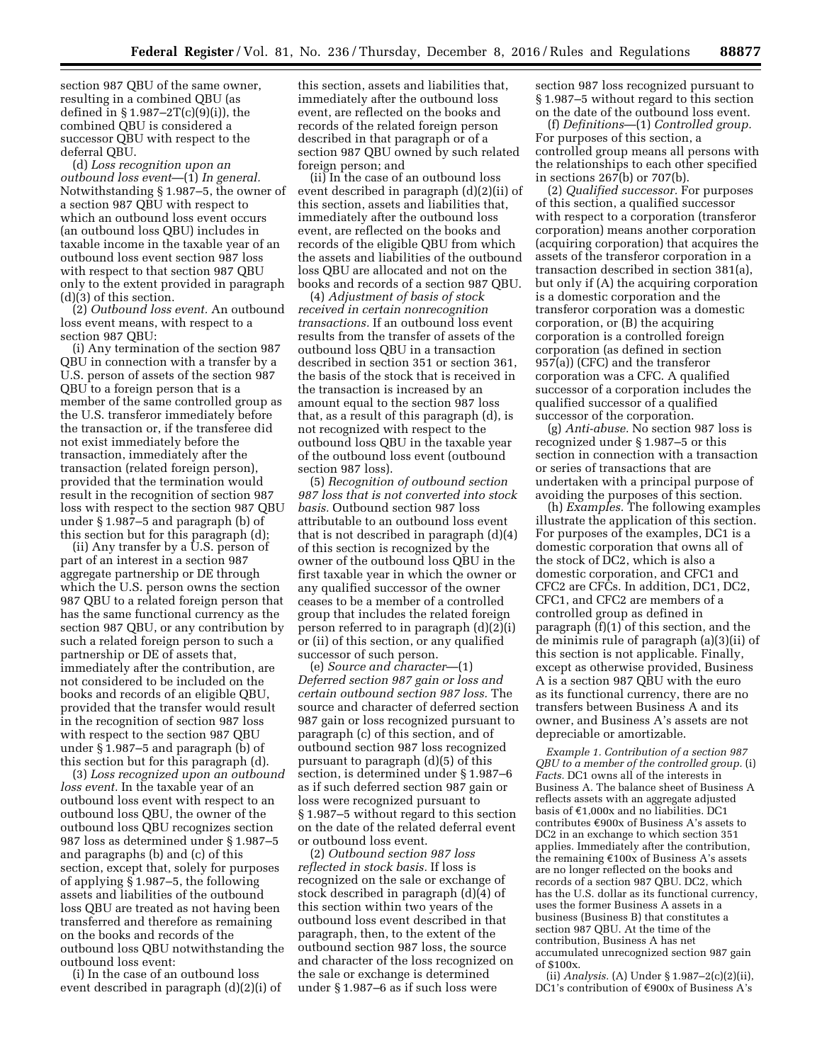section 987 QBU of the same owner, resulting in a combined QBU (as defined in § 1.987–2T(c)(9)(i)), the combined QBU is considered a successor QBU with respect to the deferral QBU.

(d) *Loss recognition upon an outbound loss event*—(1) *In general.*  Notwithstanding § 1.987–5, the owner of a section 987 QBU with respect to which an outbound loss event occurs (an outbound loss QBU) includes in taxable income in the taxable year of an outbound loss event section 987 loss with respect to that section 987 QBU only to the extent provided in paragraph (d)(3) of this section.

(2) *Outbound loss event.* An outbound loss event means, with respect to a section 987 QBU:

(i) Any termination of the section 987 QBU in connection with a transfer by a U.S. person of assets of the section 987 QBU to a foreign person that is a member of the same controlled group as the U.S. transferor immediately before the transaction or, if the transferee did not exist immediately before the transaction, immediately after the transaction (related foreign person), provided that the termination would result in the recognition of section 987 loss with respect to the section 987 QBU under § 1.987–5 and paragraph (b) of this section but for this paragraph (d);

(ii) Any transfer by a U.S. person of part of an interest in a section 987 aggregate partnership or DE through which the U.S. person owns the section 987 QBU to a related foreign person that has the same functional currency as the section 987 QBU, or any contribution by such a related foreign person to such a partnership or DE of assets that, immediately after the contribution, are not considered to be included on the books and records of an eligible QBU, provided that the transfer would result in the recognition of section 987 loss with respect to the section 987 QBU under § 1.987–5 and paragraph (b) of this section but for this paragraph (d).

(3) *Loss recognized upon an outbound loss event.* In the taxable year of an outbound loss event with respect to an outbound loss QBU, the owner of the outbound loss QBU recognizes section 987 loss as determined under § 1.987–5 and paragraphs (b) and (c) of this section, except that, solely for purposes of applying § 1.987–5, the following assets and liabilities of the outbound loss QBU are treated as not having been transferred and therefore as remaining on the books and records of the outbound loss QBU notwithstanding the outbound loss event:

(i) In the case of an outbound loss event described in paragraph (d)(2)(i) of this section, assets and liabilities that, immediately after the outbound loss event, are reflected on the books and records of the related foreign person described in that paragraph or of a section 987 QBU owned by such related foreign person; and

(ii) In the case of an outbound loss event described in paragraph (d)(2)(ii) of this section, assets and liabilities that, immediately after the outbound loss event, are reflected on the books and records of the eligible QBU from which the assets and liabilities of the outbound loss QBU are allocated and not on the books and records of a section 987 QBU.

(4) *Adjustment of basis of stock received in certain nonrecognition transactions.* If an outbound loss event results from the transfer of assets of the outbound loss QBU in a transaction described in section 351 or section 361, the basis of the stock that is received in the transaction is increased by an amount equal to the section 987 loss that, as a result of this paragraph (d), is not recognized with respect to the outbound loss QBU in the taxable year of the outbound loss event (outbound section 987 loss).

(5) *Recognition of outbound section 987 loss that is not converted into stock basis.* Outbound section 987 loss attributable to an outbound loss event that is not described in paragraph (d)(4) of this section is recognized by the owner of the outbound loss QBU in the first taxable year in which the owner or any qualified successor of the owner ceases to be a member of a controlled group that includes the related foreign person referred to in paragraph (d)(2)(i) or (ii) of this section, or any qualified successor of such person.

(e) *Source and character*—(1) *Deferred section 987 gain or loss and certain outbound section 987 loss.* The source and character of deferred section 987 gain or loss recognized pursuant to paragraph (c) of this section, and of outbound section 987 loss recognized pursuant to paragraph (d)(5) of this section, is determined under § 1.987–6 as if such deferred section 987 gain or loss were recognized pursuant to § 1.987–5 without regard to this section on the date of the related deferral event or outbound loss event.

(2) *Outbound section 987 loss reflected in stock basis.* If loss is recognized on the sale or exchange of stock described in paragraph (d)(4) of this section within two years of the outbound loss event described in that paragraph, then, to the extent of the outbound section 987 loss, the source and character of the loss recognized on the sale or exchange is determined under § 1.987–6 as if such loss were

section 987 loss recognized pursuant to § 1.987–5 without regard to this section on the date of the outbound loss event.

(f) *Definitions*—(1) *Controlled group.*  For purposes of this section, a controlled group means all persons with the relationships to each other specified in sections 267(b) or 707(b).

(2) *Qualified successor.* For purposes of this section, a qualified successor with respect to a corporation (transferor corporation) means another corporation (acquiring corporation) that acquires the assets of the transferor corporation in a transaction described in section 381(a), but only if (A) the acquiring corporation is a domestic corporation and the transferor corporation was a domestic corporation, or (B) the acquiring corporation is a controlled foreign corporation (as defined in section 957(a)) (CFC) and the transferor corporation was a CFC. A qualified successor of a corporation includes the qualified successor of a qualified successor of the corporation.

(g) *Anti-abuse.* No section 987 loss is recognized under § 1.987–5 or this section in connection with a transaction or series of transactions that are undertaken with a principal purpose of avoiding the purposes of this section.

(h) *Examples.* The following examples illustrate the application of this section. For purposes of the examples, DC1 is a domestic corporation that owns all of the stock of DC2, which is also a domestic corporation, and CFC1 and CFC2 are CFCs. In addition, DC1, DC2, CFC1, and CFC2 are members of a controlled group as defined in paragraph (f)(1) of this section, and the de minimis rule of paragraph (a)(3)(ii) of this section is not applicable. Finally, except as otherwise provided, Business A is a section 987 QBU with the euro as its functional currency, there are no transfers between Business A and its owner, and Business A's assets are not depreciable or amortizable.

*Example 1. Contribution of a section 987 QBU to a member of the controlled group.* (i) *Facts.* DC1 owns all of the interests in Business A. The balance sheet of Business A reflects assets with an aggregate adjusted basis of  $\epsilon$ 1,000x and no liabilities. DC1 contributes  $\epsilon$ 900x of Business A's assets to DC2 in an exchange to which section 351 applies. Immediately after the contribution, the remaining  $£100x$  of Business A's assets are no longer reflected on the books and records of a section 987 QBU. DC2, which has the U.S. dollar as its functional currency, uses the former Business A assets in a business (Business B) that constitutes a section 987 QBU. At the time of the contribution, Business A has net accumulated unrecognized section 987 gain of \$100x.

(ii) *Analysis.* (A) Under § 1.987–2(c)(2)(ii), DC1's contribution of €900x of Business A's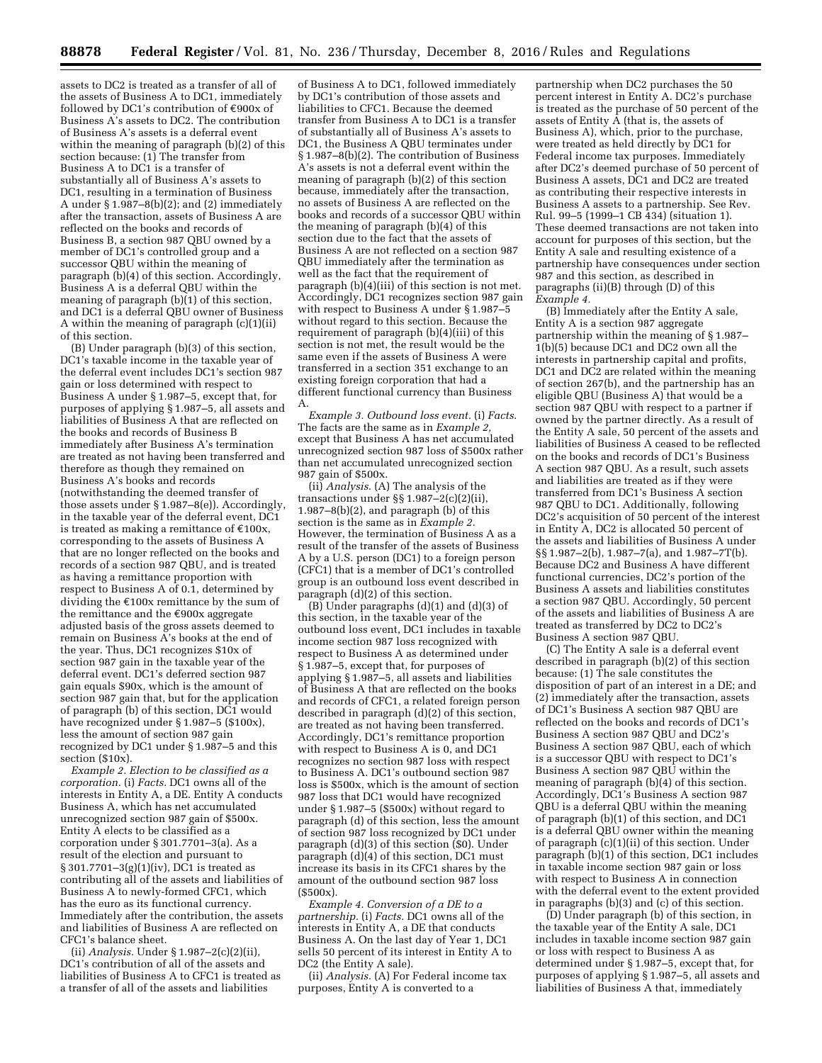assets to DC2 is treated as a transfer of all of the assets of Business A to DC1, immediately followed by DC1's contribution of  $\epsilon$ 900x of Business A's assets to DC2. The contribution of Business A's assets is a deferral event within the meaning of paragraph (b)(2) of this section because: (1) The transfer from Business A to DC1 is a transfer of substantially all of Business A's assets to DC1, resulting in a termination of Business A under § 1.987–8(b)(2); and (2) immediately after the transaction, assets of Business A are reflected on the books and records of Business B, a section 987 QBU owned by a member of DC1's controlled group and a successor QBU within the meaning of paragraph (b)(4) of this section. Accordingly, Business A is a deferral QBU within the meaning of paragraph (b)(1) of this section, and DC1 is a deferral QBU owner of Business A within the meaning of paragraph (c)(1)(ii) of this section.

(B) Under paragraph (b)(3) of this section, DC1's taxable income in the taxable year of the deferral event includes DC1's section 987 gain or loss determined with respect to Business A under § 1.987–5, except that, for purposes of applying § 1.987–5, all assets and liabilities of Business A that are reflected on the books and records of Business B immediately after Business A's termination are treated as not having been transferred and therefore as though they remained on Business A's books and records (notwithstanding the deemed transfer of those assets under § 1.987–8(e)). Accordingly, in the taxable year of the deferral event, DC1 is treated as making a remittance of  $\epsilon$ 100x, corresponding to the assets of Business A that are no longer reflected on the books and records of a section 987 QBU, and is treated as having a remittance proportion with respect to Business A of 0.1, determined by dividing the  $\epsilon$ 100x remittance by the sum of the remittance and the  $€900x$  aggregate adjusted basis of the gross assets deemed to remain on Business A's books at the end of the year. Thus, DC1 recognizes \$10x of section 987 gain in the taxable year of the deferral event. DC1's deferred section 987 gain equals \$90x, which is the amount of section 987 gain that, but for the application of paragraph (b) of this section, DC1 would have recognized under § 1.987–5 (\$100x), less the amount of section 987 gain recognized by DC1 under § 1.987–5 and this section (\$10x).

*Example 2. Election to be classified as a corporation.* (i) *Facts.* DC1 owns all of the interests in Entity A, a DE. Entity A conducts Business A, which has net accumulated unrecognized section 987 gain of \$500x. Entity A elects to be classified as a corporation under § 301.7701–3(a). As a result of the election and pursuant to § 301.7701–3(g)(1)(iv), DC1 is treated as contributing all of the assets and liabilities of Business A to newly-formed CFC1, which has the euro as its functional currency. Immediately after the contribution, the assets and liabilities of Business A are reflected on CFC1's balance sheet.

(ii) *Analysis.* Under § 1.987–2(c)(2)(ii), DC1's contribution of all of the assets and liabilities of Business A to CFC1 is treated as a transfer of all of the assets and liabilities

of Business A to DC1, followed immediately by DC1's contribution of those assets and liabilities to CFC1. Because the deemed transfer from Business A to DC1 is a transfer of substantially all of Business A's assets to DC1, the Business A QBU terminates under § 1.987–8(b)(2). The contribution of Business A's assets is not a deferral event within the meaning of paragraph (b)(2) of this section because, immediately after the transaction, no assets of Business A are reflected on the books and records of a successor QBU within the meaning of paragraph (b)(4) of this section due to the fact that the assets of Business A are not reflected on a section 987 QBU immediately after the termination as well as the fact that the requirement of paragraph (b)(4)(iii) of this section is not met. Accordingly, DC1 recognizes section 987 gain with respect to Business A under § 1.987–5 without regard to this section. Because the requirement of paragraph (b)(4)(iii) of this section is not met, the result would be the same even if the assets of Business A were transferred in a section 351 exchange to an existing foreign corporation that had a different functional currency than Business A.

*Example 3. Outbound loss event.* (i) *Facts.*  The facts are the same as in *Example 2,*  except that Business A has net accumulated unrecognized section 987 loss of \$500x rather than net accumulated unrecognized section 987 gain of \$500x.

(ii) *Analysis.* (A) The analysis of the transactions under §§ 1.987–2(c)(2)(ii), 1.987–8(b)(2), and paragraph (b) of this section is the same as in *Example 2.*  However, the termination of Business A as a result of the transfer of the assets of Business A by a U.S. person (DC1) to a foreign person (CFC1) that is a member of DC1's controlled group is an outbound loss event described in paragraph (d)(2) of this section.

(B) Under paragraphs (d)(1) and (d)(3) of this section, in the taxable year of the outbound loss event, DC1 includes in taxable income section 987 loss recognized with respect to Business A as determined under § 1.987–5, except that, for purposes of applying § 1.987–5, all assets and liabilities of Business A that are reflected on the books and records of CFC1, a related foreign person described in paragraph (d)(2) of this section, are treated as not having been transferred. Accordingly, DC1's remittance proportion with respect to Business A is 0, and DC1 recognizes no section 987 loss with respect to Business A. DC1's outbound section 987 loss is \$500x, which is the amount of section 987 loss that DC1 would have recognized under § 1.987–5 (\$500x) without regard to paragraph (d) of this section, less the amount of section 987 loss recognized by DC1 under paragraph (d)(3) of this section (\$0). Under paragraph (d)(4) of this section, DC1 must increase its basis in its CFC1 shares by the amount of the outbound section 987 loss (\$500x).

*Example 4. Conversion of a DE to a partnership.* (i) *Facts.* DC1 owns all of the interests in Entity A, a DE that conducts Business A. On the last day of Year 1, DC1 sells 50 percent of its interest in Entity A to DC2 (the Entity A sale).

(ii) *Analysis.* (A) For Federal income tax purposes, Entity A is converted to a

partnership when DC2 purchases the 50 percent interest in Entity A. DC2's purchase is treated as the purchase of 50 percent of the assets of Entity  $\overline{A}$  (that is, the assets of Business A), which, prior to the purchase, were treated as held directly by DC1 for Federal income tax purposes. Immediately after DC2's deemed purchase of 50 percent of Business A assets, DC1 and DC2 are treated as contributing their respective interests in Business A assets to a partnership. See Rev. Rul. 99–5 (1999–1 CB 434) (situation 1). These deemed transactions are not taken into account for purposes of this section, but the Entity A sale and resulting existence of a partnership have consequences under section 987 and this section, as described in paragraphs (ii)(B) through (D) of this *Example 4.* 

(B) Immediately after the Entity A sale, Entity A is a section 987 aggregate partnership within the meaning of § 1.987– 1(b)(5) because DC1 and DC2 own all the interests in partnership capital and profits, DC1 and DC2 are related within the meaning of section 267(b), and the partnership has an eligible QBU (Business A) that would be a section 987 QBU with respect to a partner if owned by the partner directly. As a result of the Entity A sale, 50 percent of the assets and liabilities of Business A ceased to be reflected on the books and records of DC1's Business A section 987 QBU. As a result, such assets and liabilities are treated as if they were transferred from DC1's Business A section 987 QBU to DC1. Additionally, following DC2's acquisition of 50 percent of the interest in Entity A, DC2 is allocated 50 percent of the assets and liabilities of Business A under §§ 1.987–2(b), 1.987–7(a), and 1.987–7T(b). Because DC2 and Business A have different functional currencies, DC2's portion of the Business A assets and liabilities constitutes a section 987 QBU. Accordingly, 50 percent of the assets and liabilities of Business A are treated as transferred by DC2 to DC2's Business A section 987 QBU.

(C) The Entity A sale is a deferral event described in paragraph (b)(2) of this section because: (1) The sale constitutes the disposition of part of an interest in a DE; and (2) immediately after the transaction, assets of DC1's Business A section 987 QBU are reflected on the books and records of DC1's Business A section 987 QBU and DC2's Business A section 987 QBU, each of which is a successor QBU with respect to DC1's Business A section 987 QBU within the meaning of paragraph (b)(4) of this section. Accordingly, DC1's Business A section 987 QBU is a deferral QBU within the meaning of paragraph (b)(1) of this section, and DC1 is a deferral QBU owner within the meaning of paragraph (c)(1)(ii) of this section. Under paragraph (b)(1) of this section, DC1 includes in taxable income section 987 gain or loss with respect to Business A in connection with the deferral event to the extent provided in paragraphs (b)(3) and (c) of this section.

(D) Under paragraph (b) of this section, in the taxable year of the Entity A sale, DC1 includes in taxable income section 987 gain or loss with respect to Business A as determined under § 1.987–5, except that, for purposes of applying § 1.987–5, all assets and liabilities of Business A that, immediately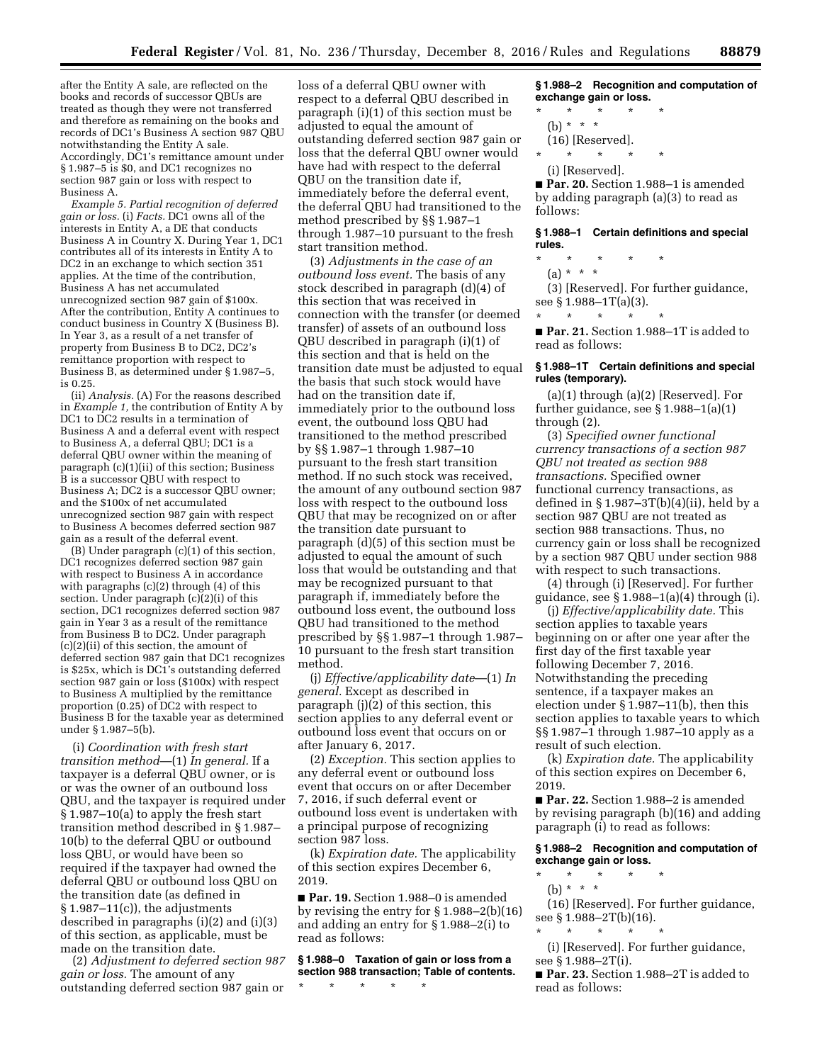after the Entity A sale, are reflected on the books and records of successor QBUs are treated as though they were not transferred and therefore as remaining on the books and records of DC1's Business A section 987 QBU notwithstanding the Entity A sale. Accordingly, DC1's remittance amount under § 1.987–5 is \$0, and DC1 recognizes no section 987 gain or loss with respect to Business A.

*Example 5. Partial recognition of deferred gain or loss.* (i) *Facts.* DC1 owns all of the interests in Entity A, a DE that conducts Business A in Country X. During Year 1, DC1 contributes all of its interests in Entity A to DC2 in an exchange to which section 351 applies. At the time of the contribution, Business A has net accumulated unrecognized section 987 gain of \$100x. After the contribution, Entity A continues to conduct business in Country X (Business B). In Year 3, as a result of a net transfer of property from Business B to DC2, DC2's remittance proportion with respect to Business B, as determined under § 1.987–5, is 0.25.

(ii) *Analysis.* (A) For the reasons described in *Example 1,* the contribution of Entity A by DC1 to DC2 results in a termination of Business A and a deferral event with respect to Business A, a deferral QBU; DC1 is a deferral QBU owner within the meaning of paragraph (c)(1)(ii) of this section; Business B is a successor QBU with respect to Business A; DC2 is a successor QBU owner; and the \$100x of net accumulated unrecognized section 987 gain with respect to Business A becomes deferred section 987 gain as a result of the deferral event.

(B) Under paragraph (c)(1) of this section, DC1 recognizes deferred section 987 gain with respect to Business A in accordance with paragraphs (c)(2) through (4) of this section. Under paragraph (c)(2)(i) of this section, DC1 recognizes deferred section 987 gain in Year 3 as a result of the remittance from Business B to DC2. Under paragraph (c)(2)(ii) of this section, the amount of deferred section 987 gain that DC1 recognizes is \$25x, which is DC1's outstanding deferred section 987 gain or loss (\$100x) with respect to Business A multiplied by the remittance proportion (0.25) of DC2 with respect to Business B for the taxable year as determined under § 1.987–5(b).

(i) *Coordination with fresh start transition method*—(1) *In general.* If a taxpayer is a deferral QBU owner, or is or was the owner of an outbound loss QBU, and the taxpayer is required under § 1.987–10(a) to apply the fresh start transition method described in § 1.987– 10(b) to the deferral QBU or outbound loss QBU, or would have been so required if the taxpayer had owned the deferral QBU or outbound loss QBU on the transition date (as defined in § 1.987–11(c)), the adjustments described in paragraphs (i)(2) and (i)(3) of this section, as applicable, must be made on the transition date.

(2) *Adjustment to deferred section 987 gain or loss.* The amount of any outstanding deferred section 987 gain or

loss of a deferral QBU owner with respect to a deferral QBU described in paragraph (i)(1) of this section must be adjusted to equal the amount of outstanding deferred section 987 gain or loss that the deferral QBU owner would have had with respect to the deferral QBU on the transition date if, immediately before the deferral event, the deferral QBU had transitioned to the method prescribed by §§ 1.987–1 through 1.987–10 pursuant to the fresh start transition method.

(3) *Adjustments in the case of an outbound loss event.* The basis of any stock described in paragraph (d)(4) of this section that was received in connection with the transfer (or deemed transfer) of assets of an outbound loss QBU described in paragraph (i)(1) of this section and that is held on the transition date must be adjusted to equal the basis that such stock would have had on the transition date if, immediately prior to the outbound loss event, the outbound loss QBU had transitioned to the method prescribed by §§ 1.987–1 through 1.987–10 pursuant to the fresh start transition method. If no such stock was received, the amount of any outbound section 987 loss with respect to the outbound loss QBU that may be recognized on or after the transition date pursuant to paragraph (d)(5) of this section must be adjusted to equal the amount of such loss that would be outstanding and that may be recognized pursuant to that paragraph if, immediately before the outbound loss event, the outbound loss QBU had transitioned to the method prescribed by §§ 1.987–1 through 1.987– 10 pursuant to the fresh start transition method.

(j) *Effective/applicability date*—(1) *In general.* Except as described in paragraph (j)(2) of this section, this section applies to any deferral event or outbound loss event that occurs on or after January 6, 2017.

(2) *Exception.* This section applies to any deferral event or outbound loss event that occurs on or after December 7, 2016, if such deferral event or outbound loss event is undertaken with a principal purpose of recognizing section 987 loss.

(k) *Expiration date.* The applicability of this section expires December 6, 2019.

■ **Par. 19.** Section 1.988-0 is amended by revising the entry for § 1.988–2(b)(16) and adding an entry for § 1.988–2(i) to read as follows:

**§ 1.988–0 Taxation of gain or loss from a section 988 transaction; Table of contents.**  \* \* \* \* \*

**§ 1.988–2 Recognition and computation of exchange gain or loss.** 

- \* \* \* \* \*
	- (b) \* \* \*
- (16) [Reserved].
- \* \* \* \* \*
- (i) [Reserved].

■ **Par. 20.** Section 1.988-1 is amended by adding paragraph (a)(3) to read as follows:

**§ 1.988–1 Certain definitions and special rules.** 

- \* \* \* \* \*
	- (a) \* \* \*

(3) [Reserved]. For further guidance, see § 1.988–1T(a)(3). \* \* \* \* \*

■ **Par. 21.** Section 1.988-1T is added to read as follows:

## **§ 1.988–1T Certain definitions and special rules (temporary).**

(a)(1) through (a)(2) [Reserved]. For further guidance, see § 1.988–1(a)(1) through (2).

(3) *Specified owner functional currency transactions of a section 987 QBU not treated as section 988 transactions.* Specified owner functional currency transactions, as defined in § 1.987–3T(b)(4)(ii), held by a section 987 QBU are not treated as section 988 transactions. Thus, no currency gain or loss shall be recognized by a section 987 QBU under section 988 with respect to such transactions.

(4) through (i) [Reserved]. For further guidance, see § 1.988–1(a)(4) through (i).

(j) *Effective/applicability date.* This section applies to taxable years beginning on or after one year after the first day of the first taxable year following December 7, 2016. Notwithstanding the preceding sentence, if a taxpayer makes an election under § 1.987–11(b), then this section applies to taxable years to which §§ 1.987–1 through 1.987–10 apply as a result of such election.

(k) *Expiration date.* The applicability of this section expires on December 6, 2019.

■ **Par. 22.** Section 1.988–2 is amended by revising paragraph (b)(16) and adding paragraph (i) to read as follows:

## **§ 1.988–2 Recognition and computation of exchange gain or loss.**

\* \* \* \* \* (b)  $* * * *$ 

(16) [Reserved]. For further guidance, see § 1.988–2T(b)(16). \* \* \* \* \*

(i) [Reserved]. For further guidance, see § 1.988–2T(i).

■ **Par. 23.** Section 1.988–2T is added to read as follows: